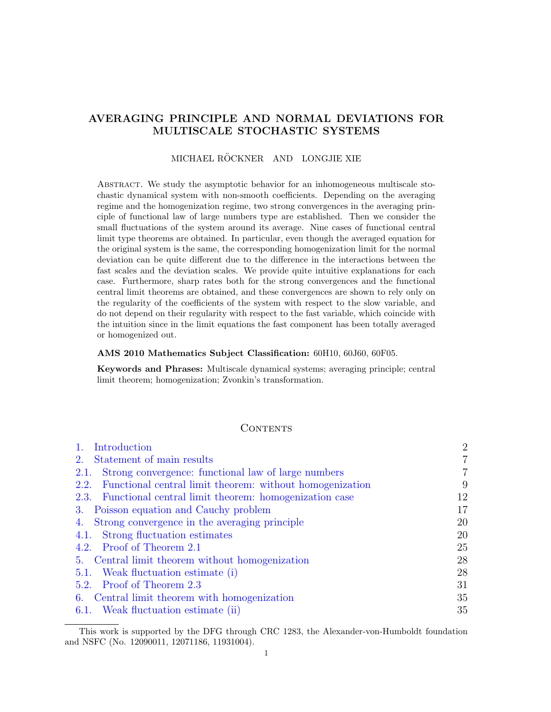# AVERAGING PRINCIPLE AND NORMAL DEVIATIONS FOR MULTISCALE STOCHASTIC SYSTEMS

# MICHAEL RÖCKNER AND LONGJIE XIE

Abstract. We study the asymptotic behavior for an inhomogeneous multiscale stochastic dynamical system with non-smooth coefficients. Depending on the averaging regime and the homogenization regime, two strong convergences in the averaging principle of functional law of large numbers type are established. Then we consider the small fluctuations of the system around its average. Nine cases of functional central limit type theorems are obtained. In particular, even though the averaged equation for the original system is the same, the corresponding homogenization limit for the normal deviation can be quite different due to the difference in the interactions between the fast scales and the deviation scales. We provide quite intuitive explanations for each case. Furthermore, sharp rates both for the strong convergences and the functional central limit theorems are obtained, and these convergences are shown to rely only on the regularity of the coefficients of the system with respect to the slow variable, and do not depend on their regularity with respect to the fast variable, which coincide with the intuition since in the limit equations the fast component has been totally averaged or homogenized out.

#### AMS 2010 Mathematics Subject Classification: 60H10, 60J60, 60F05.

Keywords and Phrases: Multiscale dynamical systems; averaging principle; central limit theorem; homogenization; Zvonkin's transformation.

## **CONTENTS**

| Introduction                                                            | $\overline{2}$ |
|-------------------------------------------------------------------------|----------------|
| Statement of main results<br>2.                                         | $\overline{7}$ |
| Strong convergence: functional law of large numbers<br><b>2.1.</b>      | 7              |
| Functional central limit theorem: without homogenization<br><b>2.2.</b> | 9              |
| 2.3. Functional central limit theorem: homogenization case              | 12             |
| Poisson equation and Cauchy problem<br>3.                               | 17             |
| Strong convergence in the averaging principle<br>4.                     | 20             |
| 4.1. Strong fluctuation estimates                                       | 20             |
| 4.2. Proof of Theorem 2.1                                               | 25             |
| 5. Central limit theorem without homogenization                         | 28             |
| 5.1. Weak fluctuation estimate (i)                                      | 28             |
| 5.2. Proof of Theorem 2.3                                               | 31             |
| 6. Central limit theorem with homogenization                            | 35             |
| 6.1. Weak fluctuation estimate (ii)                                     | 35             |

This work is supported by the DFG through CRC 1283, the Alexander-von-Humboldt foundation and NSFC (No. 12090011, 12071186, 11931004).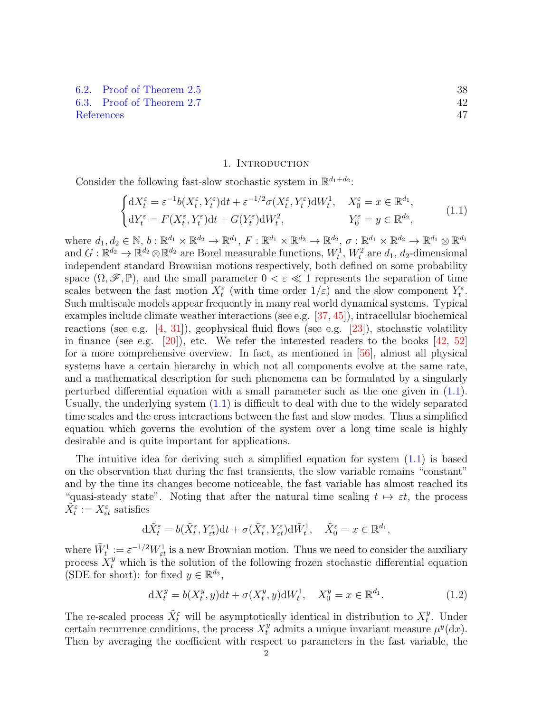[6.2. Proof of Theorem](#page-37-0) [2.5](#page-11-1) 38 [6.3. Proof of Theorem](#page-41-0) [2.7](#page-13-0) 42 [References](#page-46-0) 47

#### 1. Introduction

<span id="page-1-0"></span>Consider the following fast-slow stochastic system in  $\mathbb{R}^{d_1+d_2}$ :

<span id="page-1-1"></span>
$$
\begin{cases} dX_t^{\varepsilon} = \varepsilon^{-1}b(X_t^{\varepsilon}, Y_t^{\varepsilon})dt + \varepsilon^{-1/2}\sigma(X_t^{\varepsilon}, Y_t^{\varepsilon})dW_t^1, & X_0^{\varepsilon} = x \in \mathbb{R}^{d_1}, \\ dY_t^{\varepsilon} = F(X_t^{\varepsilon}, Y_t^{\varepsilon})dt + G(Y_t^{\varepsilon})dW_t^2, & Y_0^{\varepsilon} = y \in \mathbb{R}^{d_2}, \end{cases}
$$
(1.1)

where  $d_1, d_2 \in \mathbb{N}, b : \mathbb{R}^{d_1} \times \mathbb{R}^{d_2} \to \mathbb{R}^{d_1}, F : \mathbb{R}^{d_1} \times \mathbb{R}^{d_2} \to \mathbb{R}^{d_2}, \sigma : \mathbb{R}^{d_1} \times \mathbb{R}^{d_2} \to \mathbb{R}^{d_1} \otimes \mathbb{R}^{d_1}$ and  $G: \mathbb{R}^{d_2} \to \mathbb{R}^{d_2} \otimes \mathbb{R}^{d_2}$  are Borel measurable functions,  $W_t^1$ ,  $W_t^2$  are  $d_1$ ,  $d_2$ -dimensional independent standard Brownian motions respectively, both defined on some probability space  $(\Omega, \mathscr{F}, \mathbb{P})$ , and the small parameter  $0 < \varepsilon \ll 1$  represents the separation of time scales between the fast motion  $X_t^{\varepsilon}$  (with time order  $1/\varepsilon$ ) and the slow component  $Y_t^{\varepsilon}$ . Such multiscale models appear frequently in many real world dynamical systems. Typical examples include climate weather interactions (see e.g. [\[37,](#page-47-0) [45\]](#page-48-0)), intracellular biochemical reactions (see e.g.  $[4, 31]$  $[4, 31]$ ), geophysical fluid flows (see e.g.  $[23]$ ), stochastic volatility in finance (see e.g.  $[20]$ ), etc. We refer the interested readers to the books  $[42, 52]$  $[42, 52]$ for a more comprehensive overview. In fact, as mentioned in [\[56\]](#page-48-2), almost all physical systems have a certain hierarchy in which not all components evolve at the same rate, and a mathematical description for such phenomena can be formulated by a singularly perturbed differential equation with a small parameter such as the one given in [\(1.1\)](#page-1-1). Usually, the underlying system [\(1.1\)](#page-1-1) is difficult to deal with due to the widely separated time scales and the cross interactions between the fast and slow modes. Thus a simplified equation which governs the evolution of the system over a long time scale is highly desirable and is quite important for applications.

The intuitive idea for deriving such a simplified equation for system  $(1.1)$  is based on the observation that during the fast transients, the slow variable remains "constant" and by the time its changes become noticeable, the fast variable has almost reached its "quasi-steady state". Noting that after the natural time scaling  $t \mapsto \varepsilon t$ , the process  $\tilde{X}_{t}^{\varepsilon}:=X_{\varepsilon t}^{\varepsilon}$  satisfies

$$
\mathrm{d}\tilde{X}_{t}^{\varepsilon}=b(\tilde{X}_{t}^{\varepsilon},Y_{\varepsilon t}^{\varepsilon})\mathrm{d}t+\sigma(\tilde{X}_{t}^{\varepsilon},Y_{\varepsilon t}^{\varepsilon})\mathrm{d}\tilde{W}_{t}^{1},\quad\tilde{X}_{0}^{\varepsilon}=x\in\mathbb{R}^{d_{1}},
$$

where  $\tilde{W}_t^1 := \varepsilon^{-1/2} W_{\varepsilon t}^1$  is a new Brownian motion. Thus we need to consider the auxiliary process  $X_t^y$  which is the solution of the following frozen stochastic differential equation (SDE for short): for fixed  $y \in \mathbb{R}^{d_2}$ ,

<span id="page-1-2"></span>
$$
dX_t^y = b(X_t^y, y)dt + \sigma(X_t^y, y)dW_t^1, \quad X_0^y = x \in \mathbb{R}^{d_1}.
$$
 (1.2)

The re-scaled process  $\tilde{X}_t^{\varepsilon}$  will be asymptotically identical in distribution to  $X_t^y$  $t^y$ . Under certain recurrence conditions, the process  $X_t^y$  admits a unique invariant measure  $\mu^y(\mathrm{d}x)$ . Then by averaging the coefficient with respect to parameters in the fast variable, the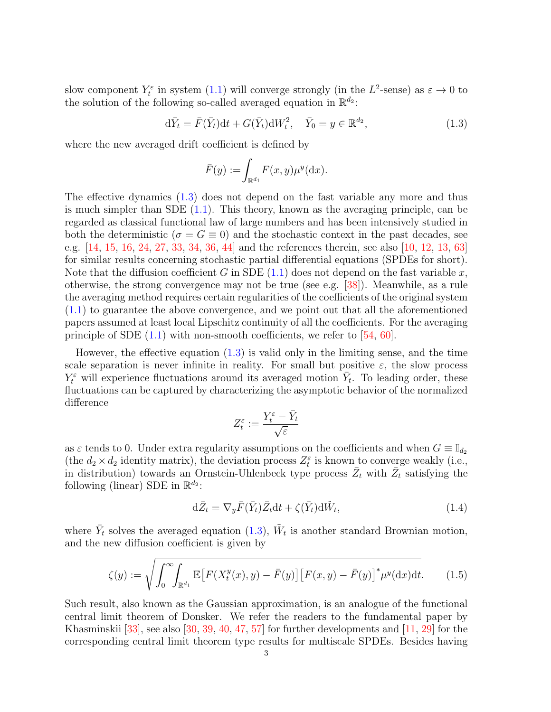slow component  $Y_t^{\varepsilon}$  in system  $(1.1)$  will converge strongly (in the  $L^2$ -sense) as  $\varepsilon \to 0$  to the solution of the following so-called averaged equation in  $\mathbb{R}^{d_2}$ :

$$
\mathrm{d}\bar{Y}_t = \bar{F}(\bar{Y}_t)\mathrm{d}t + G(\bar{Y}_t)\mathrm{d}W_t^2, \quad \bar{Y}_0 = y \in \mathbb{R}^{d_2},\tag{1.3}
$$

where the new averaged drift coefficient is defined by

<span id="page-2-0"></span>
$$
\bar{F}(y) := \int_{\mathbb{R}^{d_1}} F(x, y) \mu^y(\mathrm{d}x).
$$

The effective dynamics [\(1.3\)](#page-2-0) does not depend on the fast variable any more and thus is much simpler than SDE  $(1.1)$ . This theory, known as the averaging principle, can be regarded as classical functional law of large numbers and has been intensively studied in both the deterministic ( $\sigma = G \equiv 0$ ) and the stochastic context in the past decades, see e.g. [\[14,](#page-46-2) [15,](#page-46-3) [16,](#page-47-5) [24,](#page-47-6) [27,](#page-47-7) [33,](#page-47-8) [34,](#page-47-9) [36,](#page-47-10) [44\]](#page-48-3) and the references therein, see also [\[10,](#page-46-4) [12,](#page-46-5) [13,](#page-46-6) [63\]](#page-48-4) for similar results concerning stochastic partial differential equations (SPDEs for short). Note that the diffusion coefficient G in SDE  $(1.1)$  does not depend on the fast variable x, otherwise, the strong convergence may not be true (see e.g. [\[38\]](#page-47-11)). Meanwhile, as a rule the averaging method requires certain regularities of the coefficients of the original system [\(1.1\)](#page-1-1) to guarantee the above convergence, and we point out that all the aforementioned papers assumed at least local Lipschitz continuity of all the coefficients. For the averaging principle of SDE  $(1.1)$  with non-smooth coefficients, we refer to [\[54,](#page-48-5) [60\]](#page-48-6).

However, the effective equation [\(1.3\)](#page-2-0) is valid only in the limiting sense, and the time scale separation is never infinite in reality. For small but positive  $\varepsilon$ , the slow process  $Y_t^{\varepsilon}$  will experience fluctuations around its averaged motion  $Y_t$ . To leading order, these fluctuations can be captured by characterizing the asymptotic behavior of the normalized difference

<span id="page-2-1"></span>
$$
Z_t^\varepsilon:=\frac{Y_t^\varepsilon-\bar{Y}_t}{\sqrt{\varepsilon}}
$$

as  $\varepsilon$  tends to 0. Under extra regularity assumptions on the coefficients and when  $G \equiv \mathbb{I}_{d_2}$ (the  $d_2 \times d_2$  identity matrix), the deviation process  $Z_t^{\varepsilon}$  is known to converge weakly (i.e., in distribution) towards an Ornstein-Uhlenbeck type process  $\bar{Z}_t$  with  $\bar{Z}_t$  satisfying the following (linear) SDE in  $\mathbb{R}^{d_2}$ :

<span id="page-2-2"></span>
$$
d\bar{Z}_t = \nabla_y \bar{F}(\bar{Y}_t) \bar{Z}_t dt + \zeta(\bar{Y}_t) d\tilde{W}_t, \qquad (1.4)
$$

where  $\bar{Y}_t$  solves the averaged equation [\(1.3\)](#page-2-0),  $\tilde{W}_t$  is another standard Brownian motion, and the new diffusion coefficient is given by

$$
\zeta(y) := \sqrt{\int_0^\infty \int_{\mathbb{R}^{d_1}} \mathbb{E}\left[F(X_t^y(x), y) - \bar{F}(y)\right] \left[F(x, y) - \bar{F}(y)\right]^* \mu^y(\mathrm{d}x) \mathrm{d}t}.\tag{1.5}
$$

Such result, also known as the Gaussian approximation, is an analogue of the functional central limit theorem of Donsker. We refer the readers to the fundamental paper by Khasminskii [\[33\]](#page-47-8), see also [\[30,](#page-47-12) [39,](#page-47-13) [40,](#page-47-14) [47,](#page-48-7) [57\]](#page-48-8) for further developments and [\[11,](#page-46-7) [29\]](#page-47-15) for the corresponding central limit theorem type results for multiscale SPDEs. Besides having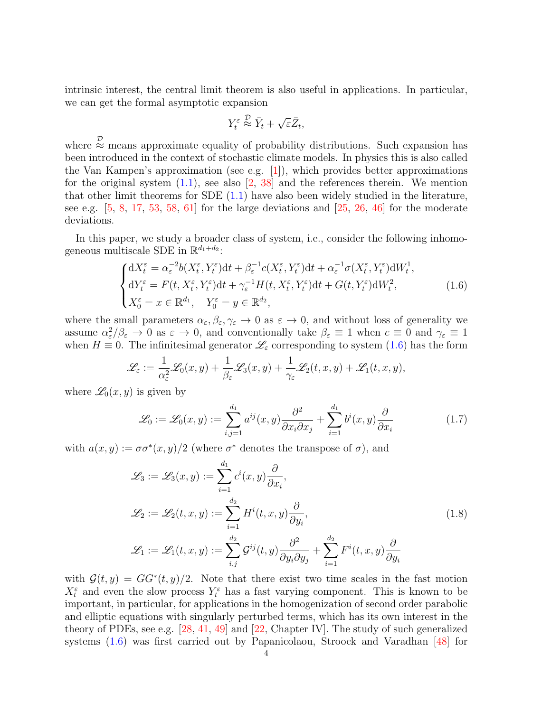intrinsic interest, the central limit theorem is also useful in applications. In particular, we can get the formal asymptotic expansion

$$
Y_t^{\varepsilon} \stackrel{\mathcal{D}}{\approx} \bar{Y}_t + \sqrt{\varepsilon} \bar{Z}_t,
$$

where  $\stackrel{\mathcal{D}}{\approx}$  means approximate equality of probability distributions. Such expansion has been introduced in the context of stochastic climate models. In physics this is also called the Van Kampen's approximation (see e.g.  $|1|$ ), which provides better approximations for the original system  $(1.1)$ , see also  $[2, 38]$  $[2, 38]$  and the references therein. We mention that other limit theorems for SDE  $(1.1)$  have also been widely studied in the literature, see e.g.  $[5, 8, 17, 53, 58, 61]$  $[5, 8, 17, 53, 58, 61]$  $[5, 8, 17, 53, 58, 61]$  $[5, 8, 17, 53, 58, 61]$  $[5, 8, 17, 53, 58, 61]$  $[5, 8, 17, 53, 58, 61]$  $[5, 8, 17, 53, 58, 61]$  $[5, 8, 17, 53, 58, 61]$  $[5, 8, 17, 53, 58, 61]$  $[5, 8, 17, 53, 58, 61]$  for the large deviations and  $[25, 26, 46]$  $[25, 26, 46]$  $[25, 26, 46]$  $[25, 26, 46]$  for the moderate deviations.

In this paper, we study a broader class of system, i.e., consider the following inhomogeneous multiscale SDE in  $\mathbb{R}^{d_1+d_2}$ :

<span id="page-3-0"></span>
$$
\begin{cases} dX_t^{\varepsilon} = \alpha_{\varepsilon}^{-2} b(X_t^{\varepsilon}, Y_t^{\varepsilon}) dt + \beta_{\varepsilon}^{-1} c(X_t^{\varepsilon}, Y_t^{\varepsilon}) dt + \alpha_{\varepsilon}^{-1} \sigma(X_t^{\varepsilon}, Y_t^{\varepsilon}) dW_t^1, \\ dY_t^{\varepsilon} = F(t, X_t^{\varepsilon}, Y_t^{\varepsilon}) dt + \gamma_{\varepsilon}^{-1} H(t, X_t^{\varepsilon}, Y_t^{\varepsilon}) dt + G(t, Y_t^{\varepsilon}) dW_t^2, \\ X_0^{\varepsilon} = x \in \mathbb{R}^{d_1}, \quad Y_0^{\varepsilon} = y \in \mathbb{R}^{d_2}, \end{cases} \tag{1.6}
$$

where the small parameters  $\alpha_{\varepsilon}, \beta_{\varepsilon}, \gamma_{\varepsilon} \to 0$  as  $\varepsilon \to 0$ , and without loss of generality we assume  $\alpha_{\varepsilon}^2/\beta_{\varepsilon} \to 0$  as  $\varepsilon \to 0$ , and conventionally take  $\beta_{\varepsilon} \equiv 1$  when  $c \equiv 0$  and  $\gamma_{\varepsilon} \equiv 1$ when  $H \equiv 0$ . The infinitesimal generator  $\mathcal{L}_{\varepsilon}$  corresponding to system [\(1.6\)](#page-3-0) has the form

$$
\mathscr{L}_{\varepsilon} := \frac{1}{\alpha_{\varepsilon}^2} \mathscr{L}_0(x, y) + \frac{1}{\beta_{\varepsilon}} \mathscr{L}_3(x, y) + \frac{1}{\gamma_{\varepsilon}} \mathscr{L}_2(t, x, y) + \mathscr{L}_1(t, x, y),
$$

where  $\mathscr{L}_0(x, y)$  is given by

<span id="page-3-1"></span>
$$
\mathcal{L}_0 := \mathcal{L}_0(x, y) := \sum_{i,j=1}^{d_1} a^{ij}(x, y) \frac{\partial^2}{\partial x_i \partial x_j} + \sum_{i=1}^{d_1} b^i(x, y) \frac{\partial}{\partial x_i}
$$
(1.7)

with  $a(x, y) := \sigma \sigma^*(x, y)/2$  (where  $\sigma^*$  denotes the transpose of  $\sigma$ ), and

<span id="page-3-2"></span>
$$
\mathcal{L}_3 := \mathcal{L}_3(x, y) := \sum_{i=1}^{d_1} c^i(x, y) \frac{\partial}{\partial x_i},
$$
  
\n
$$
\mathcal{L}_2 := \mathcal{L}_2(t, x, y) := \sum_{i=1}^{d_2} H^i(t, x, y) \frac{\partial}{\partial y_i},
$$
  
\n
$$
\mathcal{L}_1 := \mathcal{L}_1(t, x, y) := \sum_{i,j}^{d_2} \mathcal{G}^{ij}(t, y) \frac{\partial^2}{\partial y_i \partial y_j} + \sum_{i=1}^{d_2} F^i(t, x, y) \frac{\partial}{\partial y_i}
$$
\n(1.8)

with  $\mathcal{G}(t, y) = GG^*(t, y)/2$ . Note that there exist two time scales in the fast motion  $X_t^{\varepsilon}$  and even the slow process  $Y_t^{\varepsilon}$  has a fast varying component. This is known to be important, in particular, for applications in the homogenization of second order parabolic and elliptic equations with singularly perturbed terms, which has its own interest in the theory of PDEs, see e.g. [\[28,](#page-47-19) [41,](#page-47-20) [49\]](#page-48-13) and [\[22,](#page-47-21) Chapter IV]. The study of such generalized systems [\(1.6\)](#page-3-0) was first carried out by Papanicolaou, Stroock and Varadhan [\[48\]](#page-48-14) for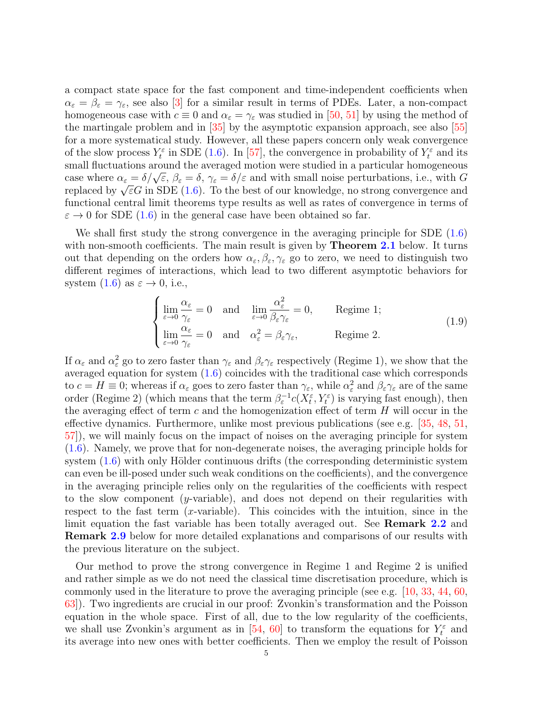a compact state space for the fast component and time-independent coefficients when  $\alpha_{\varepsilon} = \beta_{\varepsilon} = \gamma_{\varepsilon}$ , see also [\[3\]](#page-46-12) for a similar result in terms of PDEs. Later, a non-compact homogeneous case with  $c \equiv 0$  and  $\alpha_{\varepsilon} = \gamma_{\varepsilon}$  was studied in [\[50,](#page-48-15) [51\]](#page-48-16) by using the method of the martingale problem and in [\[35\]](#page-47-22) by the asymptotic expansion approach, see also [\[55\]](#page-48-17) for a more systematical study. However, all these papers concern only weak convergence of the slow process  $Y_t^{\varepsilon}$  in SDE [\(1.6\)](#page-3-0). In [\[57\]](#page-48-8), the convergence in probability of  $Y_t^{\varepsilon}$  and its small fluctuations around the averaged motion were studied in a particular homogeneous case where  $\alpha_{\varepsilon} = \delta/\sqrt{\varepsilon}$ ,  $\beta_{\varepsilon} = \delta$ ,  $\gamma_{\varepsilon} = \delta/\varepsilon$  and with small noise perturbations, i.e., with G case where  $\alpha_{\varepsilon} = o/\sqrt{\varepsilon}$ ,  $\rho_{\varepsilon} = o$ ,  $\gamma_{\varepsilon} = o/\varepsilon$  and with small holse perturbations, i.e., with G<br>replaced by  $\sqrt{\varepsilon}G$  in SDE [\(1.6\)](#page-3-0). To the best of our knowledge, no strong convergence and functional central limit theorems type results as well as rates of convergence in terms of  $\varepsilon \to 0$  for SDE [\(1.6\)](#page-3-0) in the general case have been obtained so far.

We shall first study the strong convergence in the averaging principle for SDE [\(1.6\)](#page-3-0) with non-smooth coefficients. The main result is given by **Theorem [2.1](#page-7-0)** below. It turns out that depending on the orders how  $\alpha_{\varepsilon}, \beta_{\varepsilon}, \gamma_{\varepsilon}$  go to zero, we need to distinguish two different regimes of interactions, which lead to two different asymptotic behaviors for system  $(1.6)$  as  $\varepsilon \to 0$ , i.e.,

<span id="page-4-0"></span>
$$
\begin{cases}\n\lim_{\varepsilon \to 0} \frac{\alpha_{\varepsilon}}{\gamma_{\varepsilon}} = 0 & \text{and} \quad \lim_{\varepsilon \to 0} \frac{\alpha_{\varepsilon}^2}{\beta_{\varepsilon} \gamma_{\varepsilon}} = 0, & \text{Regime 1;}\\
\lim_{\varepsilon \to 0} \frac{\alpha_{\varepsilon}}{\gamma_{\varepsilon}} = 0 & \text{and} \quad \alpha_{\varepsilon}^2 = \beta_{\varepsilon} \gamma_{\varepsilon}, & \text{Regime 2.}\n\end{cases}
$$
\n(1.9)

If  $\alpha_{\varepsilon}$  and  $\alpha_{\varepsilon}^2$  go to zero faster than  $\gamma_{\varepsilon}$  and  $\beta_{\varepsilon}\gamma_{\varepsilon}$  respectively (Regime 1), we show that the averaged equation for system  $(1.6)$  coincides with the traditional case which corresponds to  $c = H \equiv 0$ ; whereas if  $\alpha_{\varepsilon}$  goes to zero faster than  $\gamma_{\varepsilon}$ , while  $\alpha_{\varepsilon}^2$  and  $\beta_{\varepsilon} \gamma_{\varepsilon}$  are of the same order (Regime 2) (which means that the term  $\beta_{\varepsilon}^{-1}c(X_t^{\varepsilon}, Y_t^{\varepsilon})$  is varying fast enough), then the averaging effect of term  $c$  and the homogenization effect of term  $H$  will occur in the effective dynamics. Furthermore, unlike most previous publications (see e.g. [\[35,](#page-47-22) [48,](#page-48-14) [51,](#page-48-16) [57\]](#page-48-8)), we will mainly focus on the impact of noises on the averaging principle for system [\(1.6\)](#page-3-0). Namely, we prove that for non-degenerate noises, the averaging principle holds for system  $(1.6)$  with only Hölder continuous drifts (the corresponding deterministic system can even be ill-posed under such weak conditions on the coefficients), and the convergence in the averaging principle relies only on the regularities of the coefficients with respect to the slow component (y-variable), and does not depend on their regularities with respect to the fast term  $(x$ -variable). This coincides with the intuition, since in the limit equation the fast variable has been totally averaged out. See **Remark [2.2](#page-8-1)** and Remark [2.9](#page-14-0) below for more detailed explanations and comparisons of our results with the previous literature on the subject.

Our method to prove the strong convergence in Regime 1 and Regime 2 is unified and rather simple as we do not need the classical time discretisation procedure, which is commonly used in the literature to prove the averaging principle (see e.g. [\[10,](#page-46-4) [33,](#page-47-8) [44,](#page-48-3) [60,](#page-48-6) [63\]](#page-48-4)). Two ingredients are crucial in our proof: Zvonkin's transformation and the Poisson equation in the whole space. First of all, due to the low regularity of the coefficients, we shall use Zvonkin's argument as in [\[54,](#page-48-5) [60\]](#page-48-6) to transform the equations for  $Y_t^{\varepsilon}$  and its average into new ones with better coefficients. Then we employ the result of Poisson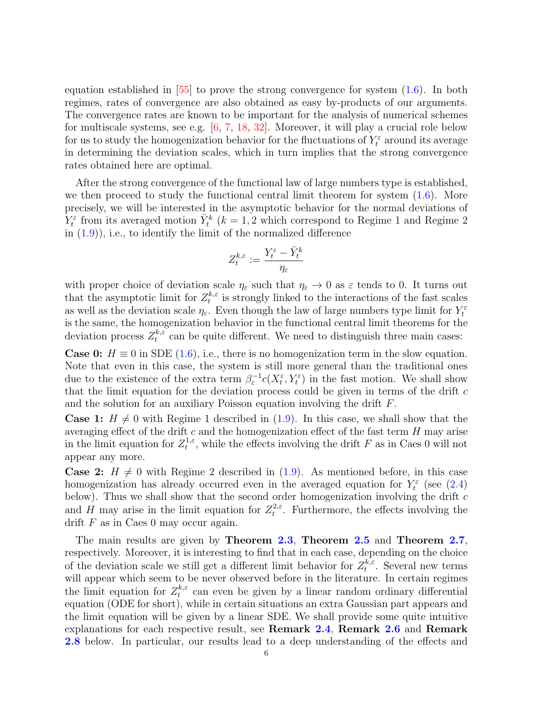equation established in [\[55\]](#page-48-17) to prove the strong convergence for system [\(1.6\)](#page-3-0). In both regimes, rates of convergence are also obtained as easy by-products of our arguments. The convergence rates are known to be important for the analysis of numerical schemes for multiscale systems, see e.g. [\[6,](#page-46-13) [7,](#page-46-14) [18,](#page-47-23) [32\]](#page-47-24). Moreover, it will play a crucial role below for us to study the homogenization behavior for the fluctuations of  $Y_t^{\varepsilon}$  around its average in determining the deviation scales, which in turn implies that the strong convergence rates obtained here are optimal.

After the strong convergence of the functional law of large numbers type is established, we then proceed to study the functional central limit theorem for system  $(1.6)$ . More precisely, we will be interested in the asymptotic behavior for the normal deviations of  $Y_t^{\varepsilon}$  from its averaged motion  $\bar{Y}_t^k$  ( $k = 1, 2$  which correspond to Regime 1 and Regime 2 in  $(1.9)$ , i.e., to identify the limit of the normalized difference

$$
Z^{k,\varepsilon}_t:=\frac{Y^{\varepsilon}_t-\bar{Y}^k_t}{\eta_{\varepsilon}}
$$

with proper choice of deviation scale  $\eta_{\varepsilon}$  such that  $\eta_{\varepsilon} \to 0$  as  $\varepsilon$  tends to 0. It turns out that the asymptotic limit for  $Z_t^{k,\varepsilon}$  $t^{k,\varepsilon}$  is strongly linked to the interactions of the fast scales as well as the deviation scale  $\eta_{\varepsilon}$ . Even though the law of large numbers type limit for  $Y_t^{\varepsilon}$ is the same, the homogenization behavior in the functional central limit theorems for the deviation process  $Z_t^{k,\varepsilon}$  $t^{k,\varepsilon}$  can be quite different. We need to distinguish three main cases:

**Case 0:**  $H \equiv 0$  in SDE [\(1.6\)](#page-3-0), i.e., there is no homogenization term in the slow equation. Note that even in this case, the system is still more general than the traditional ones due to the existence of the extra term  $\beta_{\varepsilon}^{-1}c(X_t^{\varepsilon}, Y_t^{\varepsilon})$  in the fast motion. We shall show that the limit equation for the deviation process could be given in terms of the drift  $c$ and the solution for an auxiliary Poisson equation involving the drift F.

**Case 1:**  $H \neq 0$  with Regime 1 described in [\(1.9\)](#page-4-0). In this case, we shall show that the averaging effect of the drift  $c$  and the homogenization effect of the fast term  $H$  may arise in the limit equation for  $Z_t^{1,\varepsilon}$  $t^{1,\varepsilon}$ , while the effects involving the drift F as in Caes 0 will not appear any more.

**Case 2:**  $H \neq 0$  with Regime 2 described in [\(1.9\)](#page-4-0). As mentioned before, in this case homogenization has already occurred even in the averaged equation for  $Y_t^{\varepsilon}$  (see [\(2.4\)](#page-7-1) below). Thus we shall show that the second order homogenization involving the drift  $c$ and H may arise in the limit equation for  $Z_t^{2,\varepsilon}$ <sup>2, $\varepsilon$ </sup>. Furthermore, the effects involving the drift  $F$  as in Caes 0 may occur again.

The main results are given by Theorem [2.3](#page-9-0), Theorem [2.5](#page-11-1) and Theorem [2.7](#page-13-0), respectively. Moreover, it is interesting to find that in each case, depending on the choice of the deviation scale we still get a different limit behavior for  $Z_t^{k,\varepsilon}$  $t^{k,\varepsilon}$ . Several new terms will appear which seem to be never observed before in the literature. In certain regimes the limit equation for  $Z_t^{k,\varepsilon}$  $t_t^{\kappa,\varepsilon}$  can even be given by a linear random ordinary differential equation (ODE for short), while in certain situations an extra Gaussian part appears and the limit equation will be given by a linear SDE. We shall provide some quite intuitive explanations for each respective result, see Remark [2.4](#page-10-0), Remark [2.6](#page-12-0) and Remark [2.8](#page-14-1) below. In particular, our results lead to a deep understanding of the effects and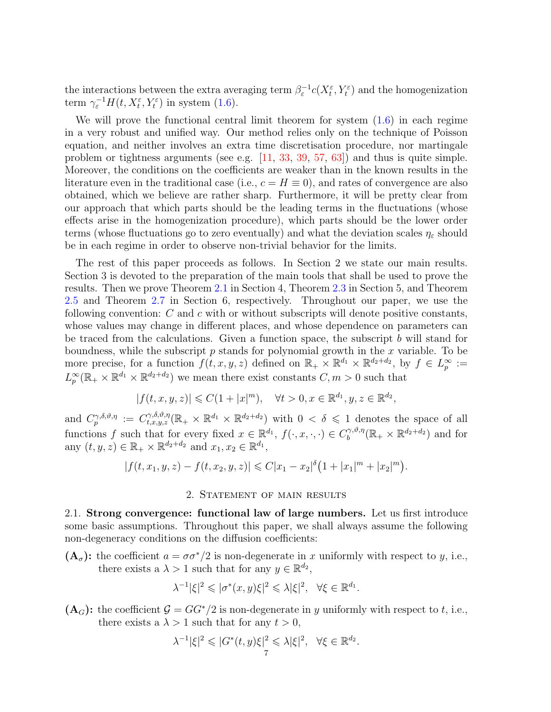the interactions between the extra averaging term  $\beta_{\varepsilon}^{-1}c(X_t^{\varepsilon}, Y_t^{\varepsilon})$  and the homogenization term  $\gamma_{\varepsilon}^{-1}H(t, X_t^{\varepsilon}, Y_t^{\varepsilon})$  in system [\(1.6\)](#page-3-0).

We will prove the functional central limit theorem for system  $(1.6)$  in each regime in a very robust and unified way. Our method relies only on the technique of Poisson equation, and neither involves an extra time discretisation procedure, nor martingale problem or tightness arguments (see e.g. [\[11,](#page-46-7) [33,](#page-47-8) [39,](#page-47-13) [57,](#page-48-8) [63\]](#page-48-4)) and thus is quite simple. Moreover, the conditions on the coefficients are weaker than in the known results in the literature even in the traditional case (i.e.,  $c = H \equiv 0$ ), and rates of convergence are also obtained, which we believe are rather sharp. Furthermore, it will be pretty clear from our approach that which parts should be the leading terms in the fluctuations (whose effects arise in the homogenization procedure), which parts should be the lower order terms (whose fluctuations go to zero eventually) and what the deviation scales  $\eta_{\varepsilon}$  should be in each regime in order to observe non-trivial behavior for the limits.

The rest of this paper proceeds as follows. In Section 2 we state our main results. Section 3 is devoted to the preparation of the main tools that shall be used to prove the results. Then we prove Theorem [2.1](#page-7-0) in Section 4, Theorem [2.3](#page-9-0) in Section 5, and Theorem [2.5](#page-11-1) and Theorem [2.7](#page-13-0) in Section 6, respectively. Throughout our paper, we use the following convention:  $C$  and  $c$  with or without subscripts will denote positive constants, whose values may change in different places, and whose dependence on parameters can be traced from the calculations. Given a function space, the subscript  $b$  will stand for boundness, while the subscript  $p$  stands for polynomial growth in the  $x$  variable. To be more precise, for a function  $f(t, x, y, z)$  defined on  $\mathbb{R}_+ \times \mathbb{R}^{d_1} \times \mathbb{R}^{d_2+d_2}$ , by  $f \in L^\infty_p :=$  $L_p^{\infty}(\mathbb{R}_+ \times \mathbb{R}^{d_1} \times \mathbb{R}^{d_2+d_2})$  we mean there exist constants  $C, m > 0$  such that

$$
|f(t, x, y, z)| \leq C(1+|x|^m), \quad \forall t > 0, x \in \mathbb{R}^{d_1}, y, z \in \mathbb{R}^{d_2},
$$

and  $C_p^{\gamma,\delta,\vartheta,\eta} := C_{t,x,y,z}^{\gamma,\delta,\vartheta,\eta}(\mathbb{R}_+ \times \mathbb{R}^{d_1} \times \mathbb{R}^{d_2+d_2})$  with  $0 < \delta \leq 1$  denotes the space of all functions f such that for every fixed  $x \in \mathbb{R}^{d_1}$ ,  $f(\cdot, x, \cdot, \cdot) \in C_b^{\gamma, \vartheta, \eta}$  $b_0^{\gamma,\vartheta,\eta}(\mathbb{R}_+\times\mathbb{R}^{d_2+d_2})$  and for any  $(t, y, z) \in \mathbb{R}_+ \times \mathbb{R}^{d_2 + d_2}$  and  $x_1, x_2 \in \mathbb{R}^{d_1}$ ,

$$
|f(t, x_1, y, z) - f(t, x_2, y, z)| \leq C|x_1 - x_2|^{\delta} \left(1 + |x_1|^m + |x_2|^m\right).
$$

## 2. Statement of main results

<span id="page-6-1"></span><span id="page-6-0"></span>2.1. Strong convergence: functional law of large numbers. Let us first introduce some basic assumptions. Throughout this paper, we shall always assume the following non-degeneracy conditions on the diffusion coefficients:

 $(A_{\sigma})$ : the coefficient  $a = \sigma \sigma^*/2$  is non-degenerate in x uniformly with respect to y, i.e., there exists a  $\lambda > 1$  such that for any  $y \in \mathbb{R}^{d_2}$ ,

$$
\lambda^{-1}|\xi|^2\leqslant |\sigma^*(x,y)\xi|^2\leqslant \lambda|\xi|^2,\ \ \forall \xi\in\mathbb{R}^{d_1}.
$$

 $(A_G)$ : the coefficient  $G = GG^*/2$  is non-degenerate in y uniformly with respect to t, i.e., there exists a  $\lambda > 1$  such that for any  $t > 0$ ,

$$
\lambda^{-1}|\xi|^2 \leqslant |G^*(t,y)\xi|^2 \leqslant \lambda |\xi|^2, \quad \forall \xi \in \mathbb{R}^{d_2}.
$$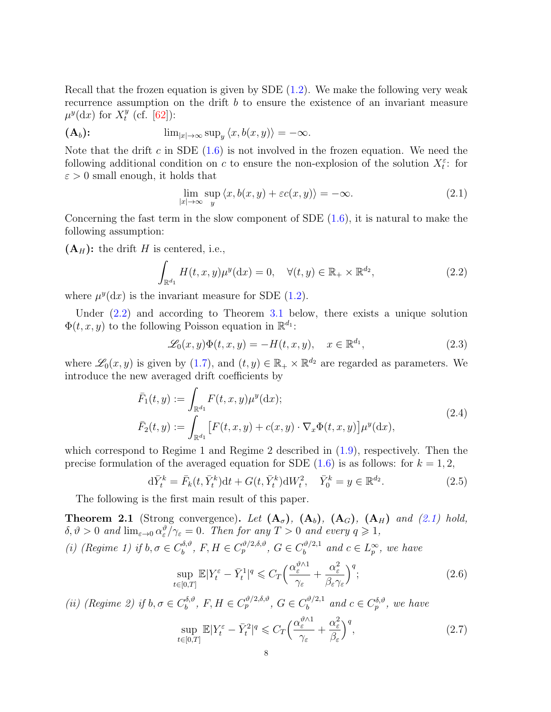Recall that the frozen equation is given by SDE [\(1.2\)](#page-1-2). We make the following very weak recurrence assumption on the drift b to ensure the existence of an invariant measure  $\mu^y(\mathrm{d}x)$  for  $X_t^y$  $t^{y}$  (cf. [\[62\]](#page-48-18)):

$$
(\mathbf{A}_b): \qquad \qquad \lim_{|x|\to\infty} \sup_y \langle x, b(x,y) \rangle = -\infty.
$$

Note that the drift c in SDE  $(1.6)$  is not involved in the frozen equation. We need the following additional condition on c to ensure the non-explosion of the solution  $X_t^{\varepsilon}$ : for  $\varepsilon > 0$  small enough, it holds that

<span id="page-7-3"></span><span id="page-7-2"></span>
$$
\lim_{|x| \to \infty} \sup_{y} \langle x, b(x, y) + \varepsilon c(x, y) \rangle = -\infty.
$$
 (2.1)

Concerning the fast term in the slow component of SDE  $(1.6)$ , it is natural to make the following assumption:

 $(A_H)$ : the drift H is centered, i.e.,

$$
\int_{\mathbb{R}^{d_1}} H(t, x, y) \mu^y(\mathrm{d}x) = 0, \quad \forall (t, y) \in \mathbb{R}_+ \times \mathbb{R}^{d_2},\tag{2.2}
$$

where  $\mu^{y}(\mathrm{d}x)$  is the invariant measure for SDE [\(1.2\)](#page-1-2).

Under [\(2.2\)](#page-7-2) and according to Theorem [3.1](#page-16-1) below, there exists a unique solution  $\Phi(t, x, y)$  to the following Poisson equation in  $\mathbb{R}^{d_1}$ :

<span id="page-7-7"></span><span id="page-7-1"></span>
$$
\mathcal{L}_0(x, y)\Phi(t, x, y) = -H(t, x, y), \quad x \in \mathbb{R}^{d_1},\tag{2.3}
$$

where  $\mathscr{L}_0(x, y)$  is given by [\(1.7\)](#page-3-1), and  $(t, y) \in \mathbb{R}_+ \times \mathbb{R}^{d_2}$  are regarded as parameters. We introduce the new averaged drift coefficients by

$$
\bar{F}_1(t,y) := \int_{\mathbb{R}^{d_1}} F(t,x,y)\mu^y(\mathrm{d}x);
$$
\n
$$
\bar{F}_2(t,y) := \int_{\mathbb{R}^{d_1}} \left[ F(t,x,y) + c(x,y) \cdot \nabla_x \Phi(t,x,y) \right] \mu^y(\mathrm{d}x),
$$
\n(2.4)

which correspond to Regime 1 and Regime 2 described in [\(1.9\)](#page-4-0), respectively. Then the precise formulation of the averaged equation for SDE  $(1.6)$  is as follows: for  $k = 1, 2$ ,

$$
d\bar{Y}_t^k = \bar{F}_k(t, \bar{Y}_t^k)dt + G(t, \bar{Y}_t^k)dW_t^2, \quad \bar{Y}_0^k = y \in \mathbb{R}^{d_2}.
$$
 (2.5)

The following is the first main result of this paper.

<span id="page-7-0"></span>**Theorem 2.1** (Strong convergence). Let  $(A_{\sigma})$ ,  $(A_{b})$ ,  $(A_{G})$ ,  $(A_{H})$  and [\(2.1\)](#page-7-3) hold,  $\delta, \vartheta > 0$  and  $\lim_{\varepsilon \to 0} \alpha_{\varepsilon}^{\vartheta} / \gamma_{\varepsilon} = 0$ . Then for any  $T > 0$  and every  $q \geq 1$ ,

(i) (Regime 1) if  $b, \sigma \in C_b^{\delta, \vartheta}$  $b^{\delta,\vartheta}, F, H \in C_p^{\vartheta/2,\delta,\vartheta}, G \in C_b^{\vartheta/2,1}$  $b^{(\vartheta/2,1)}$  and  $c \in L^\infty_p$ , we have

<span id="page-7-5"></span><span id="page-7-4"></span>
$$
\sup_{t \in [0,T]} \mathbb{E}|Y_t^{\varepsilon} - \bar{Y}_t^1|^q \leqslant C_T \Big( \frac{\alpha_{\varepsilon}^{\vartheta \wedge 1}}{\gamma_{\varepsilon}} + \frac{\alpha_{\varepsilon}^2}{\beta_{\varepsilon} \gamma_{\varepsilon}} \Big)^q; \tag{2.6}
$$

(*ii*) (Regime 2) if  $b, \sigma \in C_b^{\delta, \vartheta}$  $b^{\delta,\vartheta}, F, H \in C_p^{\vartheta/2,\delta,\vartheta}, G \in C_b^{\vartheta/2,1}$  $b_0^{\vartheta/2,1}$  and  $c \in C_p^{\delta,\vartheta}$ , we have

<span id="page-7-6"></span>
$$
\sup_{t \in [0,T]} \mathbb{E}|Y_t^{\varepsilon} - \bar{Y}_t^2|^q \leqslant C_T \Big( \frac{\alpha_{\varepsilon}^{\vartheta \wedge 1}}{\gamma_{\varepsilon}} + \frac{\alpha_{\varepsilon}^2}{\beta_{\varepsilon}} \Big)^q, \tag{2.7}
$$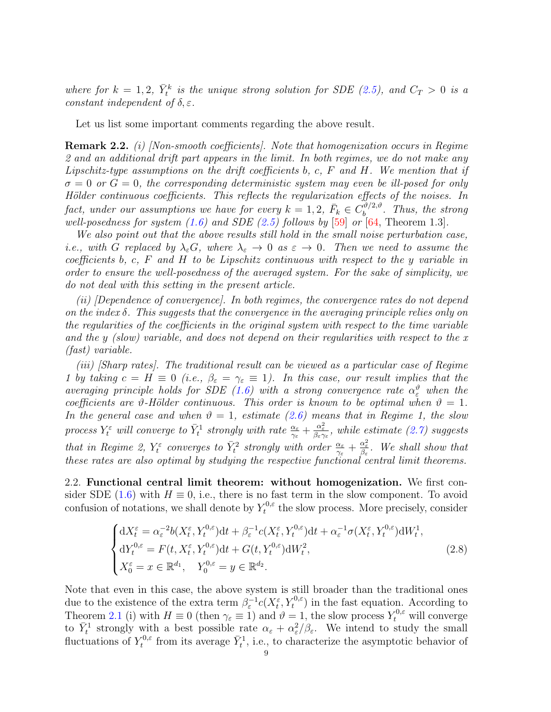where for  $k = 1, 2, \bar{Y}_t^k$  is the unique strong solution for SDE [\(2.5\)](#page-7-4), and  $C_T > 0$  is a constant independent of  $\delta, \varepsilon$ .

Let us list some important comments regarding the above result.

<span id="page-8-1"></span>Remark 2.2. *(i)* [Non-smooth coefficients]. Note that homogenization occurs in Regime 2 and an additional drift part appears in the limit. In both regimes, we do not make any Lipschitz-type assumptions on the drift coefficients b, c,  $F$  and  $H$ . We mention that if  $\sigma = 0$  or  $G = 0$ , the corresponding deterministic system may even be ill-posed for only Hölder continuous coefficients. This reflects the regularization effects of the noises. In fact, under our assumptions we have for every  $k = 1, 2, \ \bar{F}_k \in C_b^{\vartheta/2, \vartheta}$  $b^{(v/2,v)}$ . Thus, the strong well-posedness for system  $(1.6)$  and SDE  $(2.5)$  follows by [\[59\]](#page-48-19) or [\[64,](#page-48-20) Theorem 1.3].

We also point out that the above results still hold in the small noise perturbation case, i.e., with G replaced by  $\lambda_{\varepsilon}G$ , where  $\lambda_{\varepsilon} \to 0$  as  $\varepsilon \to 0$ . Then we need to assume the coefficients b, c,  $F$  and  $H$  to be Lipschitz continuous with respect to the y variable in order to ensure the well-posedness of the averaged system. For the sake of simplicity, we do not deal with this setting in the present article.

(ii) [Dependence of convergence]. In both regimes, the convergence rates do not depend on the index  $\delta$ . This suggests that the convergence in the averaging principle relies only on the regularities of the coefficients in the original system with respect to the time variable and the y (slow) variable, and does not depend on their regularities with respect to the  $x$ (fast) variable.

(iii) [Sharp rates]. The traditional result can be viewed as a particular case of Regime 1 by taking  $c = H \equiv 0$  (i.e.,  $\beta_{\varepsilon} = \gamma_{\varepsilon} \equiv 1$ ). In this case, our result implies that the averaging principle holds for SDE [\(1.6\)](#page-3-0) with a strong convergence rate  $\alpha_{\varepsilon}^{\vartheta}$  when the coefficients are  $\vartheta$ -Hölder continuous. This order is known to be optimal when  $\vartheta = 1$ . In the general case and when  $\vartheta = 1$ , estimate [\(2.6\)](#page-7-5) means that in Regime 1, the slow process  $Y_t^{\varepsilon}$  will converge to  $\bar{Y}_t^1$  strongly with rate  $\frac{\alpha_{\varepsilon}}{\gamma_{\varepsilon}} + \frac{\alpha_{\varepsilon}^2}{\beta_{\varepsilon}\gamma_{\varepsilon}}$ , while estimate [\(2.7\)](#page-7-6) suggests that in Regime 2,  $Y_t^{\varepsilon}$  converges to  $\bar{Y}_t^2$  strongly with order  $\frac{\alpha_{\varepsilon}}{\gamma_{\varepsilon}} + \frac{\alpha_{\varepsilon}^2}{\beta_{\varepsilon}}$ . We shall show that these rates are also optimal by studying the respective functional central limit theorems.

<span id="page-8-0"></span>2.2. Functional central limit theorem: without homogenization. We first con-sider SDE [\(1.6\)](#page-3-0) with  $H \equiv 0$ , i.e., there is no fast term in the slow component. To avoid confusion of notations, we shall denote by  $Y_t^{0,\varepsilon}$  $t_t^{\upsilon,\varepsilon}$  the slow process. More precisely, consider

<span id="page-8-2"></span>
$$
\begin{cases} dX_t^{\varepsilon} = \alpha_{\varepsilon}^{-2} b(X_t^{\varepsilon}, Y_t^{0,\varepsilon}) dt + \beta_{\varepsilon}^{-1} c(X_t^{\varepsilon}, Y_t^{0,\varepsilon}) dt + \alpha_{\varepsilon}^{-1} \sigma(X_t^{\varepsilon}, Y_t^{0,\varepsilon}) dW_t^1, \\ dY_t^{0,\varepsilon} = F(t, X_t^{\varepsilon}, Y_t^{0,\varepsilon}) dt + G(t, Y_t^{0,\varepsilon}) dW_t^2, \\ X_0^{\varepsilon} = x \in \mathbb{R}^{d_1}, \quad Y_0^{0,\varepsilon} = y \in \mathbb{R}^{d_2}. \end{cases} \tag{2.8}
$$

Note that even in this case, the above system is still broader than the traditional ones due to the existence of the extra term  $\beta_{\varepsilon}^{-1}c(X_{t}^{\varepsilon},Y_{t}^{0,\varepsilon})$  in the fast equation. According to Theorem [2.1](#page-7-0) (i) with  $H \equiv 0$  (then  $\gamma_{\varepsilon} \equiv 1$ ) and  $\vartheta = 1$ , the slow process  $Y_t^{0,\varepsilon}$  will converge to  $\bar{Y}_t^1$  strongly with a best possible rate  $\alpha_{\varepsilon} + \alpha_{\varepsilon}^2/\beta_{\varepsilon}$ . We intend to study the small fluctuations of  $Y_t^{0,\varepsilon}$  $\bar{Y}_t^{0,\varepsilon}$  from its average  $\bar{Y}_t^1$ , i.e., to characterize the asymptotic behavior of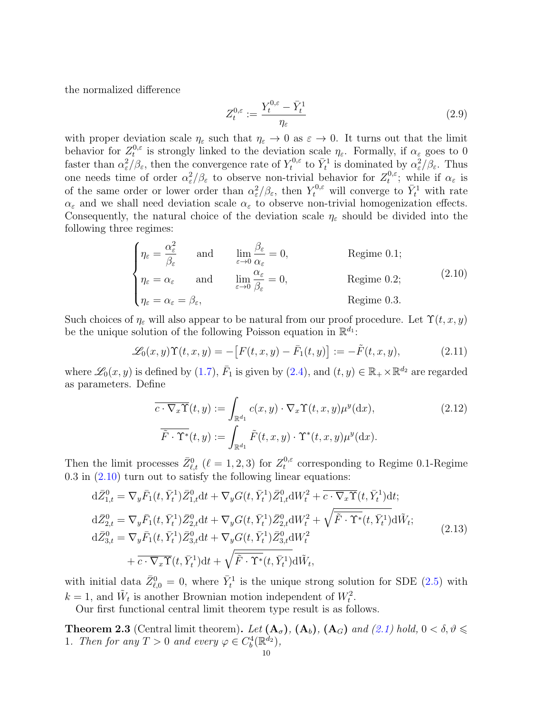the normalized difference

<span id="page-9-5"></span>
$$
Z_t^{0,\varepsilon} := \frac{Y_t^{0,\varepsilon} - \bar{Y}_t^1}{\eta_{\varepsilon}}
$$
\n
$$
(2.9)
$$

with proper deviation scale  $\eta_{\varepsilon}$  such that  $\eta_{\varepsilon} \to 0$  as  $\varepsilon \to 0$ . It turns out that the limit behavior for  $Z_t^{0,\varepsilon}$ <sup>0, $\varepsilon$ </sup> is strongly linked to the deviation scale  $\eta_{\varepsilon}$ . Formally, if  $\alpha_{\varepsilon}$  goes to 0 faster than  $\alpha_{\varepsilon}^2/\beta_{\varepsilon}$ , then the convergence rate of  $Y_t^{0,\varepsilon}$ <sup>t</sup>,<sup>0, $\varepsilon$ </sup> to  $\bar{Y}_t^1$  is dominated by  $\alpha_\varepsilon^2/\beta_\varepsilon$ . Thus one needs time of order  $\alpha_{\varepsilon}^2/\beta_{\varepsilon}$  to observe non-trivial behavior for  $Z_t^{0,\varepsilon}$  $t^{0,\varepsilon}$ ; while if  $\alpha_{\varepsilon}$  is of the same order or lower order than  $\alpha_{\varepsilon}^2/\beta_{\varepsilon}$ , then  $Y_t^{0,\varepsilon}$  will converge to  $\bar{Y}_t^1$  with rate  $\alpha_{\varepsilon}$  and we shall need deviation scale  $\alpha_{\varepsilon}$  to observe non-trivial homogenization effects. Consequently, the natural choice of the deviation scale  $\eta_{\varepsilon}$  should be divided into the following three regimes:

<span id="page-9-1"></span>
$$
\begin{cases}\n\eta_{\varepsilon} = \frac{\alpha_{\varepsilon}^{2}}{\beta_{\varepsilon}} & \text{and} \qquad \lim_{\varepsilon \to 0} \frac{\beta_{\varepsilon}}{\alpha_{\varepsilon}} = 0, & \text{Regime 0.1;} \\
\eta_{\varepsilon} = \alpha_{\varepsilon} & \text{and} \qquad \lim_{\varepsilon \to 0} \frac{\alpha_{\varepsilon}}{\beta_{\varepsilon}} = 0, & \text{Regime 0.2;} \\
\eta_{\varepsilon} = \alpha_{\varepsilon} = \beta_{\varepsilon}, & \text{Regime 0.3.} \n\end{cases}
$$
\n(2.10)

Such choices of  $\eta_{\varepsilon}$  will also appear to be natural from our proof procedure. Let  $\Upsilon(t, x, y)$ be the unique solution of the following Poisson equation in  $\mathbb{R}^{d_1}$ :

$$
\mathcal{L}_0(x, y) \Upsilon(t, x, y) = -[F(t, x, y) - \bar{F}_1(t, y)] := -\tilde{F}(t, x, y), \qquad (2.11)
$$

where  $\mathscr{L}_0(x, y)$  is defined by [\(1.7\)](#page-3-1),  $\bar{F}_1$  is given by [\(2.4\)](#page-7-1), and  $(t, y) \in \mathbb{R}_+ \times \mathbb{R}^{d_2}$  are regarded as parameters. Define

<span id="page-9-4"></span><span id="page-9-3"></span><span id="page-9-2"></span>
$$
\overline{c \cdot \nabla_x \Upsilon}(t, y) := \int_{\mathbb{R}^{d_1}} c(x, y) \cdot \nabla_x \Upsilon(t, x, y) \mu^y(\mathrm{d}x),
$$
\n
$$
\overline{\tilde{F} \cdot \Upsilon^*}(t, y) := \int_{\mathbb{R}^{d_1}} \tilde{F}(t, x, y) \cdot \Upsilon^*(t, x, y) \mu^y(\mathrm{d}x).
$$
\n(2.12)

Then the limit processes  $\bar{Z}_{\ell,t}^0$  ( $\ell = 1, 2, 3$ ) for  $Z_t^{0,\varepsilon}$  $t_t^{0,\varepsilon}$  corresponding to Regime 0.1-Regime 0.3 in [\(2.10\)](#page-9-1) turn out to satisfy the following linear equations:

$$
d\bar{Z}_{1,t}^{0} = \nabla_{y}\bar{F}_{1}(t,\bar{Y}_{t}^{1})\bar{Z}_{1,t}^{0}dt + \nabla_{y}G(t,\bar{Y}_{t}^{1})\bar{Z}_{1,t}^{0}dW_{t}^{2} + \overline{c \cdot \nabla_{x}\Upsilon}(t,\bar{Y}_{t}^{1})dt; d\bar{Z}_{2,t}^{0} = \nabla_{y}\bar{F}_{1}(t,\bar{Y}_{t}^{1})\bar{Z}_{2,t}^{0}dt + \nabla_{y}G(t,\bar{Y}_{t}^{1})\bar{Z}_{2,t}^{0}dW_{t}^{2} + \sqrt{\overline{\tilde{F} \cdot \Upsilon^{*}}(t,\bar{Y}_{t}^{1})}d\tilde{W}_{t}; d\bar{Z}_{3,t}^{0} = \nabla_{y}\bar{F}_{1}(t,\bar{Y}_{t}^{1})\bar{Z}_{3,t}^{0}dt + \nabla_{y}G(t,\bar{Y}_{t}^{1})\bar{Z}_{3,t}^{0}dW_{t}^{2} + \overline{c \cdot \nabla_{x}\Upsilon}(t,\bar{Y}_{t}^{1})dt + \sqrt{\overline{\tilde{F} \cdot \Upsilon^{*}}(t,\bar{Y}_{t}^{1})}d\tilde{W}_{t},
$$
\n(2.13)

with initial data  $\bar{Z}_{\ell,0}^0 = 0$ , where  $\bar{Y}_t^1$  is the unique strong solution for SDE [\(2.5\)](#page-7-4) with  $k = 1$ , and  $\tilde{W}_t$  is another Brownian motion independent of  $W_t^2$ .

Our first functional central limit theorem type result is as follows.

<span id="page-9-0"></span>**Theorem 2.3** (Central limit theorem). Let  $(A_{\sigma})$ ,  $(A_{b})$ ,  $(A_{G})$  and  $(2.1)$  hold,  $0 < \delta, \vartheta \leq$ 1. Then for any  $T > 0$  and every  $\varphi \in C_b^4(\mathbb{R}^{d_2}),$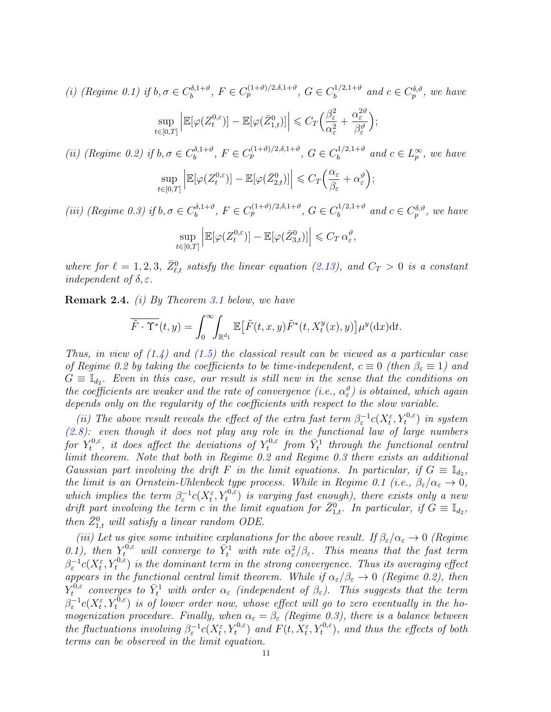(i) (Regime 0.1) if 
$$
b, \sigma \in C_b^{\delta, 1+\vartheta}
$$
,  $F \in C_p^{(1+\vartheta)/2, \delta, 1+\vartheta}$ ,  $G \in C_b^{1/2, 1+\vartheta}$  and  $c \in C_p^{\delta, \vartheta}$ , we have  
\n
$$
\sup_{t \in [0,T]} \left| \mathbb{E}[\varphi(Z_t^{0,\varepsilon})] - \mathbb{E}[\varphi(\bar{Z}_{1,t}^0)] \right| \leq C_T \Big( \frac{\beta_{\varepsilon}^2}{\alpha_{\varepsilon}^2} + \frac{\alpha_{\varepsilon}^{2\vartheta}}{\beta_{\varepsilon}^{\vartheta}} \Big);
$$

(*ii*) (Regime 0.2) if  $b, \sigma \in C_b^{\delta, 1+\vartheta}$  $b_b^{\delta,1+\vartheta}, F \in C_p^{(1+\vartheta)/2,\delta,1+\vartheta}, G \in C_b^{1/2,1+\vartheta}$  $b^{(1/2,1+\vartheta)}$  and  $c \in L^\infty_p$ , we have

$$
\sup_{t\in[0,T]}\left|\mathbb{E}[\varphi(Z_t^{0,\varepsilon})] - \mathbb{E}[\varphi(\bar{Z}_{2,t}^0)]\right| \leqslant C_T \Big(\frac{\alpha_{\varepsilon}}{\beta_{\varepsilon}} + \alpha_{\varepsilon}^{\vartheta}\Big);
$$

(iii) (Regime 0.3) if  $b, \sigma \in C_b^{\delta, 1+\vartheta}$  $b_b^{\delta,1+\vartheta}, F \in C_p^{(1+\vartheta)/2,\delta,1+\vartheta}, G \in C_b^{1/2,1+\vartheta}$  $b^{(1/2,1+\vartheta)}$  and  $c \in C_p^{\delta,\vartheta}$ , we have

$$
\sup_{t\in[0,T]}\left|\mathbb{E}[\varphi(Z_t^{0,\varepsilon})] - \mathbb{E}[\varphi(\bar{Z}_{3,t}^0)]\right| \leqslant C_T \,\alpha_{\varepsilon}^{\vartheta},
$$

where for  $\ell = 1, 2, 3, \bar{Z}_{\ell,t}^0$  satisfy the linear equation [\(2.13\)](#page-9-2), and  $C_T > 0$  is a constant independent of  $\delta, \varepsilon$ .

<span id="page-10-0"></span>Remark 2.4. (i) By Theorem [3.1](#page-16-1) below, we have

$$
\overline{\tilde{F} \cdot \Upsilon^*}(t, y) = \int_0^\infty \!\!\int_{\mathbb{R}^{d_1}} \mathbb{E} \big[ \tilde{F}(t, x, y) \tilde{F}^*(t, X_t^y(x), y) \big] \mu^y(\mathrm{d}x) \mathrm{d}t.
$$

Thus, in view of  $(1.4)$  and  $(1.5)$  the classical result can be viewed as a particular case of Regime 0.2 by taking the coefficients to be time-independent,  $c \equiv 0$  (then  $\beta_{\varepsilon} \equiv 1$ ) and  $G \equiv \mathbb{I}_{d_2}$ . Even in this case, our result is still new in the sense that the conditions on the coefficients are weaker and the rate of convergence (i.e.,  $\alpha_{\varepsilon}^{\vartheta}$ ) is obtained, which again depends only on the regularity of the coefficients with respect to the slow variable.

(ii) The above result reveals the effect of the extra fast term  $\beta_{\varepsilon}^{-1}c(X_{t}^{\varepsilon},Y_{t}^{0,\varepsilon})$  in system  $(2.8)$ : even though it does not play any role in the functional law of large numbers for  $Y_t^{0,\varepsilon}$  $t^{0,\varepsilon}_{t}, \, \, \textit{it does affect the deviations of} \, \, Y_{t}^{0,\varepsilon}_{t}$  $\bar{Y}_t^{0,\varepsilon}$  from  $\bar{Y}_t^1$  through the functional central limit theorem. Note that both in Regime 0.2 and Regime 0.3 there exists an additional Gaussian part involving the drift F in the limit equations. In particular, if  $G \equiv \mathbb{I}_{d_2}$ , the limit is an Ornstein-Uhlenbeck type process. While in Regime 0.1 (i.e.,  $\beta_{\varepsilon}/\alpha_{\varepsilon} \to 0$ , which implies the term  $\beta_{\varepsilon}^{-1}c(X_{t}^{\varepsilon},Y_{t}^{0,\varepsilon})$  is varying fast enough), there exists only a new drift part involving the term c in the limit equation for  $\bar{Z}_{1,t}^0$ . In particular, if  $\tilde{G} \equiv \mathbb{I}_{d_2}$ , then  $\bar{Z}_{1,t}^0$  will satisfy a linear random ODE.

(iii) Let us give some intuitive explanations for the above result. If  $\beta_{\varepsilon}/\alpha_{\varepsilon} \to 0$  (Regime 0.1), then  $Y_t^{0,\varepsilon}$  will converge to  $\bar{Y}_t^1$  with rate  $\alpha_{\varepsilon}^2/\beta_{\varepsilon}$ . This means that the fast term  $\beta_{\varepsilon}^{-1}c(X_{t}^{\varepsilon},Y_{t}^{0,\varepsilon})$  is the dominant term in the strong convergence. Thus its averaging effect appears in the functional central limit theorem. While if  $\alpha_{\varepsilon}/\beta_{\varepsilon} \to 0$  (Regime 0.2), then  $Y_t^{0,\varepsilon}$  $\bar{t}_t^{\overline{0},\varepsilon}$  converges to  $\bar{Y}_t^1$  with order  $\alpha_\varepsilon$  (independent of  $\beta_\varepsilon$ ). This suggests that the term  $\beta_{\varepsilon}^{-1}c(X_{t}^{\varepsilon},Y_{t}^{0,\varepsilon})$  is of lower order now, whose effect will go to zero eventually in the homogenization procedure. Finally, when  $\alpha_{\varepsilon} = \beta_{\varepsilon}$  (Regime 0.3), there is a balance between the fluctuations involving  $\beta_{\varepsilon}^{-1}c(X_{t}^{\varepsilon},Y_{t}^{0,\varepsilon})$  and  $F(t,X_{t}^{\varepsilon},Y_{t}^{0,\varepsilon})$ , and thus the effects of both terms can be observed in the limit equation.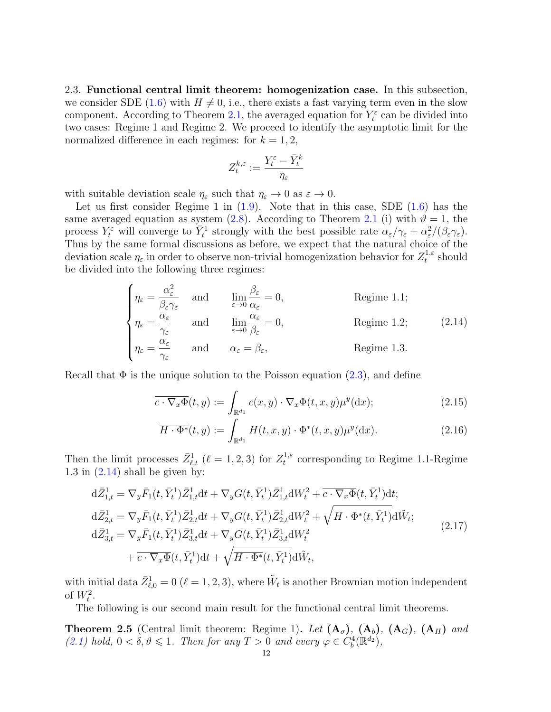<span id="page-11-0"></span>2.3. Functional central limit theorem: homogenization case. In this subsection, we consider SDE [\(1.6\)](#page-3-0) with  $H \neq 0$ , i.e., there exists a fast varying term even in the slow component. According to Theorem [2.1,](#page-7-0) the averaged equation for  $Y_t^{\varepsilon}$  can be divided into two cases: Regime 1 and Regime 2. We proceed to identify the asymptotic limit for the normalized difference in each regimes: for  $k = 1, 2$ ,

$$
Z_t^{k,\varepsilon} := \frac{Y_t^{\varepsilon} - \bar{Y}_t^k}{\eta_{\varepsilon}}
$$

with suitable deviation scale  $\eta_{\varepsilon}$  such that  $\eta_{\varepsilon} \to 0$  as  $\varepsilon \to 0$ .

Let us first consider Regime 1 in  $(1.9)$ . Note that in this case, SDE  $(1.6)$  has the same averaged equation as system [\(2.8\)](#page-8-2). According to Theorem [2.1](#page-7-0) (i) with  $\vartheta = 1$ , the process  $Y_t^{\varepsilon}$  will converge to  $\overline{Y}_t^1$  strongly with the best possible rate  $\alpha_{\varepsilon}/\gamma_{\varepsilon} + \alpha_{\varepsilon}^2/(\beta_{\varepsilon}\gamma_{\varepsilon}).$ Thus by the same formal discussions as before, we expect that the natural choice of the deviation scale  $\eta_{\varepsilon}$  in order to observe non-trivial homogenization behavior for  $Z_t^{1,\varepsilon}$  $t^{1,\varepsilon}$  should be divided into the following three regimes:

<span id="page-11-2"></span>
$$
\begin{cases}\n\eta_{\varepsilon} = \frac{\alpha_{\varepsilon}^{2}}{\beta_{\varepsilon}\gamma_{\varepsilon}} & \text{and} & \lim_{\varepsilon \to 0} \frac{\beta_{\varepsilon}}{\alpha_{\varepsilon}} = 0, \\
\eta_{\varepsilon} = \frac{\alpha_{\varepsilon}}{\gamma_{\varepsilon}} & \text{and} & \lim_{\varepsilon \to 0} \frac{\alpha_{\varepsilon}}{\beta_{\varepsilon}} = 0, \\
\eta_{\varepsilon} = \frac{\alpha_{\varepsilon}}{\gamma_{\varepsilon}} & \text{and} & \alpha_{\varepsilon} = \beta_{\varepsilon}, \\
\end{cases}
$$
\nRegime 1.2; (2.14)

Recall that  $\Phi$  is the unique solution to the Poisson equation [\(2.3\)](#page-7-7), and define

$$
\overline{c \cdot \nabla_x \Phi}(t, y) := \int_{\mathbb{R}^{d_1}} c(x, y) \cdot \nabla_x \Phi(t, x, y) \mu^y(\mathrm{d}x); \tag{2.15}
$$

<span id="page-11-5"></span><span id="page-11-4"></span><span id="page-11-3"></span>
$$
\overline{H \cdot \Phi^*}(t, y) := \int_{\mathbb{R}^{d_1}} H(t, x, y) \cdot \Phi^*(t, x, y) \mu^y(\mathrm{d}x). \tag{2.16}
$$

Then the limit processes  $\bar{Z}_{\ell,t}^1$  ( $\ell = 1, 2, 3$ ) for  $Z_t^{1,\varepsilon}$  $t_t^{1,\varepsilon}$  corresponding to Regime 1.1-Regime 1.3 in  $(2.14)$  shall be given by:

$$
d\bar{Z}_{1,t}^{1} = \nabla_{y}\bar{F}_{1}(t,\bar{Y}_{t}^{1})\bar{Z}_{1,t}^{1}dt + \nabla_{y}G(t,\bar{Y}_{t}^{1})\bar{Z}_{1,t}^{1}dW_{t}^{2} + \overline{c \cdot \nabla_{x}\Phi}(t,\bar{Y}_{t}^{1})dt; d\bar{Z}_{2,t}^{1} = \nabla_{y}\bar{F}_{1}(t,\bar{Y}_{t}^{1})\bar{Z}_{2,t}^{1}dt + \nabla_{y}G(t,\bar{Y}_{t}^{1})\bar{Z}_{2,t}^{1}dW_{t}^{2} + \sqrt{\overline{H \cdot \Phi^{*}}(t,\bar{Y}_{t}^{1})}d\tilde{W}_{t}; d\bar{Z}_{3,t}^{1} = \nabla_{y}\bar{F}_{1}(t,\bar{Y}_{t}^{1})\bar{Z}_{3,t}^{1}dt + \nabla_{y}G(t,\bar{Y}_{t}^{1})\bar{Z}_{3,t}^{1}dW_{t}^{2} + \overline{c \cdot \nabla_{x}\Phi}(t,\bar{Y}_{t}^{1})dt + \sqrt{\overline{H \cdot \Phi^{*}}(t,\bar{Y}_{t}^{1})}d\tilde{W}_{t},
$$
\n(2.17)

with initial data  $\bar{Z}_{\ell,0}^1 = 0$   $(\ell = 1, 2, 3)$ , where  $\tilde{W}_t$  is another Brownian motion independent of  $W_t^2$ .

The following is our second main result for the functional central limit theorems.

<span id="page-11-1"></span>**Theorem 2.5** (Central limit theorem: Regime 1). Let  $(A_{\sigma})$ ,  $(A_{b})$ ,  $(A_{G})$ ,  $(A_{H})$  and [\(2.1\)](#page-7-3) hold,  $0 < \delta, \vartheta \leq 1$ . Then for any  $T > 0$  and every  $\varphi \in C_b^4(\mathbb{R}^{d_2})$ ,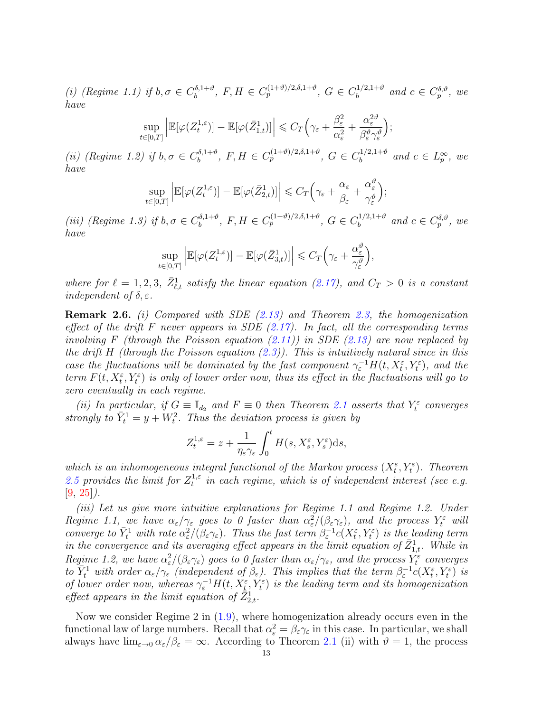(i) (Regime 1.1) if  $b, \sigma \in C_b^{\delta, 1+\vartheta}$  $b_b^{\delta,1+\vartheta}, F, H \in C_p^{(1+\vartheta)/2,\delta,1+\vartheta}, G \in C_b^{1/2,1+\vartheta}$  $\delta_b^{(1/2,1+\vartheta)}$  and  $c \in C_p^{\delta,\vartheta}$ , we have

$$
\sup_{t\in[0,T]}\left|\mathbb{E}[\varphi(Z_t^{1,\varepsilon})] - \mathbb{E}[\varphi(\bar{Z}_{1,t}^1)]\right| \leqslant C_T\Big(\gamma_{\varepsilon} + \frac{\beta_{\varepsilon}^2}{\alpha_{\varepsilon}^2} + \frac{\alpha_{\varepsilon}^{2\vartheta}}{\beta_{\varepsilon}^{\vartheta}\gamma_{\varepsilon}^{\vartheta}}\Big);
$$

(ii) (Regime 1.2) if  $b, \sigma \in C_b^{\delta, 1+\vartheta}$  $b_b^{\delta,1+\vartheta}, F, H \in C_p^{(1+\vartheta)/2,\delta,1+\vartheta}, G \in C_b^{1/2,1+\vartheta}$  $\int_b^{1/2,1+\vartheta}$  and  $c \in L_p^{\infty}$ , we have

$$
\sup_{t\in[0,T]}\left|\mathbb{E}[\varphi(Z_t^{1,\varepsilon})] - \mathbb{E}[\varphi(\bar{Z}_{2,t}^1)]\right| \leqslant C_T\Big(\gamma_{\varepsilon} + \frac{\alpha_{\varepsilon}}{\beta_{\varepsilon}} + \frac{\alpha_{\varepsilon}^{\vartheta}}{\gamma_{\varepsilon}^{\vartheta}}\Big);
$$

(iii) (Regime 1.3) if  $b, \sigma \in C_b^{\delta, 1+\vartheta}$  $b_b^{\delta,1+\vartheta}, F, H \in C_p^{(1+\vartheta)/2,\delta,1+\vartheta}, G \in C_b^{1/2,1+\vartheta}$  $b^{(1/2,1+\vartheta)}$  and  $c \in C_p^{\delta,\vartheta}$ , we have

$$
\sup_{t\in[0,T]}\left|\mathbb{E}[\varphi(Z_t^{1,\varepsilon})] - \mathbb{E}[\varphi(\bar{Z}_{3,t}^1)]\right| \leqslant C_T\Big(\gamma_{\varepsilon} + \frac{\alpha_{\varepsilon}^{\vartheta}}{\gamma_{\varepsilon}^{\vartheta}}\Big),
$$

where for  $\ell = 1, 2, 3, \bar{Z}_{\ell,t}^1$  satisfy the linear equation [\(2.17\)](#page-11-3), and  $C_T > 0$  is a constant independent of  $\delta, \varepsilon$ .

<span id="page-12-0"></span>Remark 2.6. (i) Compared with SDE [\(2.13\)](#page-9-2) and Theorem [2.3,](#page-9-0) the homogenization effect of the drift F never appears in SDE  $(2.17)$ . In fact, all the corresponding terms involving F (through the Poisson equation  $(2.11)$ ) in SDE  $(2.13)$  are now replaced by the drift H (through the Poisson equation  $(2.3)$ ). This is intuitively natural since in this case the fluctuations will be dominated by the fast component  $\gamma_{\varepsilon}^{-1}H(t, X_t^{\varepsilon}, Y_t^{\varepsilon})$ , and the term  $F(t, X_t^{\varepsilon}, Y_t^{\varepsilon})$  is only of lower order now, thus its effect in the fluctuations will go to zero eventually in each regime.

(ii) In particular, if  $G \equiv \mathbb{I}_{d_2}$  and  $F \equiv 0$  then Theorem [2.1](#page-7-0) asserts that  $Y_t^{\varepsilon}$  converges strongly to  $\bar{Y}_t^1 = y + W_t^2$ . Thus the deviation process is given by

$$
Z_t^{1,\varepsilon} = z + \frac{1}{\eta_\varepsilon \gamma_\varepsilon} \int_0^t H(s,X_s^\varepsilon,Y_s^\varepsilon) \mathrm{d} s,
$$

which is an inhomogeneous integral functional of the Markov process  $(X_t^{\varepsilon}, Y_t^{\varepsilon})$ . Theorem [2.5](#page-11-1) provides the limit for  $Z_t^{1,\varepsilon}$  $t_t^{1,\varepsilon}$  in each regime, which is of independent interest (see e.g.  $[9, 25]$  $[9, 25]$  $[9, 25]$ .

(iii) Let us give more intuitive explanations for Regime 1.1 and Regime 1.2. Under Regime 1.1, we have  $\alpha_{\varepsilon}/\gamma_{\varepsilon}$  goes to 0 faster than  $\alpha_{\varepsilon}^2/(\beta_{\varepsilon}\gamma_{\varepsilon})$ , and the process  $Y_t^{\varepsilon}$  will converge to  $\bar{Y}_t^1$  with rate  $\alpha_\varepsilon^2/(\beta_\varepsilon\gamma_\varepsilon)$ . Thus the fast term  $\beta_\varepsilon^{-1}c(X_t^\varepsilon, Y_t^\varepsilon)$  is the leading term in the convergence and its averaging effect appears in the limit equation of  $\bar{Z}_{1,t}^1$ . While in Regime 1.2, we have  $\alpha_\varepsilon^2/(\beta_\varepsilon \gamma_\varepsilon)$  goes to 0 faster than  $\alpha_\varepsilon/\gamma_\varepsilon$ , and the process  $Y_t^\varepsilon$  converges to  $\overline{Y}_t^1$  with order  $\alpha_{\varepsilon}/\gamma_{\varepsilon}$  (independent of  $\beta_{\varepsilon}$ ). This implies that the term  $\beta_{\varepsilon}^{-1}c(X_t^{\varepsilon},Y_t^{\varepsilon})$  is of lower order now, whereas  $\gamma_{\varepsilon}^{-1}H(t, X_{t}^{\varepsilon}, Y_{t}^{\varepsilon})$  is the leading term and its homogenization effect appears in the limit equation of  $\mathbb{Z}_{2,t}^1$ .

Now we consider Regime 2 in [\(1.9\)](#page-4-0), where homogenization already occurs even in the functional law of large numbers. Recall that  $\alpha_{\varepsilon}^2 = \beta_{\varepsilon} \gamma_{\varepsilon}$  in this case. In particular, we shall always have  $\lim_{\varepsilon\to 0} \alpha_{\varepsilon}/\beta_{\varepsilon} = \infty$ . According to Theorem [2.1](#page-7-0) (ii) with  $\vartheta = 1$ , the process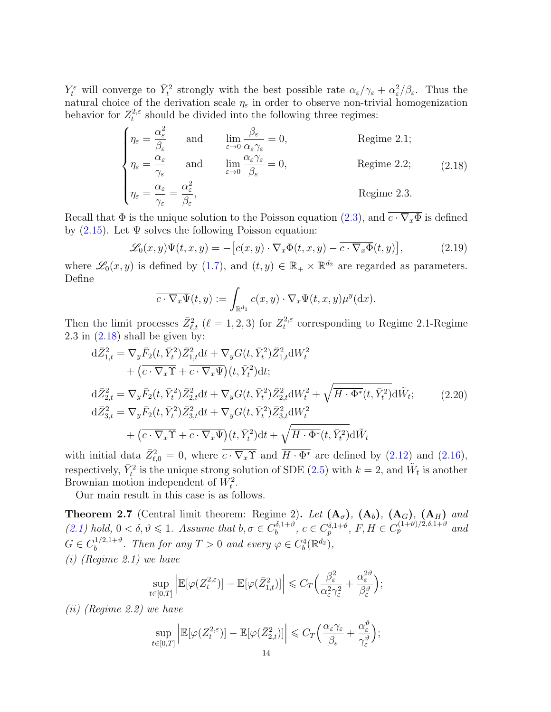$Y_t^{\varepsilon}$  will converge to  $\bar{Y}_t^2$  strongly with the best possible rate  $\alpha_{\varepsilon}/\gamma_{\varepsilon} + \alpha_{\varepsilon}^2/\beta_{\varepsilon}$ . Thus the natural choice of the derivation scale  $\eta_{\varepsilon}$  in order to observe non-trivial homogenization behavior for  $Z_t^{2,\varepsilon}$  $t_t^{2,\varepsilon}$  should be divided into the following three regimes:

<span id="page-13-1"></span>
$$
\begin{cases}\n\eta_{\varepsilon} = \frac{\alpha_{\varepsilon}^{2}}{\beta_{\varepsilon}} & \text{and} \qquad \lim_{\varepsilon \to 0} \frac{\beta_{\varepsilon}}{\alpha_{\varepsilon} \gamma_{\varepsilon}} = 0, & \text{Regime 2.1;} \\
\eta_{\varepsilon} = \frac{\alpha_{\varepsilon}}{\gamma_{\varepsilon}} & \text{and} \qquad \lim_{\varepsilon \to 0} \frac{\alpha_{\varepsilon} \gamma_{\varepsilon}}{\beta_{\varepsilon}} = 0, & \text{Regime 2.2;} \\
\eta_{\varepsilon} = \frac{\alpha_{\varepsilon}}{\gamma_{\varepsilon}} = \frac{\alpha_{\varepsilon}^{2}}{\beta_{\varepsilon}}, & \text{Regime 2.3.} \n\end{cases}
$$
\n(2.18)

Recall that  $\Phi$  is the unique solution to the Poisson equation [\(2.3\)](#page-7-7), and  $\overline{c \cdot \nabla_x \Phi}$  is defined by  $(2.15)$ . Let  $\Psi$  solves the following Poisson equation:

$$
\mathscr{L}_0(x,y)\Psi(t,x,y) = -\left[c(x,y)\cdot\nabla_x\Phi(t,x,y) - \overline{c\cdot\nabla_x\Phi}(t,y)\right],\tag{2.19}
$$

where  $\mathscr{L}_0(x, y)$  is defined by [\(1.7\)](#page-3-1), and  $(t, y) \in \mathbb{R}_+ \times \mathbb{R}^{d_2}$  are regarded as parameters. Define

<span id="page-13-3"></span>
$$
\overline{c \cdot \nabla_x \Psi}(t, y) := \int_{\mathbb{R}^{d_1}} c(x, y) \cdot \nabla_x \Psi(t, x, y) \mu^y(\mathrm{d}x).
$$

Then the limit processes  $\bar{Z}_{\ell,t}^2$  ( $\ell = 1, 2, 3$ ) for  $Z_t^{2,\varepsilon}$  $t_t^{2,\varepsilon}$  corresponding to Regime 2.1-Regime  $2.3$  in  $(2.18)$  shall be given by:

$$
d\bar{Z}_{1,t}^{2} = \nabla_{y}\bar{F}_{2}(t,\bar{Y}_{t}^{2})\bar{Z}_{1,t}^{2}dt + \nabla_{y}G(t,\bar{Y}_{t}^{2})\bar{Z}_{1,t}^{2}dW_{t}^{2} + (\bar{c}\cdot\nabla_{x}\Upsilon + \bar{c}\cdot\nabla_{x}\Psi)(t,\bar{Y}_{t}^{2})dt; d\bar{Z}_{2,t}^{2} = \nabla_{y}\bar{F}_{2}(t,\bar{Y}_{t}^{2})\bar{Z}_{2,t}^{2}dt + \nabla_{y}G(t,\bar{Y}_{t}^{2})\bar{Z}_{2,t}^{2}dW_{t}^{2} + \sqrt{\overline{H}\cdot\Phi^{*}(t,\bar{Y}_{t}^{2})}d\tilde{W}_{t}; \qquad (2.20) d\bar{Z}_{3,t}^{2} = \nabla_{y}\bar{F}_{2}(t,\bar{Y}_{t}^{2})\bar{Z}_{3,t}^{2}dt + \nabla_{y}G(t,\bar{Y}_{t}^{2})\bar{Z}_{3,t}^{2}dW_{t}^{2} + (\bar{c}\cdot\nabla_{x}\Upsilon + \bar{c}\cdot\nabla_{x}\Psi)(t,\bar{Y}_{t}^{2})dt + \sqrt{\overline{H}\cdot\Phi^{*}(t,\bar{Y}_{t}^{2})}d\tilde{W}_{t}
$$

with initial data  $\bar{Z}_{\ell,0}^2 = 0$ , where  $\bar{c} \cdot \nabla_x \Upsilon$  and  $\bar{H} \cdot \Phi^*$  are defined by [\(2.12\)](#page-9-4) and [\(2.16\)](#page-11-5), respectively,  $\bar{Y}_t^2$  is the unique strong solution of SDE [\(2.5\)](#page-7-4) with  $k = 2$ , and  $\tilde{W}_t$  is another Brownian motion independent of  $W_t^2$ .

Our main result in this case is as follows.

<span id="page-13-0"></span>**Theorem 2.7** (Central limit theorem: Regime 2). Let  $(A_{\sigma})$ ,  $(A_b)$ ,  $(A_G)$ ,  $(A_H)$  and  $(2.1)$  hold,  $0 < \delta, \vartheta \leq 1$ . Assume that  $b, \sigma \in C_b^{\delta, 1+\vartheta}$  $b_b^{\delta,1+\vartheta}, c \in C_p^{\delta,1+\vartheta}, F, H \in C_p^{(1+\vartheta)/2,\delta,1+\vartheta}$  and  $G \in C_b^{1/2,1+\vartheta}$  $b^{1/2,1+\vartheta}$ . Then for any  $T > 0$  and every  $\varphi \in C_b^4(\mathbb{R}^{d_2}),$ (i) (Regime 2.1) we have

$$
\sup_{t\in[0,T]}\left|\mathbb{E}[\varphi(Z_t^{2,\varepsilon})] - \mathbb{E}[\varphi(\bar{Z}_{1,t}^2)]\right| \leqslant C_T \Big(\frac{\beta_{\varepsilon}^2}{\alpha_{\varepsilon}^2 \gamma_{\varepsilon}^2} + \frac{\alpha_{\varepsilon}^{2\vartheta}}{\beta_{\varepsilon}^{\vartheta}}\Big);
$$

(ii) (Regime 2.2) we have

$$
\sup_{t\in[0,T]}\left|\mathbb{E}[\varphi(Z_t^{2,\varepsilon})] - \mathbb{E}[\varphi(\bar{Z}_{2,t}^2)]\right| \leqslant C_T \Big(\frac{\alpha_{\varepsilon}\gamma_{\varepsilon}}{\beta_{\varepsilon}} + \frac{\alpha_{\varepsilon}^{\vartheta}}{\gamma_{\varepsilon}^{\vartheta}}\Big);
$$

<span id="page-13-2"></span><sub>o</sub>q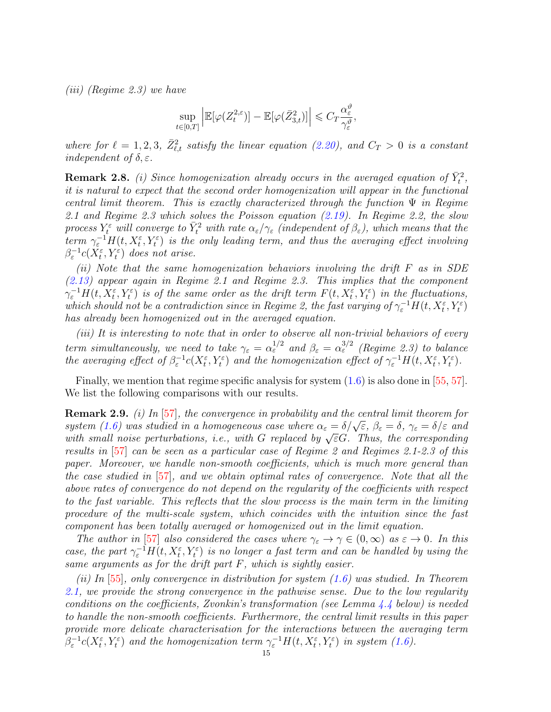(iii) (Regime 2.3) we have

$$
\sup_{t \in [0,T]} \left| \mathbb{E}[\varphi(Z_t^{2,\varepsilon})] - \mathbb{E}[\varphi(\bar{Z}_{3,t}^2)] \right| \leqslant C_T \frac{\alpha_{\varepsilon}^{\vartheta}}{\gamma_{\varepsilon}^{\vartheta}},
$$

where for  $\ell = 1, 2, 3, \bar{Z}_{\ell,t}^2$  satisfy the linear equation [\(2.20\)](#page-13-2), and  $C_T > 0$  is a constant independent of  $\delta, \varepsilon$ .

<span id="page-14-1"></span>**Remark 2.8.** (i) Since homogenization already occurs in the averaged equation of  $\bar{Y}_t^2$ , it is natural to expect that the second order homogenization will appear in the functional central limit theorem. This is exactly characterized through the function  $\Psi$  in Regime 2.1 and Regime 2.3 which solves the Poisson equation [\(2.19\)](#page-13-3). In Regime 2.2, the slow process  $Y_t^\varepsilon$  will converge to  $\bar{Y}_t^2$  with rate  $\alpha_\varepsilon/\gamma_\varepsilon$  (independent of  $\beta_\varepsilon$ ), which means that the term  $\gamma_{\varepsilon}^{-1}H(t,X_t^{\varepsilon},Y_t^{\varepsilon})$  is the only leading term, and thus the averaging effect involving  $\beta_{\varepsilon}^{-1}c(X_{t}^{\varepsilon},Y_{t}^{\varepsilon})$  does not arise.

(ii) Note that the same homogenization behaviors involving the drift F as in SDE [\(2.13\)](#page-9-2) appear again in Regime 2.1 and Regime 2.3. This implies that the component  $\gamma_{\varepsilon}^{-1}H(t, X_t^{\varepsilon}, Y_t^{\varepsilon})$  is of the same order as the drift term  $F(t, X_t^{\varepsilon}, Y_t^{\varepsilon})$  in the fluctuations, which should not be a contradiction since in Regime 2, the fast varying of  $\gamma_{\varepsilon}^{-1}H(t, X_t^{\varepsilon}, Y_t^{\varepsilon})$ has already been homogenized out in the averaged equation.

(iii) It is interesting to note that in order to observe all non-trivial behaviors of every term simultaneously, we need to take  $\gamma_{\varepsilon} = \alpha_{\varepsilon}^{1/2}$  and  $\beta_{\varepsilon} = \alpha_{\varepsilon}^{3/2}$  (Regime 2.3) to balance the averaging effect of  $\beta_{\varepsilon}^{-1}c(X_{t}^{\varepsilon},Y_{t}^{\varepsilon})$  and the homogenization effect of  $\gamma_{\varepsilon}^{-1}H(t,X_{t}^{\varepsilon},Y_{t}^{\varepsilon})$ .

Finally, we mention that regime specific analysis for system  $(1.6)$  is also done in [\[55,](#page-48-17) [57\]](#page-48-8). We list the following comparisons with our results.

<span id="page-14-0"></span>**Remark 2.9.** (i) In [\[57\]](#page-48-8), the convergence in probability and the central limit theorem for **REMATK 2.9.** (*t)* In [51], the convergence in provability and the central timit theorem for<br>system [\(1.6\)](#page-3-0) was studied in a homogeneous case where  $\alpha_{\varepsilon} = \delta/\sqrt{\varepsilon}$ ,  $\beta_{\varepsilon} = \delta$ ,  $\gamma_{\varepsilon} = \delta/\varepsilon$  and system (1.0) was studied in a homogeneous case where  $\alpha_{\varepsilon} = o/\sqrt{\varepsilon}$ ,  $\rho_{\varepsilon} = o$ ,  $\gamma_{\varepsilon} = o/\varepsilon$  and with small noise perturbations, i.e., with G replaced by  $\sqrt{\varepsilon}G$ . Thus, the corresponding results in [\[57\]](#page-48-8) can be seen as a particular case of Regime 2 and Regimes 2.1-2.3 of this paper. Moreover, we handle non-smooth coefficients, which is much more general than the case studied in [\[57\]](#page-48-8), and we obtain optimal rates of convergence. Note that all the above rates of convergence do not depend on the regularity of the coefficients with respect to the fast variable. This reflects that the slow process is the main term in the limiting procedure of the multi-scale system, which coincides with the intuition since the fast component has been totally averaged or homogenized out in the limit equation.

The author in [\[57\]](#page-48-8) also considered the cases where  $\gamma_{\varepsilon} \to \gamma \in (0,\infty)$  as  $\varepsilon \to 0$ . In this case, the part  $\gamma_{\varepsilon}^{-1}H(t, X_t^{\varepsilon}, Y_t^{\varepsilon})$  is no longer a fast term and can be handled by using the same arguments as for the drift part F, which is sightly easier.

(ii) In  $[55]$ , only convergence in distribution for system [\(1.6\)](#page-3-0) was studied. In Theorem [2.1,](#page-7-0) we provide the strong convergence in the pathwise sense. Due to the low regularity conditions on the coefficients, Zvonkin's transformation (see Lemma [4.4](#page-24-1) below) is needed to handle the non-smooth coefficients. Furthermore, the central limit results in this paper provide more delicate characterisation for the interactions between the averaging term  $\beta_{\varepsilon}^{-1}c(X_{t}^{\varepsilon},Y_{t}^{\varepsilon})$  and the homogenization term  $\gamma_{\varepsilon}^{-1}H(t,X_{t}^{\varepsilon},Y_{t}^{\varepsilon})$  in system [\(1.6\)](#page-3-0).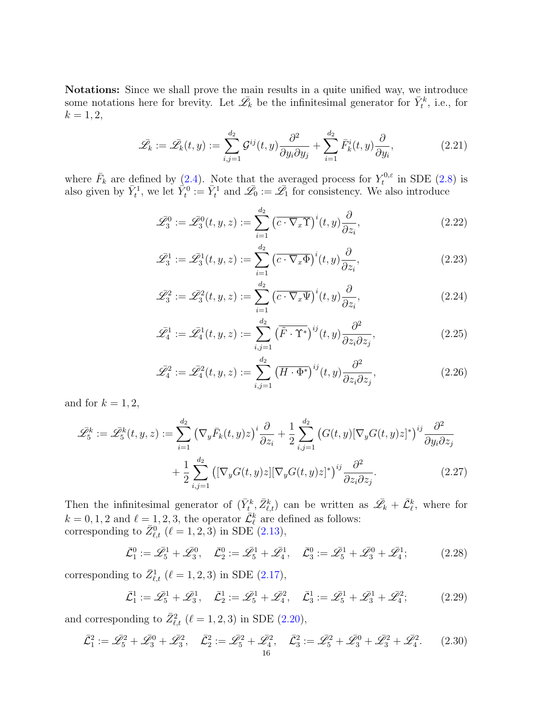Notations: Since we shall prove the main results in a quite unified way, we introduce some notations here for brevity. Let  $\bar{\mathscr{L}}_k$  be the infinitesimal generator for  $\bar{Y}_t^k$ , i.e., for  $k = 1, 2,$ 

$$
\bar{\mathscr{L}}_k := \bar{\mathscr{L}}_k(t, y) := \sum_{i,j=1}^{d_2} \mathcal{G}^{ij}(t, y) \frac{\partial^2}{\partial y_i \partial y_j} + \sum_{i=1}^{d_2} \bar{F}_k^i(t, y) \frac{\partial}{\partial y_i},\tag{2.21}
$$

where  $\bar{F}_k$  are defined by [\(2.4\)](#page-7-1). Note that the averaged process for  $Y_t^{0,\varepsilon}$  $t^{0,\varepsilon}$  in SDE  $(2.8)$  is also given by  $\bar{Y}_t^1$ , we let  $\hat{Y}_t^0 := \bar{Y}_t^1$  and  $\bar{\mathscr{L}}_0 := \bar{\mathscr{L}}_1$  for consistency. We also introduce

<span id="page-15-4"></span><span id="page-15-0"></span>
$$
\bar{\mathcal{L}}_3^0 := \bar{\mathcal{L}}_3^0(t, y, z) := \sum_{i=1}^{d_2} \left( \overline{c \cdot \nabla_x \Upsilon} \right)^i(t, y) \frac{\partial}{\partial z_i},\tag{2.22}
$$

<span id="page-15-7"></span>
$$
\bar{\mathcal{L}}_3^1 := \bar{\mathcal{L}}_3^1(t, y, z) := \sum_{i=1}^{d_2} \left( \overline{c \cdot \nabla_x \Phi} \right)^i(t, y) \frac{\partial}{\partial z_i},\tag{2.23}
$$

<span id="page-15-9"></span>
$$
\bar{\mathcal{L}}_3^2 := \bar{\mathcal{L}}_3^2(t, y, z) := \sum_{i=1}^{d_2} \left( \overline{c \cdot \nabla_x \Psi} \right)^i(t, y) \frac{\partial}{\partial z_i},\tag{2.24}
$$

<span id="page-15-6"></span>
$$
\bar{\mathscr{L}}_4^1 := \bar{\mathscr{L}}_4^1(t, y, z) := \sum_{i,j=1}^{d_2} \left( \overline{\tilde{F} \cdot \Upsilon^*} \right)^{ij}(t, y) \frac{\partial^2}{\partial z_i \partial z_j},\tag{2.25}
$$

<span id="page-15-8"></span><span id="page-15-5"></span>
$$
\bar{\mathcal{L}}_4^2 := \bar{\mathcal{L}}_4^2(t, y, z) := \sum_{i,j=1}^{d_2} \left( \overline{H \cdot \Phi^*} \right)^{ij}(t, y) \frac{\partial^2}{\partial z_i \partial z_j},\tag{2.26}
$$

and for  $k = 1, 2$ ,

$$
\bar{\mathscr{L}}_5^k := \bar{\mathscr{L}}_5^k(t, y, z) := \sum_{i=1}^{d_2} \left( \nabla_y \bar{F}_k(t, y) z \right)^i \frac{\partial}{\partial z_i} + \frac{1}{2} \sum_{i,j=1}^{d_2} \left( G(t, y) [\nabla_y G(t, y) z]^* \right)^{ij} \frac{\partial^2}{\partial y_i \partial z_j} + \frac{1}{2} \sum_{i,j=1}^{d_2} \left( [\nabla_y G(t, y) z] [\nabla_y G(t, y) z]^* \right)^{ij} \frac{\partial^2}{\partial z_i \partial z_j}.
$$
\n(2.27)

Then the infinitesimal generator of  $(\bar{Y}_t^k, \bar{Z}_{\ell,t}^k)$  can be written as  $\mathscr{L}_k + \bar{\mathcal{L}}_{\ell}^k$ , where for  $k = 0, 1, 2$  and  $\ell = 1, 2, 3$ , the operator  $\overline{\mathcal{L}}_{\ell}^{k}$  are defined as follows: corresponding to  $\bar{Z}_{\ell,t}^0$  ( $\ell = 1, 2, 3$ ) in SDE [\(2.13\)](#page-9-2),

<span id="page-15-1"></span>
$$
\bar{\mathcal{L}}_1^0 := \bar{\mathcal{L}}_5^1 + \bar{\mathcal{L}}_3^0, \quad \bar{\mathcal{L}}_2^0 := \bar{\mathcal{L}}_5^1 + \bar{\mathcal{L}}_4^1, \quad \bar{\mathcal{L}}_3^0 := \bar{\mathcal{L}}_5^1 + \bar{\mathcal{L}}_3^0 + \bar{\mathcal{L}}_4^1; \tag{2.28}
$$

corresponding to  $\bar{Z}_{\ell,t}^1$  ( $\ell = 1, 2, 3$ ) in SDE [\(2.17\)](#page-11-3),

<span id="page-15-3"></span><span id="page-15-2"></span>
$$
\bar{\mathcal{L}}_1^1 := \bar{\mathcal{L}}_5^1 + \bar{\mathcal{L}}_3^1, \quad \bar{\mathcal{L}}_2^1 := \bar{\mathcal{L}}_5^1 + \bar{\mathcal{L}}_4^2, \quad \bar{\mathcal{L}}_3^1 := \bar{\mathcal{L}}_5^1 + \bar{\mathcal{L}}_3^1 + \bar{\mathcal{L}}_4^2; \tag{2.29}
$$

and corresponding to  $\bar{Z}_{\ell,t}^2$  ( $\ell = 1, 2, 3$ ) in SDE [\(2.20\)](#page-13-2),

$$
\bar{\mathcal{L}}_1^2 := \bar{\mathcal{L}}_5^2 + \bar{\mathcal{L}}_3^0 + \bar{\mathcal{L}}_3^2, \quad \bar{\mathcal{L}}_2^2 := \bar{\mathcal{L}}_5^2 + \bar{\mathcal{L}}_4^2, \quad \bar{\mathcal{L}}_3^2 := \bar{\mathcal{L}}_5^2 + \bar{\mathcal{L}}_3^0 + \bar{\mathcal{L}}_3^2 + \bar{\mathcal{L}}_4^2. \tag{2.30}
$$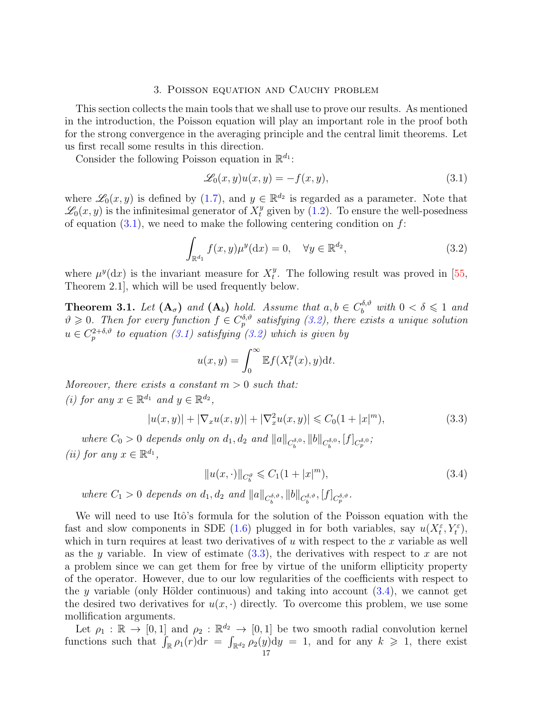## 3. Poisson equation and Cauchy problem

<span id="page-16-0"></span>This section collects the main tools that we shall use to prove our results. As mentioned in the introduction, the Poisson equation will play an important role in the proof both for the strong convergence in the averaging principle and the central limit theorems. Let us first recall some results in this direction.

Consider the following Poisson equation in  $\mathbb{R}^{d_1}$ :

<span id="page-16-3"></span><span id="page-16-2"></span>
$$
\mathcal{L}_0(x, y)u(x, y) = -f(x, y),\tag{3.1}
$$

where  $\mathscr{L}_0(x, y)$  is defined by [\(1.7\)](#page-3-1), and  $y \in \mathbb{R}^{d_2}$  is regarded as a parameter. Note that  $\mathscr{L}_0(x,y)$  is the infinitesimal generator of  $X_t^y$  given by [\(1.2\)](#page-1-2). To ensure the well-posedness of equation  $(3.1)$ , we need to make the following centering condition on f:

$$
\int_{\mathbb{R}^{d_1}} f(x, y) \mu^y(\mathrm{d}x) = 0, \quad \forall y \in \mathbb{R}^{d_2},\tag{3.2}
$$

where  $\mu^{y}(\mathrm{d}x)$  is the invariant measure for  $X_t^y$  $t<sup>y</sup>$ . The following result was proved in [\[55,](#page-48-17) Theorem 2.1], which will be used frequently below.

<span id="page-16-1"></span>**Theorem 3.1.** Let  $(A_{\sigma})$  and  $(A_b)$  hold. Assume that  $a, b \in C_b^{\delta, \vartheta}$  with  $0 < \delta \leq 1$  and  $\vartheta \geq 0$ . Then for every function  $f \in C_p^{\delta,\vartheta}$  satisfying [\(3.2\)](#page-16-3), there exists a unique solution  $u \in C_p^{2+\delta,\vartheta}$  to equation [\(3.1\)](#page-16-2) satisfying [\(3.2\)](#page-16-3) which is given by

$$
u(x,y) = \int_0^\infty \mathbb{E} f(X_t^y(x), y) \mathrm{d}t.
$$

Moreover, there exists a constant  $m > 0$  such that: (i) for any  $x \in \mathbb{R}^{d_1}$  and  $y \in \mathbb{R}^{d_2}$ ,

$$
|u(x,y)| + |\nabla_x u(x,y)| + |\nabla_x^2 u(x,y)| \leq C_0(1+|x|^m),\tag{3.3}
$$

where  $C_0 > 0$  depends only on  $d_1, d_2$  and  $||a||_{C_b^{\delta,0}}, ||b||_{C_b^{\delta,0}}, [f]_{C_p^{\delta,0}}$ ; (*ii*) for any  $x \in \mathbb{R}^{d_1}$ ,

<span id="page-16-5"></span><span id="page-16-4"></span>
$$
||u(x, \cdot)||_{C_b^{\vartheta}} \leq C_1(1+|x|^m), \tag{3.4}
$$

where  $C_1 > 0$  depends on  $d_1, d_2$  and  $||a||_{C_b^{\delta, \vartheta}}, ||b||_{C_b^{\delta, \vartheta}}, [f]_{C_p^{\delta, \vartheta}}.$ 

We will need to use Itô's formula for the solution of the Poisson equation with the fast and slow components in SDE [\(1.6\)](#page-3-0) plugged in for both variables, say  $u(X_t^{\varepsilon}, Y_t^{\varepsilon})$ , which in turn requires at least two derivatives of  $u$  with respect to the  $x$  variable as well as the y variable. In view of estimate  $(3.3)$ , the derivatives with respect to x are not a problem since we can get them for free by virtue of the uniform ellipticity property of the operator. However, due to our low regularities of the coefficients with respect to the y variable (only Hölder continuous) and taking into account  $(3.4)$ , we cannot get the desired two derivatives for  $u(x, \cdot)$  directly. To overcome this problem, we use some mollification arguments.

Let  $\rho_1 : \mathbb{R} \to [0,1]$  and  $\rho_2 : \mathbb{R}^{d_2} \to [0,1]$  be two smooth radial convolution kernel functions such that  $\int_{\mathbb{R}} \rho_1(r) dr = \int_{\mathbb{R}^{d_2}} \rho_2(y) dy = 1$ , and for any  $k \geq 1$ , there exist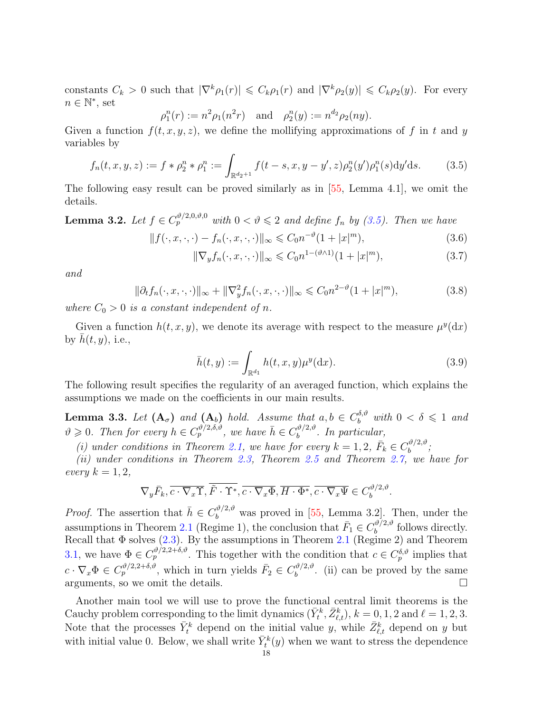constants  $C_k > 0$  such that  $|\nabla^k \rho_1(r)| \leq C_k \rho_1(r)$  and  $|\nabla^k \rho_2(y)| \leq C_k \rho_2(y)$ . For every  $n \in \mathbb{N}^*$ , set

$$
\rho_1^n(r) := n^2 \rho_1(n^2 r)
$$
 and  $\rho_2^n(y) := n^{d_2} \rho_2(ny)$ .

Given a function  $f(t, x, y, z)$ , we define the mollifying approximations of f in t and y variables by

$$
f_n(t, x, y, z) := f * \rho_2^n * \rho_1^n := \int_{\mathbb{R}^{d_2 + 1}} f(t - s, x, y - y', z) \rho_2^n(y') \rho_1^n(s) \mathrm{d}y' \mathrm{d}s. \tag{3.5}
$$

The following easy result can be proved similarly as in [\[55,](#page-48-17) Lemma 4.1], we omit the details.

**Lemma 3.2.** Let  $f \in C_p^{\vartheta/2,0,\vartheta,0}$  with  $0 < \vartheta \leq 2$  and define  $f_n$  by [\(3.5\)](#page-17-0). Then we have

$$
||f(\cdot, x, \cdot, \cdot) - f_n(\cdot, x, \cdot, \cdot)||_{\infty} \leq C_0 n^{-\vartheta} (1 + |x|^m),
$$
\n(3.6)

<span id="page-17-4"></span><span id="page-17-3"></span><span id="page-17-2"></span><span id="page-17-0"></span>
$$
\|\nabla_y f_n(\cdot, x, \cdot, \cdot)\|_{\infty} \leq C_0 n^{1 - (\vartheta \wedge 1)} (1 + |x|^m),\tag{3.7}
$$

and

$$
\|\partial_t f_n(\cdot, x, \cdot, \cdot)\|_{\infty} + \|\nabla_y^2 f_n(\cdot, x, \cdot, \cdot)\|_{\infty} \leq C_0 n^{2-\vartheta} (1 + |x|^m),\tag{3.8}
$$

where  $C_0 > 0$  is a constant independent of n.

Given a function  $h(t, x, y)$ , we denote its average with respect to the measure  $\mu^{y}(\mathrm{d}x)$ by  $h(t, y)$ , i.e.,

<span id="page-17-1"></span>
$$
\bar{h}(t,y) := \int_{\mathbb{R}^{d_1}} h(t,x,y) \mu^y(\mathrm{d}x). \tag{3.9}
$$

The following result specifies the regularity of an averaged function, which explains the assumptions we made on the coefficients in our main results.

<span id="page-17-5"></span>**Lemma 3.3.** Let  $(A_{\sigma})$  and  $(A_b)$  hold. Assume that  $a, b \in C_b^{\delta, \vartheta}$  with  $0 < \delta \leq 1$  and  $\vartheta \geq 0$ . Then for every  $h \in C_p^{\vartheta/2, \delta, \vartheta}$ , we have  $\bar{h} \in C_b^{\vartheta/2, \vartheta}$  $b^{(v/2,v)}$ . In particular,

(i) under conditions in Theorem [2.1,](#page-7-0) we have for every  $k = 1, 2, \bar{F}_k \in C_b^{\vartheta/2, \vartheta}$  $\substack{v/2, v \ b}$ 

(ii) under conditions in Theorem [2.3,](#page-9-0) Theorem [2.5](#page-11-1) and Theorem [2.7,](#page-13-0) we have for every  $k = 1, 2,$ 

$$
\nabla_y \bar{F}_k, \overline{c \cdot \nabla_x \Upsilon}, \overline{\tilde{F} \cdot \Upsilon^*}, \overline{c \cdot \nabla_x \Phi}, \overline{H \cdot \Phi^*}, \overline{c \cdot \nabla_x \Psi} \in C_b^{\vartheta/2, \vartheta}.
$$

*Proof.* The assertion that  $\bar{h} \in C_b^{\vartheta/2,\vartheta}$  was proved in [\[55,](#page-48-17) Lemma 3.2]. Then, under the assumptions in Theorem [2.1](#page-7-0) (Regime 1), the conclusion that  $\bar{F}_1 \in C_b^{\vartheta/2,\vartheta}$  $b^{(v/2,v)}$  follows directly. Recall that  $\Phi$  solves [\(2.3\)](#page-7-7). By the assumptions in Theorem [2.1](#page-7-0) (Regime 2) and Theorem [3.1,](#page-16-1) we have  $\Phi \in C_p^{\vartheta/2,2+\delta,\vartheta}$ . This together with the condition that  $c \in C_p^{\delta,\vartheta}$  implies that  $c \cdot \nabla_x \Phi \in C_p^{\vartheta/2, 2+\delta, \vartheta}$ , which in turn yields  $\bar{F}_2 \in C_b^{\vartheta/2, \vartheta}$  $b^{(v/2,v)}$ . (ii) can be proved by the same arguments, so we omit the details.

Another main tool we will use to prove the functional central limit theorems is the Cauchy problem corresponding to the limit dynamics  $(\bar{Y}_t^k, \bar{Z}_{\ell,t}^k), k = 0, 1, 2$  and  $\ell = 1, 2, 3$ . Note that the processes  $\bar{Y}_t^k$  depend on the initial value y, while  $\bar{Z}_{\ell,t}^k$  depend on y but with initial value 0. Below, we shall write  $\bar{Y}_t^k(y)$  when we want to stress the dependence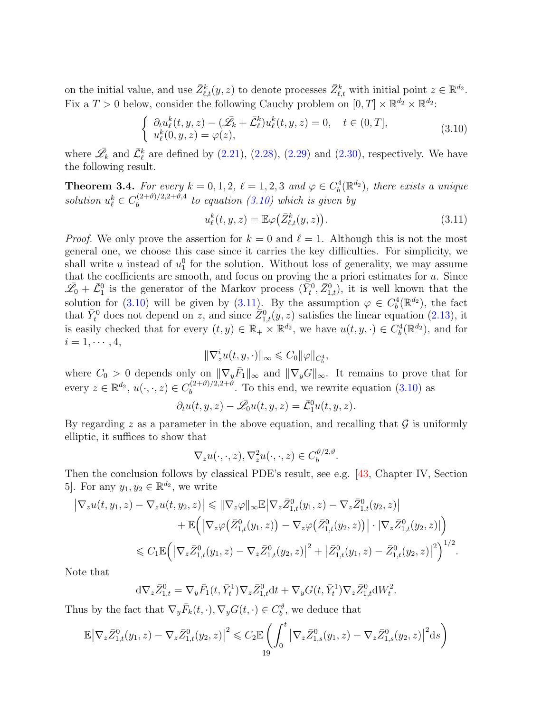on the initial value, and use  $\bar{Z}_{\ell,t}^k(y, z)$  to denote processes  $\bar{Z}_{\ell,t}^k$  with initial point  $z \in \mathbb{R}^{d_2}$ . Fix a  $T > 0$  below, consider the following Cauchy problem on  $[0, T] \times \mathbb{R}^{d_2} \times \mathbb{R}^{d_2}$ :

<span id="page-18-0"></span>
$$
\begin{cases}\n\partial_t u_{\ell}^k(t, y, z) - (\bar{\mathscr{L}}_k + \bar{\mathcal{L}}_{\ell}^k) u_{\ell}^k(t, y, z) = 0, \quad t \in (0, T], \\
u_{\ell}^k(0, y, z) = \varphi(z),\n\end{cases}
$$
\n(3.10)

where  $\bar{\mathscr{L}}_k$  and  $\bar{\mathcal{L}}_{\ell}^k$  are defined by [\(2.21\)](#page-15-0), [\(2.28\)](#page-15-1), [\(2.29\)](#page-15-2) and [\(2.30\)](#page-15-3), respectively. We have the following result.

<span id="page-18-2"></span>**Theorem 3.4.** For every  $k = 0, 1, 2, \ell = 1, 2, 3$  and  $\varphi \in C_b^4(\mathbb{R}^{d_2})$ , there exists a unique solution  $u_{\ell}^k \in C_b^{(2+\vartheta)/2,2+\vartheta,4}$  $b_b^{(2+v)/2,2+v,4}$  to equation [\(3.10\)](#page-18-0) which is given by

<span id="page-18-1"></span>
$$
u_{\ell}^{k}(t, y, z) = \mathbb{E}\varphi(\bar{Z}_{\ell,t}^{k}(y, z)).
$$
\n(3.11)

*Proof.* We only prove the assertion for  $k = 0$  and  $\ell = 1$ . Although this is not the most general one, we choose this case since it carries the key difficulties. For simplicity, we shall write u instead of  $u_1^0$  for the solution. Without loss of generality, we may assume that the coefficients are smooth, and focus on proving the a priori estimates for  $u$ . Since  $\bar{\mathscr{L}}_0 + \bar{\mathcal{L}}_1^0$  is the generator of the Markov process  $(\bar{Y}_t^0, \bar{Z}_{1,t}^0)$ , it is well known that the solution for [\(3.10\)](#page-18-0) will be given by [\(3.11\)](#page-18-1). By the assumption  $\varphi \in C_b^4(\mathbb{R}^{d_2})$ , the fact that  $\bar{Y}_t^0$  does not depend on z, and since  $\bar{Z}_{1,t}^0(y, z)$  satisfies the linear equation [\(2.13\)](#page-9-2), it is easily checked that for every  $(t, y) \in \mathbb{R}_+ \times \mathbb{R}^{d_2}$ , we have  $u(t, y, \cdot) \in C_b^4(\mathbb{R}^{d_2})$ , and for  $i=1,\cdots,4,$ 

$$
\|\nabla^i_z u(t,y,\cdot)\|_\infty\leqslant C_0\|\varphi\|_{C^4_b},
$$

where  $C_0 > 0$  depends only on  $\|\nabla_y \bar{F}_1\|_{\infty}$  and  $\|\nabla_y G\|_{\infty}$ . It remains to prove that for every  $z \in \mathbb{R}^{d_2}$ ,  $u(\cdot, \cdot, z) \in C_b^{(2+\vartheta)/2, 2+\vartheta}$  $b_b^{(2+v)/2,2+v}$ . To this end, we rewrite equation  $(3.10)$  as

$$
\partial_t u(t, y, z) - \bar{\mathcal{L}}_0 u(t, y, z) = \bar{\mathcal{L}}_1^0 u(t, y, z).
$$

By regarding z as a parameter in the above equation, and recalling that  $\mathcal G$  is uniformly elliptic, it suffices to show that

$$
\nabla_z u(\cdot,\cdot,z), \nabla_z^2 u(\cdot,\cdot,z) \in C_b^{\vartheta/2,\vartheta}.
$$

Then the conclusion follows by classical PDE's result, see e.g. [\[43,](#page-48-21) Chapter IV, Section 5. For any  $y_1, y_2 \in \mathbb{R}^{d_2}$ , we write

$$
\begin{split} \left| \nabla_z u(t, y_1, z) - \nabla_z u(t, y_2, z) \right| &\leq \|\nabla_z \varphi\|_{\infty} \mathbb{E} \left| \nabla_z \bar{Z}_{1,t}^0(y_1, z) - \nabla_z \bar{Z}_{1,t}^0(y_2, z) \right| \\ &+ \mathbb{E} \Big( \left| \nabla_z \varphi \left( \bar{Z}_{1,t}^0(y_1, z) \right) - \nabla_z \varphi \left( \bar{Z}_{1,t}^0(y_2, z) \right) \right| \cdot \left| \nabla_z \bar{Z}_{1,t}^0(y_2, z) \right| \Big) \\ &\leqslant C_1 \mathbb{E} \Big( \left| \nabla_z \bar{Z}_{1,t}^0(y_1, z) - \nabla_z \bar{Z}_{1,t}^0(y_2, z) \right|^2 + \left| \bar{Z}_{1,t}^0(y_1, z) - \bar{Z}_{1,t}^0(y_2, z) \right|^2 \Big)^{1/2} . \end{split}
$$

Note that

$$
d\nabla_z \bar{Z}_{1,t}^0 = \nabla_y \bar{F}_1(t, \bar{Y}_t^1) \nabla_z \bar{Z}_{1,t}^0 dt + \nabla_y G(t, \bar{Y}_t^1) \nabla_z \bar{Z}_{1,t}^0 dW_t^2.
$$

Thus by the fact that  $\nabla_y \bar{F}_k(t, \cdot), \nabla_y G(t, \cdot) \in C_b^{\vartheta}$ , we deduce that

$$
\mathbb{E} \left| \nabla_z \bar{Z}_{1,t}^0(y_1, z) - \nabla_z \bar{Z}_{1,t}^0(y_2, z) \right|^2 \leqslant C_2 \mathbb{E} \left( \int_0^t \left| \nabla_z \bar{Z}_{1,s}^0(y_1, z) - \nabla_z \bar{Z}_{1,s}^0(y_2, z) \right|^2 \mathrm{d}s \right)
$$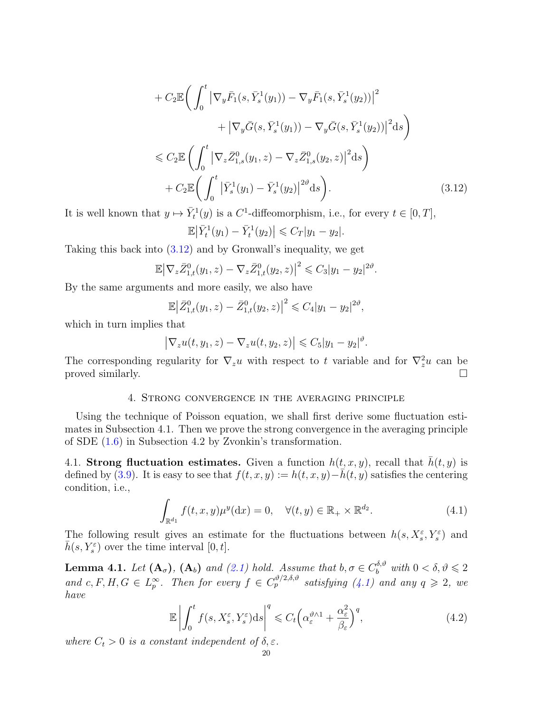$$
+ C_2 \mathbb{E} \bigg( \int_0^t \left| \nabla_y \bar{F}_1(s, \bar{Y}_s^1(y_1)) - \nabla_y \bar{F}_1(s, \bar{Y}_s^1(y_2)) \right|^2 + \left| \nabla_y \bar{G}(s, \bar{Y}_s^1(y_1)) - \nabla_y \bar{G}(s, \bar{Y}_s^1(y_2)) \right|^2 ds \bigg) \n\leq C_2 \mathbb{E} \bigg( \int_0^t \left| \nabla_z \bar{Z}_{1,s}^0(y_1, z) - \nabla_z \bar{Z}_{1,s}^0(y_2, z) \right|^2 ds \bigg) + C_2 \mathbb{E} \bigg( \int_0^t \left| \bar{Y}_s^1(y_1) - \bar{Y}_s^1(y_2) \right|^{2\vartheta} ds \bigg).
$$
\n(3.12)

It is well known that  $y \mapsto \bar{Y}_t^1(y)$  is a C<sup>1</sup>-diffeomorphism, i.e., for every  $t \in [0, T]$ ,

<span id="page-19-2"></span>
$$
\mathbb{E}\left|\bar{Y}_t^1(y_1)-\bar{Y}_t^1(y_2)\right|\leqslant C_T|y_1-y_2|.
$$

Taking this back into [\(3.12\)](#page-19-2) and by Gronwall's inequality, we get

$$
\mathbb{E} \big| \nabla_z \bar{Z}_{1,t}^0(y_1, z) - \nabla_z \bar{Z}_{1,t}^0(y_2, z) \big|^2 \leq C_3 |y_1 - y_2|^{2\vartheta}.
$$

By the same arguments and more easily, we also have

$$
\mathbb{E}\big|\bar{Z}_{1,t}^0(y_1,z)-\bar{Z}_{1,t}^0(y_2,z)\big|^2\leqslant C_4|y_1-y_2|^{2\vartheta},
$$

which in turn implies that

$$
\left|\nabla_z u(t,y_1,z)-\nabla_z u(t,y_2,z)\right|\leqslant C_5|y_1-y_2|^\vartheta.
$$

The corresponding regularity for  $\nabla_z u$  with respect to t variable and for  $\nabla_z^2 u$  can be proved similarly.  $\Box$ 

# 4. Strong convergence in the averaging principle

<span id="page-19-0"></span>Using the technique of Poisson equation, we shall first derive some fluctuation estimates in Subsection 4.1. Then we prove the strong convergence in the averaging principle of SDE [\(1.6\)](#page-3-0) in Subsection 4.2 by Zvonkin's transformation.

<span id="page-19-1"></span>4.1. Strong fluctuation estimates. Given a function  $h(t, x, y)$ , recall that  $h(t, y)$  is defined by [\(3.9\)](#page-17-1). It is easy to see that  $f(t, x, y) := h(t, x, y) - \bar{h}(t, y)$  satisfies the centering condition, i.e.,

<span id="page-19-3"></span>
$$
\int_{\mathbb{R}^{d_1}} f(t, x, y) \mu^y(\mathrm{d}x) = 0, \quad \forall (t, y) \in \mathbb{R}_+ \times \mathbb{R}^{d_2}.
$$
\n(4.1)

The following result gives an estimate for the fluctuations between  $h(s, X_s^{\varepsilon}, Y_s^{\varepsilon})$  and  $\bar{h}(s, Y_s^{\varepsilon})$  over the time interval  $[0, t]$ .

<span id="page-19-5"></span>**Lemma 4.1.** Let  $(A_{\sigma})$ ,  $(A_{b})$  and  $(2.1)$  hold. Assume that  $b, \sigma \in C_b^{\delta, \vartheta}$  with  $0 < \delta, \vartheta \leq 2$ and c, F, H,  $G \in L_p^{\infty}$ . Then for every  $f \in C_p^{\vartheta/2,\delta,\vartheta}$  satisfying  $(4.1)$  and any  $q \geq 2$ , we have

<span id="page-19-4"></span>
$$
\mathbb{E}\left|\int_{0}^{t} f(s, X_{s}^{\varepsilon}, Y_{s}^{\varepsilon})\mathrm{d}s\right|^{q} \leqslant C_{t}\left(\alpha_{\varepsilon}^{\vartheta \wedge 1} + \frac{\alpha_{\varepsilon}^{2}}{\beta_{\varepsilon}}\right)^{q},\tag{4.2}
$$

where  $C_t > 0$  is a constant independent of  $\delta, \varepsilon$ .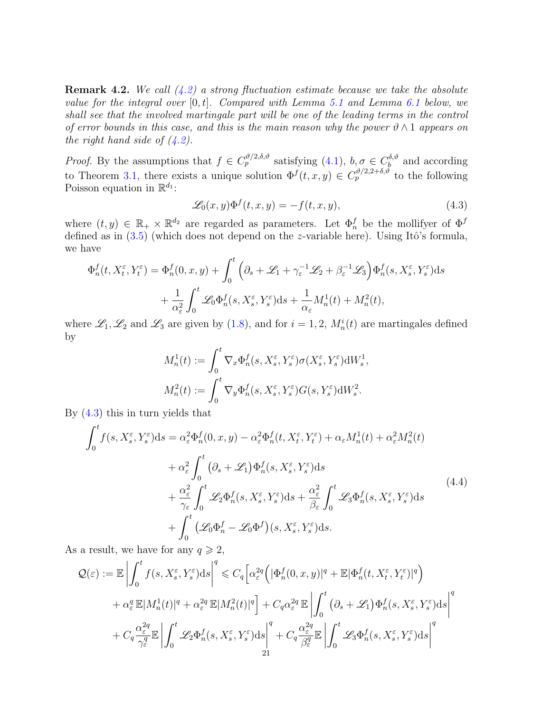**Remark 4.2.** We call  $(4.2)$  a strong fluctuation estimate because we take the absolute value for the integral over  $[0, t]$ . Compared with Lemma [5.1](#page-28-0) and Lemma [6.1](#page-35-0) below, we shall see that the involved martingale part will be one of the leading terms in the control of error bounds in this case, and this is the main reason why the power  $\vartheta \wedge 1$  appears on the right hand side of  $(4.2)$ .

*Proof.* By the assumptions that  $f \in C_p^{\vartheta/2, \delta, \vartheta}$  satisfying  $(4.1), b, \sigma \in C_b^{\delta, \vartheta}$  $b^{(0, v)}$  and according to Theorem [3.1,](#page-16-1) there exists a unique solution  $\Phi^f(t,x,y) \in C_p^{\vartheta/2,2+\delta,\vartheta}$  to the following Poisson equation in  $\mathbb{R}^{d_1}$ :

<span id="page-20-0"></span>
$$
\mathcal{L}_0(x, y)\Phi^f(t, x, y) = -f(t, x, y),\tag{4.3}
$$

where  $(t, y) \in \mathbb{R}_+ \times \mathbb{R}^{d_2}$  are regarded as parameters. Let  $\Phi_n^f$  be the mollifyer of  $\Phi^f$ defined as in  $(3.5)$  (which does not depend on the z-variable here). Using Itô's formula, we have

$$
\Phi_n^f(t, X_t^{\varepsilon}, Y_t^{\varepsilon}) = \Phi_n^f(0, x, y) + \int_0^t \left( \partial_s + \mathcal{L}_1 + \gamma_{\varepsilon}^{-1} \mathcal{L}_2 + \beta_{\varepsilon}^{-1} \mathcal{L}_3 \right) \Phi_n^f(s, X_s^{\varepsilon}, Y_s^{\varepsilon}) ds \n+ \frac{1}{\alpha_{\varepsilon}^2} \int_0^t \mathcal{L}_0 \Phi_n^f(s, X_s^{\varepsilon}, Y_s^{\varepsilon}) ds + \frac{1}{\alpha_{\varepsilon}} M_n^1(t) + M_n^2(t),
$$

where  $\mathscr{L}_1, \mathscr{L}_2$  and  $\mathscr{L}_3$  are given by [\(1.8\)](#page-3-2), and for  $i = 1, 2, M_n^i(t)$  are martingales defined by

<span id="page-20-1"></span>
$$
M_n^1(t) := \int_0^t \nabla_x \Phi_n^f(s, X_s^{\varepsilon}, Y_s^{\varepsilon}) \sigma(X_s^{\varepsilon}, Y_s^{\varepsilon}) dW_s^1,
$$
  

$$
M_n^2(t) := \int_0^t \nabla_y \Phi_n^f(s, X_s^{\varepsilon}, Y_s^{\varepsilon}) G(s, Y_s^{\varepsilon}) dW_s^2.
$$

By [\(4.3\)](#page-20-0) this in turn yields that

$$
\int_{0}^{t} f(s, X_{s}^{\varepsilon}, Y_{s}^{\varepsilon}) ds = \alpha_{\varepsilon}^{2} \Phi_{n}^{f}(0, x, y) - \alpha_{\varepsilon}^{2} \Phi_{n}^{f}(t, X_{t}^{\varepsilon}, Y_{t}^{\varepsilon}) + \alpha_{\varepsilon} M_{n}^{1}(t) + \alpha_{\varepsilon}^{2} M_{n}^{2}(t) \n+ \alpha_{\varepsilon}^{2} \int_{0}^{t} (\partial_{s} + \mathcal{L}_{1}) \Phi_{n}^{f}(s, X_{s}^{\varepsilon}, Y_{s}^{\varepsilon}) ds \n+ \frac{\alpha_{\varepsilon}^{2}}{\gamma_{\varepsilon}} \int_{0}^{t} \mathcal{L}_{2} \Phi_{n}^{f}(s, X_{s}^{\varepsilon}, Y_{s}^{\varepsilon}) ds + \frac{\alpha_{\varepsilon}^{2}}{\beta_{\varepsilon}} \int_{0}^{t} \mathcal{L}_{3} \Phi_{n}^{f}(s, X_{s}^{\varepsilon}, Y_{s}^{\varepsilon}) ds \n+ \int_{0}^{t} (\mathcal{L}_{0} \Phi_{n}^{f} - \mathcal{L}_{0} \Phi^{f})(s, X_{s}^{\varepsilon}, Y_{s}^{\varepsilon}) ds.
$$
\n(4.4)

As a result, we have for any  $q \geq 2$ ,

$$
\begin{split} \mathcal{Q}(\varepsilon) &:= \mathbb{E} \left| \int_{0}^{t} f(s,X_{s}^{\varepsilon},Y_{s}^{\varepsilon}) \mathrm{d}s \right|^{q} \leqslant C_{q} \Big[ \alpha_{\varepsilon}^{2q} \Big( |\Phi_{n}^{f}(0,x,y)|^{q} + \mathbb{E} |\Phi_{n}^{f}(t,X_{t}^{\varepsilon},Y_{t}^{\varepsilon})|^{q} \Big) \\ &+ \alpha_{\varepsilon}^{q} \mathbb{E} |M_{n}^{1}(t)|^{q} + \alpha_{\varepsilon}^{2q} \mathbb{E} |M_{n}^{2}(t)|^{q} \Big] + C_{q} \alpha_{\varepsilon}^{2q} \mathbb{E} \left| \int_{0}^{t} \big( \partial_{s} + \mathscr{L}_{1} \big) \Phi_{n}^{f}(s,X_{s}^{\varepsilon},Y_{s}^{\varepsilon}) \mathrm{d}s \right|^{q} \\ &+ C_{q} \frac{\alpha_{\varepsilon}^{2q}}{\gamma_{\varepsilon}^{q}} \mathbb{E} \left| \int_{0}^{t} \mathscr{L}_{2} \Phi_{n}^{f}(s,X_{s}^{\varepsilon},Y_{s}^{\varepsilon}) \mathrm{d}s \right|^{q} + C_{q} \frac{\alpha_{\varepsilon}^{2q}}{\beta_{\varepsilon}^{q}} \mathbb{E} \left| \int_{0}^{t} \mathscr{L}_{3} \Phi_{n}^{f}(s,X_{s}^{\varepsilon},Y_{s}^{\varepsilon}) \mathrm{d}s \right|^{q} \\ & \phantom{=} 21 \end{split}
$$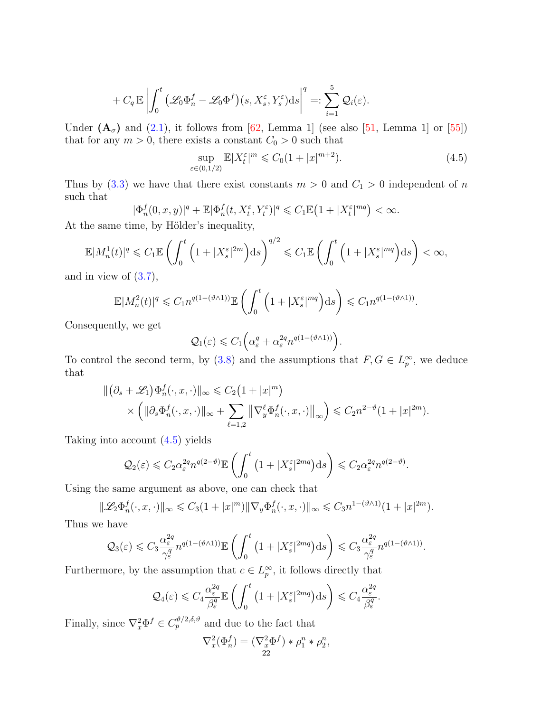$$
+ C_q \mathbb{E} \left| \int_0^t \left( \mathcal{L}_0 \Phi_n^f - \mathcal{L}_0 \Phi^f \right) (s, X_s^\varepsilon, Y_s^\varepsilon) \mathrm{d} s \right|^q =: \sum_{i=1}^5 \mathcal{Q}_i(\varepsilon).
$$

Under  $(A_{\sigma})$  and  $(2.1)$ , it follows from [\[62,](#page-48-18) Lemma 1] (see also [\[51,](#page-48-16) Lemma 1] or [\[55\]](#page-48-17)) that for any  $m > 0$ , there exists a constant  $C_0 > 0$  such that

<span id="page-21-0"></span>
$$
\sup_{\varepsilon \in (0,1/2)} \mathbb{E}|X_t^{\varepsilon}|^m \leq C_0 (1+|x|^{m+2}).\tag{4.5}
$$

Thus by [\(3.3\)](#page-16-4) we have that there exist constants  $m > 0$  and  $C_1 > 0$  independent of n such that

$$
|\Phi_n^f(0, x, y)|^q + \mathbb{E}|\Phi_n^f(t, X_t^{\varepsilon}, Y_t^{\varepsilon})|^q \leq C_1 \mathbb{E} \left(1 + |X_t^{\varepsilon}|^{mq}\right) < \infty.
$$

At the same time, by Hölder's inequality,

$$
\mathbb{E}|M_n^1(t)|^q \leqslant C_1 \mathbb{E}\left(\int_0^t \left(1+|X_s^{\varepsilon}|^{2m}\right) ds\right)^{q/2} \leqslant C_1 \mathbb{E}\left(\int_0^t \left(1+|X_s^{\varepsilon}|^{mq}\right) ds\right) < \infty,
$$

and in view of  $(3.7)$ ,

$$
\mathbb{E}|M_n^2(t)|^q \leq C_1 n^{q(1-(\vartheta \wedge 1))} \mathbb{E}\left(\int_0^t \left(1+|X_s^{\varepsilon}|^{mq}\right) ds\right) \leq C_1 n^{q(1-(\vartheta \wedge 1))}.
$$

Consequently, we get

$$
\mathcal{Q}_1(\varepsilon) \leqslant C_1 \Big( \alpha_{\varepsilon}^q + \alpha_{\varepsilon}^{2q} n^{q(1-(\vartheta \wedge 1))} \Big).
$$

To control the second term, by [\(3.8\)](#page-17-3) and the assumptions that  $F, G \in L_p^{\infty}$ , we deduce that

$$
\begin{aligned} \|\big(\partial_s + \mathscr{L}_1\big) \Phi_n^f(\cdot, x, \cdot)\|_{\infty} &\leq C_2 \big(1 + |x|^m\big) \\ &\times \left(\|\partial_s \Phi_n^f(\cdot, x, \cdot)\|_{\infty} + \sum_{\ell=1,2} \left\|\nabla_y^{\ell} \Phi_n^f(\cdot, x, \cdot)\right\|_{\infty}\right) \leq C_2 n^{2-\vartheta} (1 + |x|^{2m}). \end{aligned}
$$

Taking into account [\(4.5\)](#page-21-0) yields

$$
\mathcal{Q}_2(\varepsilon) \leqslant C_2 \alpha_{\varepsilon}^{2q} n^{q(2-\vartheta)} \mathbb{E} \left( \int_0^t \left( 1 + |X_s^{\varepsilon}|^{2mq} \right) ds \right) \leqslant C_2 \alpha_{\varepsilon}^{2q} n^{q(2-\vartheta)}.
$$

Using the same argument as above, one can check that

$$
\|\mathscr{L}_2\Phi_n^f(\cdot,x,\cdot)\|_\infty \leqslant C_3(1+|x|^m)\|\nabla_y\Phi_n^f(\cdot,x,\cdot)\|_\infty \leqslant C_3n^{1-(\vartheta\wedge 1)}(1+|x|^{2m}).
$$

Thus we have

$$
\mathcal{Q}_3(\varepsilon) \leqslant C_3 \frac{\alpha_{\varepsilon}^{2q}}{\gamma_{\varepsilon}^q} n^{q(1-(\vartheta\wedge 1))} \mathbb{E}\left(\int_0^t \left(1+|X_{s}^{\varepsilon}|^{2mq}\right) ds\right) \leqslant C_3 \frac{\alpha_{\varepsilon}^{2q}}{\gamma_{\varepsilon}^q} n^{q(1-(\vartheta\wedge 1))}.
$$

Furthermore, by the assumption that  $c \in L_p^{\infty}$ , it follows directly that

$$
\mathcal{Q}_4(\varepsilon) \leqslant C_4 \frac{\alpha_{\varepsilon}^{2q}}{\beta_{\varepsilon}^q} \mathbb{E}\left(\int_0^t \left(1 + |X_{s}^{\varepsilon}|^{2mq}\right) ds\right) \leqslant C_4 \frac{\alpha_{\varepsilon}^{2q}}{\beta_{\varepsilon}^q}.
$$

Finally, since  $\nabla_x^2 \Phi^f \in C_p^{\vartheta/2, \delta, \vartheta}$  and due to the fact that

$$
\nabla_x^2(\Phi_n^f) = (\nabla_x^2 \Phi^f) * \rho_1^n * \rho_2^n,
$$
  
22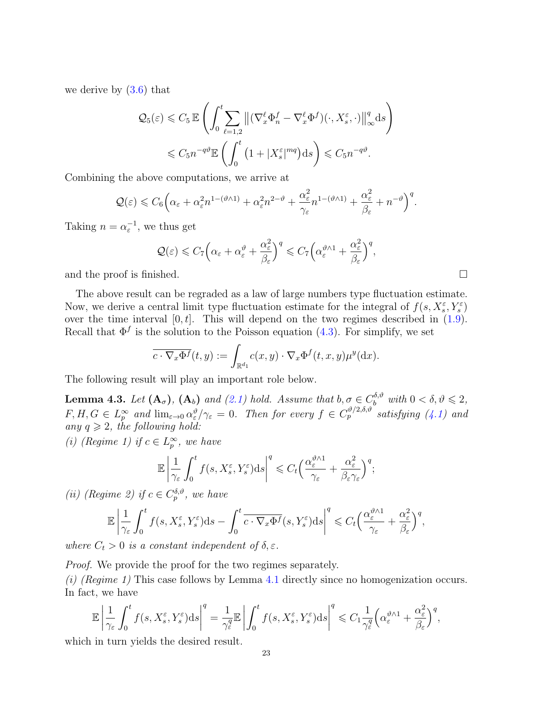we derive by [\(3.6\)](#page-17-4) that

$$
\mathcal{Q}_5(\varepsilon) \leq C_5 \mathbb{E} \left( \int_0^t \sum_{\ell=1,2} \left\| (\nabla_x^{\ell} \Phi_n^f - \nabla_x^{\ell} \Phi^f)(\cdot, X_s^{\varepsilon}, \cdot) \right\|_{\infty}^q \mathrm{d}s \right) \leq C_5 n^{-q\vartheta} \mathbb{E} \left( \int_0^t \left( 1 + |X_s^{\varepsilon}|^{mq} \right) \mathrm{d}s \right) \leq C_5 n^{-q\vartheta}.
$$

Combining the above computations, we arrive at

$$
\mathcal{Q}(\varepsilon) \leq C_6 \Big( \alpha_{\varepsilon} + \alpha_{\varepsilon}^2 n^{1 - (\vartheta \wedge 1)} + \alpha_{\varepsilon}^2 n^{2 - \vartheta} + \frac{\alpha_{\varepsilon}^2}{\gamma_{\varepsilon}} n^{1 - (\vartheta \wedge 1)} + \frac{\alpha_{\varepsilon}^2}{\beta_{\varepsilon}} + n^{-\vartheta} \Big)^q.
$$

Taking  $n = \alpha_{\varepsilon}^{-1}$ , we thus get

$$
\mathcal{Q}(\varepsilon) \leqslant C_7 \Big( \alpha_{\varepsilon} + \alpha_{\varepsilon}^{\vartheta} + \frac{\alpha_{\varepsilon}^2}{\beta_{\varepsilon}} \Big)^q \leqslant C_7 \Big( \alpha_{\varepsilon}^{\vartheta \wedge 1} + \frac{\alpha_{\varepsilon}^2}{\beta_{\varepsilon}} \Big)^q,
$$

and the proof is finished.  $\square$ 

The above result can be regraded as a law of large numbers type fluctuation estimate. Now, we derive a central limit type fluctuation estimate for the integral of  $f(s, X_s^{\varepsilon}, Y_s^{\varepsilon})$ show, we derive a central fillne type interval ion estimate for the integral of  $f(s, X_s, Y_s)$  over the time interval  $[0, t]$ . This will depend on the two regimes described in [\(1.9\)](#page-4-0). Recall that  $\Phi^f$  is the solution to the Poisson equation [\(4.3\)](#page-20-0). For simplify, we set

$$
\overline{c \cdot \nabla_x \Phi^f}(t, y) := \int_{\mathbb{R}^{d_1}} c(x, y) \cdot \nabla_x \Phi^f(t, x, y) \mu^y(\mathrm{d}x).
$$

The following result will play an important role below.

<span id="page-22-0"></span>**Lemma 4.3.** Let  $(A_{\sigma})$ ,  $(A_{b})$  and  $(2.1)$  hold. Assume that  $b, \sigma \in C_b^{\delta, \vartheta}$  with  $0 < \delta, \vartheta \leq 2$ ,  $F, H, G \in L_p^{\infty}$  and  $\lim_{\varepsilon \to 0} \alpha_{\varepsilon}^{\vartheta}/\gamma_{\varepsilon} = 0$ . Then for every  $f \in C_p^{\vartheta/2, \delta, \vartheta}$  satisfying [\(4.1\)](#page-19-3) and any  $q \geqslant 2$ , the following hold:

(i) (Regime 1) if  $c \in L_p^{\infty}$ , we have

$$
\mathbb{E}\left|\frac{1}{\gamma_{\varepsilon}}\int_{0}^{t}f(s,X_{s}^{\varepsilon},Y_{s}^{\varepsilon})\mathrm{d}s\right|^{q} \leqslant C_{t}\Big(\frac{\alpha_{\varepsilon}^{\vartheta\wedge 1}}{\gamma_{\varepsilon}}+\frac{\alpha_{\varepsilon}^{2}}{\beta_{\varepsilon}\gamma_{\varepsilon}}\Big)^{q};
$$

(*ii*) (Regime 2) if  $c \in C_p^{\delta,\vartheta}$ , we have

$$
\mathbb{E}\left|\frac{1}{\gamma_{\varepsilon}}\int_0^t f(s,X_s^{\varepsilon},Y_s^{\varepsilon})ds-\int_0^t \overline{c\cdot\nabla_x\Phi^f}(s,Y_s^{\varepsilon})ds\right|^q\leqslant C_t\Big(\frac{\alpha_{\varepsilon}^{\vartheta\wedge 1}}{\gamma_{\varepsilon}}+\frac{\alpha_{\varepsilon}^2}{\beta_{\varepsilon}}\Big)^q,
$$

where  $C_t > 0$  is a constant independent of  $\delta, \varepsilon$ .

Proof. We provide the proof for the two regimes separately.

(i) (Regime 1) This case follows by Lemma [4.1](#page-19-5) directly since no homogenization occurs. In fact, we have

$$
\mathbb{E}\left|\frac{1}{\gamma_{\varepsilon}}\int_{0}^{t}f(s,X_{s}^{\varepsilon},Y_{s}^{\varepsilon})\mathrm{d}s\right|^{q}=\frac{1}{\gamma_{\varepsilon}^{q}}\mathbb{E}\left|\int_{0}^{t}f(s,X_{s}^{\varepsilon},Y_{s}^{\varepsilon})\mathrm{d}s\right|^{q}\leqslant C_{1}\frac{1}{\gamma_{\varepsilon}^{q}}\left(\alpha_{\varepsilon}^{\vartheta\wedge1}+\frac{\alpha_{\varepsilon}^{2}}{\beta_{\varepsilon}}\right)^{q},
$$

which in turn yields the desired result.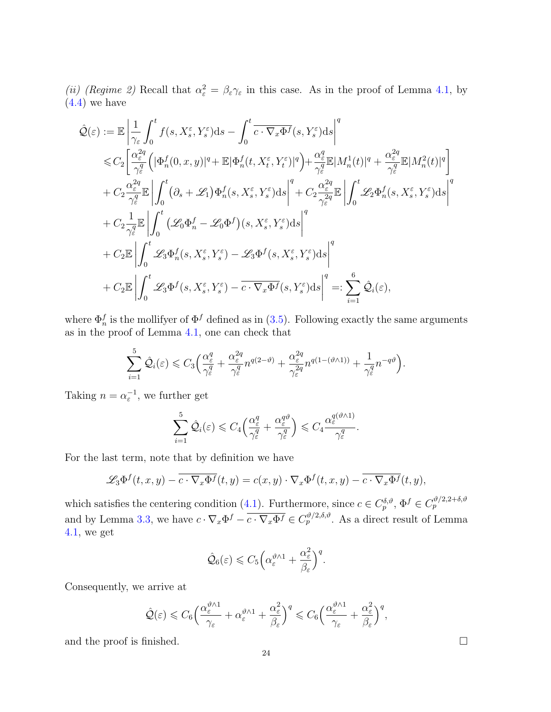(ii) (Regime 2) Recall that  $\alpha_{\varepsilon}^2 = \beta_{\varepsilon} \gamma_{\varepsilon}$  in this case. As in the proof of Lemma [4.1,](#page-19-5) by  $(4.4)$  we have

$$
\hat{\mathcal{Q}}(\varepsilon) := \mathbb{E} \left| \frac{1}{\gamma_{\varepsilon}} \int_{0}^{t} f(s, X_{s}^{\varepsilon}, Y_{s}^{\varepsilon}) ds - \int_{0}^{t} \overline{c \cdot \nabla_{x} \Phi^{f}}(s, Y_{s}^{\varepsilon}) ds \right|^{q}
$$
\n
$$
\leq C_{2} \left[ \frac{\alpha_{\varepsilon}^{2q}}{\gamma_{\varepsilon}^{q}} \left( |\Phi_{n}^{f}(0, x, y)|^{q} + \mathbb{E} |\Phi_{n}^{f}(t, X_{t}^{\varepsilon}, Y_{t}^{\varepsilon})|^{q} \right) + \frac{\alpha_{\varepsilon}^{q}}{\gamma_{\varepsilon}^{q}} \mathbb{E} |M_{n}^{1}(t)|^{q} + \frac{\alpha_{\varepsilon}^{2q}}{\gamma_{\varepsilon}^{q}} \mathbb{E} |M_{n}^{2}(t)|^{q} \right] + C_{2} \frac{\alpha_{\varepsilon}^{2q}}{\gamma_{\varepsilon}^{q}} \mathbb{E} \left| \int_{0}^{t} (\partial_{s} + \mathcal{L}_{1}) \Phi_{n}^{f}(s, X_{s}^{\varepsilon}, Y_{s}^{\varepsilon}) ds \right|^{q} + C_{2} \frac{\alpha_{\varepsilon}^{2q}}{\gamma_{\varepsilon}^{2q}} \mathbb{E} \left| \int_{0}^{t} \mathcal{L}_{2} \Phi_{n}^{f}(s, X_{s}^{\varepsilon}, Y_{s}^{\varepsilon}) ds \right|^{q}
$$
\n
$$
+ C_{2} \frac{1}{\gamma_{\varepsilon}^{q}} \mathbb{E} \left| \int_{0}^{t} \mathcal{L}_{3} \Phi_{n}^{f}(s, X_{s}^{\varepsilon}, Y_{s}^{\varepsilon}) - \mathcal{L}_{3} \Phi^{f}(s, X_{s}^{\varepsilon}, Y_{s}^{\varepsilon}) ds \right|^{q}
$$
\n
$$
+ C_{2} \mathbb{E} \left| \int_{0}^{t} \mathcal{L}_{3} \Phi_{n}^{f}(s, X_{s}^{\varepsilon}, Y_{s}^{\varepsilon}) - \mathcal{L}_{3} \Phi^{f}(s, X_{s}^{\varepsilon}, Y_{s}^{\varepsilon}) ds \right|^{q} =: \sum_{i=1}^{6} \hat
$$

where  $\Phi_n^f$  is the mollifyer of  $\Phi^f$  defined as in [\(3.5\)](#page-17-0). Following exactly the same arguments as in the proof of Lemma [4.1,](#page-19-5) one can check that

$$
\sum_{i=1}^{5} \hat{\mathcal{Q}}_i(\varepsilon) \leq C_3 \Big( \frac{\alpha_{\varepsilon}^q}{\gamma_{\varepsilon}^q} + \frac{\alpha_{\varepsilon}^{2q}}{\gamma_{\varepsilon}^q} n^{q(2-\vartheta)} + \frac{\alpha_{\varepsilon}^{2q}}{\gamma_{\varepsilon}^{2q}} n^{q(1-(\vartheta\wedge 1))} + \frac{1}{\gamma_{\varepsilon}^q} n^{-q\vartheta} \Big).
$$

Taking  $n = \alpha_{\varepsilon}^{-1}$ , we further get

$$
\sum_{i=1}^5 \hat{\mathcal{Q}}_i(\varepsilon) \leqslant C_4 \Big( \frac{\alpha_{\varepsilon}^q}{\gamma_{\varepsilon}^q} + \frac{\alpha_{\varepsilon}^{q\vartheta}}{\gamma_{\varepsilon}^q} \Big) \leqslant C_4 \frac{\alpha_{\varepsilon}^{q(\vartheta \wedge 1)}}{\gamma_{\varepsilon}^q}.
$$

For the last term, note that by definition we have

$$
\mathscr{L}_3 \Phi^f(t, x, y) - \overline{c \cdot \nabla_x \Phi^f}(t, y) = c(x, y) \cdot \nabla_x \Phi^f(t, x, y) - \overline{c \cdot \nabla_x \Phi^f}(t, y),
$$

which satisfies the centering condition [\(4.1\)](#page-19-3). Furthermore, since  $c \in C_p^{\delta,\vartheta}, \Phi^f \in C_p^{\vartheta/2,2+\delta,\vartheta}$ and by Lemma [3.3,](#page-17-5) we have  $c \cdot \nabla_x \Phi^f - \overline{c \cdot \nabla_x \Phi^f} \in C_p^{\vartheta/2, \delta, \vartheta}$ . As a direct result of Lemma [4.1,](#page-19-5) we get

$$
\hat{Q}_6(\varepsilon) \leqslant C_5 \bigg( \alpha_{\varepsilon}^{\vartheta \wedge 1} + \frac{\alpha_{\varepsilon}^2}{\beta_{\varepsilon}} \bigg)^q.
$$

Consequently, we arrive at

$$
\hat{\mathcal{Q}}(\varepsilon)\leqslant C_6\Big(\frac{\alpha_\varepsilon^{\vartheta\wedge 1}}{\gamma_\varepsilon}+\alpha_\varepsilon^{\vartheta\wedge 1}+\frac{\alpha_\varepsilon^2}{\beta_\varepsilon}\Big)^q\leqslant C_6\Big(\frac{\alpha_\varepsilon^{\vartheta\wedge 1}}{\gamma_\varepsilon}+\frac{\alpha_\varepsilon^2}{\beta_\varepsilon}\Big)^q,
$$

and the proof is finished.  $\Box$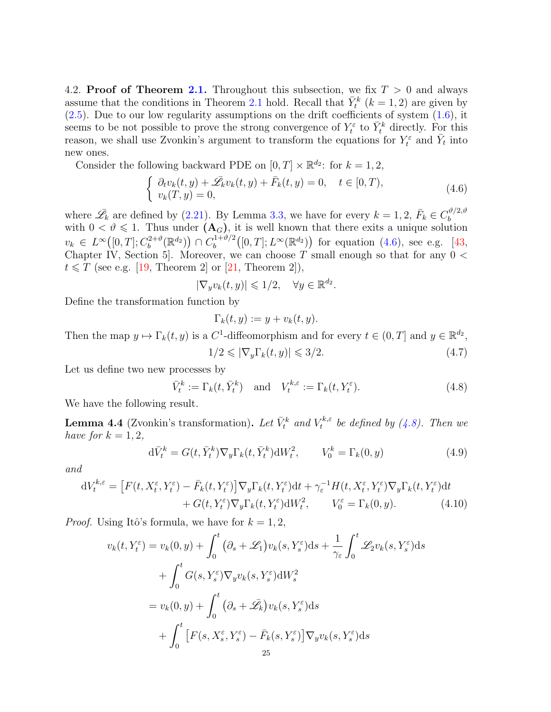<span id="page-24-0"></span>4.2. **Proof of Theorem [2.1.](#page-7-0)** Throughout this subsection, we fix  $T > 0$  and always assume that the conditions in Theorem [2.1](#page-7-0) hold. Recall that  $\bar{Y}_t^k$  ( $k = 1, 2$ ) are given by  $(2.5)$ . Due to our low regularity assumptions on the drift coefficients of system  $(1.6)$ , it seems to be not possible to prove the strong convergence of  $Y_t^{\varepsilon}$  to  $\bar{Y}_t^k$  directly. For this reason, we shall use Zvonkin's argument to transform the equations for  $Y_t^{\varepsilon}$  and  $\bar{Y}_t$  into new ones.

Consider the following backward PDE on  $[0, T] \times \mathbb{R}^{d_2}$ : for  $k = 1, 2$ ,

<span id="page-24-2"></span>
$$
\begin{cases}\n\partial_t v_k(t,y) + \overline{\mathscr{L}}_k v_k(t,y) + \overline{F}_k(t,y) = 0, \quad t \in [0,T), \\
v_k(T,y) = 0,\n\end{cases} \tag{4.6}
$$

where  $\bar{\mathscr{L}}_k$  are defined by [\(2.21\)](#page-15-0). By Lemma [3.3,](#page-17-5) we have for every  $k = 1, 2, \bar{F}_k \in C_b^{\vartheta/2, \vartheta}$ where  $\mathcal{Z}_k$  are defined by (2.21). By Bellina 3.5, we have for every  $\kappa = 1, 2, T_k \in C_b$ <br>with  $0 < \vartheta \le 1$ . Thus under  $(A_G)$ , it is well known that there exits a unique solution  $v_k \in L^{\infty}([0,T]; C_b^{2+\vartheta})$  $\binom{2+\vartheta}{b}(\mathbb{R}^{d_2})\big) \cap C_b^{1+\vartheta/2}$  $b_b^{(1+\vartheta/2}([0,T];L^{\infty}(\mathbb{R}^{d_2}))$  for equation  $(4.6)$ , see e.g. [\[43,](#page-48-21) Chapter IV, Section 5. Moreover, we can choose T small enough so that for any  $0 <$  $t \leq T$  (see e.g. [\[19,](#page-47-25) Theorem 2] or [\[21,](#page-47-26) Theorem 2]),

$$
|\nabla_y v_k(t,y)| \leq 1/2, \quad \forall y \in \mathbb{R}^{d_2}.
$$

Define the transformation function by

<span id="page-24-6"></span><span id="page-24-3"></span>
$$
\Gamma_k(t,y) := y + v_k(t,y).
$$

Then the map  $y \mapsto \Gamma_k(t, y)$  is a C<sup>1</sup>-diffeomorphism and for every  $t \in (0, T]$  and  $y \in \mathbb{R}^{d_2}$ ,

<span id="page-24-5"></span><span id="page-24-4"></span>
$$
1/2 \leqslant |\nabla_y \Gamma_k(t, y)| \leqslant 3/2. \tag{4.7}
$$

Let us define two new processes by

$$
\bar{V}_t^k := \Gamma_k(t, \bar{Y}_t^k) \quad \text{and} \quad V_t^{k,\varepsilon} := \Gamma_k(t, Y_t^{\varepsilon}). \tag{4.8}
$$

We have the following result.

<span id="page-24-1"></span>**Lemma 4.4** (Zvonkin's transformation). Let  $\bar{V}_t^k$  and  $V_t^{k,\varepsilon}$  $t^{\kappa,\varepsilon}$  be defined by [\(4.8\)](#page-24-3). Then we have for  $k = 1, 2$ ,

$$
\mathrm{d}\bar{V}_t^k = G(t, \bar{Y}_t^k) \nabla_y \Gamma_k(t, \bar{Y}_t^k) \mathrm{d}W_t^2, \qquad V_0^k = \Gamma_k(0, y) \tag{4.9}
$$

and

$$
dV_t^{k,\varepsilon} = \left[F(t, X_t^{\varepsilon}, Y_t^{\varepsilon}) - \bar{F}_k(t, Y_t^{\varepsilon})\right] \nabla_y \Gamma_k(t, Y_t^{\varepsilon}) dt + \gamma_{\varepsilon}^{-1} H(t, X_t^{\varepsilon}, Y_t^{\varepsilon}) \nabla_y \Gamma_k(t, Y_t^{\varepsilon}) dt + G(t, Y_t^{\varepsilon}) \nabla_y \Gamma_k(t, Y_t^{\varepsilon}) dW_t^2, \qquad V_0^{\varepsilon} = \Gamma_k(0, y). \tag{4.10}
$$

*Proof.* Using Itô's formula, we have for  $k = 1, 2$ ,

$$
v_k(t, Y_t^{\varepsilon}) = v_k(0, y) + \int_0^t (\partial_s + \mathcal{L}_1) v_k(s, Y_s^{\varepsilon}) ds + \frac{1}{\gamma_{\varepsilon}} \int_0^t \mathcal{L}_2 v_k(s, Y_s^{\varepsilon}) ds
$$
  
+ 
$$
\int_0^t G(s, Y_s^{\varepsilon}) \nabla_y v_k(s, Y_s^{\varepsilon}) dW_s^2
$$
  
= 
$$
v_k(0, y) + \int_0^t (\partial_s + \mathcal{L}_k) v_k(s, Y_s^{\varepsilon}) ds
$$
  
+ 
$$
\int_0^t [F(s, X_s^{\varepsilon}, Y_s^{\varepsilon}) - \bar{F}_k(s, Y_s^{\varepsilon})] \nabla_y v_k(s, Y_s^{\varepsilon}) ds
$$
  
25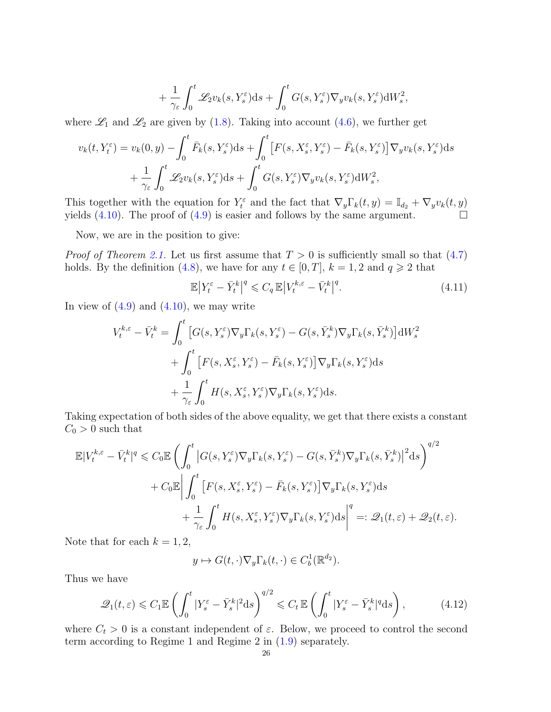$$
+\frac{1}{\gamma_{\varepsilon}}\int_0^t \mathscr{L}_2 v_k(s,Y_s^{\varepsilon})ds + \int_0^t G(s,Y_s^{\varepsilon})\nabla_y v_k(s,Y_s^{\varepsilon})\mathrm{d}W_s^2,
$$

where  $\mathscr{L}_1$  and  $\mathscr{L}_2$  are given by [\(1.8\)](#page-3-2). Taking into account [\(4.6\)](#page-24-2), we further get

$$
v_k(t, Y_t^{\varepsilon}) = v_k(0, y) - \int_0^t \bar{F}_k(s, Y_s^{\varepsilon}) ds + \int_0^t \left[ F(s, X_s^{\varepsilon}, Y_s^{\varepsilon}) - \bar{F}_k(s, Y_s^{\varepsilon}) \right] \nabla_y v_k(s, Y_s^{\varepsilon}) ds + \frac{1}{\gamma_{\varepsilon}} \int_0^t \mathcal{L}_2 v_k(s, Y_s^{\varepsilon}) ds + \int_0^t G(s, Y_s^{\varepsilon}) \nabla_y v_k(s, Y_s^{\varepsilon}) dW_s^2,
$$

This together with the equation for  $Y_t^{\varepsilon}$  and the fact that  $\nabla_y \Gamma_k(t, y) = \mathbb{I}_{d_2} + \nabla_y v_k(t, y)$ yields [\(4.10\)](#page-24-4). The proof of [\(4.9\)](#page-24-5) is easier and follows by the same argument.  $\Box$ 

Now, we are in the position to give:

*Proof of Theorem [2.1.](#page-7-0)* Let us first assume that  $T > 0$  is sufficiently small so that  $(4.7)$ holds. By the definition [\(4.8\)](#page-24-3), we have for any  $t \in [0, T]$ ,  $k = 1, 2$  and  $q \geq 2$  that

<span id="page-25-0"></span>
$$
\mathbb{E}\left|Y_t^{\varepsilon} - \bar{Y}_t^k\right|^q \leqslant C_q \mathbb{E}\left|V_t^{k,\varepsilon} - \bar{V}_t^k\right|^q. \tag{4.11}
$$

In view of  $(4.9)$  and  $(4.10)$ , we may write

$$
V_t^{k,\varepsilon} - \bar{V}_t^k = \int_0^t \left[ G(s, Y_s^{\varepsilon}) \nabla_y \Gamma_k(s, Y_s^{\varepsilon}) - G(s, \bar{Y}_s^k) \nabla_y \Gamma_k(s, \bar{Y}_s^k) \right] dW_s^2
$$
  
+ 
$$
\int_0^t \left[ F(s, X_s^{\varepsilon}, Y_s^{\varepsilon}) - \bar{F}_k(s, Y_s^{\varepsilon}) \right] \nabla_y \Gamma_k(s, Y_s^{\varepsilon}) ds
$$
  
+ 
$$
\frac{1}{\gamma_{\varepsilon}} \int_0^t H(s, X_s^{\varepsilon}, Y_s^{\varepsilon}) \nabla_y \Gamma_k(s, Y_s^{\varepsilon}) ds.
$$

Taking expectation of both sides of the above equality, we get that there exists a constant  $C_0 > 0$  such that

$$
\mathbb{E}|V_t^{k,\varepsilon} - \bar{V}_t^k|^q \leq C_0 \mathbb{E}\left(\int_0^t \left|G(s,Y_s^{\varepsilon})\nabla_y \Gamma_k(s,Y_s^{\varepsilon}) - G(s,\bar{Y}_s^k)\nabla_y \Gamma_k(s,\bar{Y}_s^k)\right|^2 ds\right)^{q/2} \n+ C_0 \mathbb{E}\left|\int_0^t \left[F(s,X_s^{\varepsilon},Y_s^{\varepsilon}) - \bar{F}_k(s,Y_s^{\varepsilon})\right]\nabla_y \Gamma_k(s,Y_s^{\varepsilon}) ds\right|^{q} \n+ \frac{1}{\gamma_{\varepsilon}} \int_0^t H(s,X_s^{\varepsilon},Y_s^{\varepsilon})\nabla_y \Gamma_k(s,Y_s^{\varepsilon}) ds\right|^q =: \mathcal{Q}_1(t,\varepsilon) + \mathcal{Q}_2(t,\varepsilon).
$$

Note that for each  $k = 1, 2$ ,

<span id="page-25-1"></span>
$$
y \mapsto G(t, \cdot) \nabla_y \Gamma_k(t, \cdot) \in C_b^1(\mathbb{R}^{d_2}).
$$

Thus we have

$$
\mathcal{Q}_1(t,\varepsilon) \leqslant C_1 \mathbb{E}\left(\int_0^t |Y_s^{\varepsilon} - \bar{Y}_s^k|^2 \mathrm{d}s\right)^{q/2} \leqslant C_t \mathbb{E}\left(\int_0^t |Y_s^{\varepsilon} - \bar{Y}_s^k|^q \mathrm{d}s\right),\tag{4.12}
$$

where  $C_t > 0$  is a constant independent of  $\varepsilon$ . Below, we proceed to control the second term according to Regime 1 and Regime 2 in [\(1.9\)](#page-4-0) separately.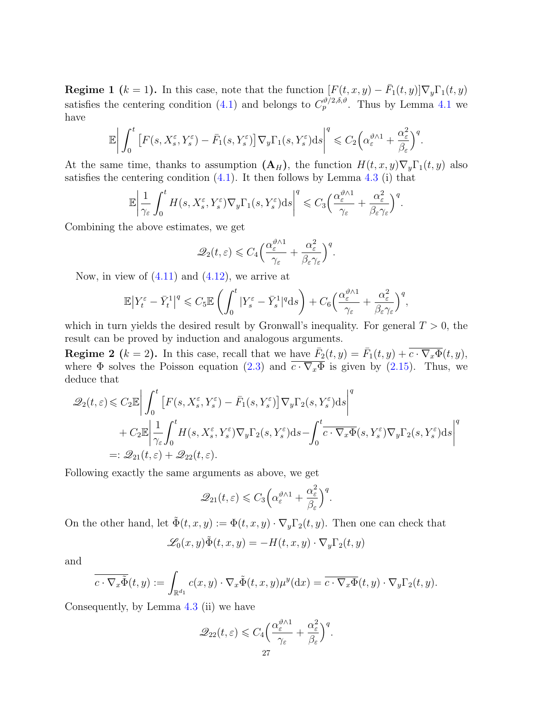**Regime 1**  $(k = 1)$ . In this case, note that the function  $[F(t, x, y) - \bar{F}_1(t, y)] \nabla_y \Gamma_1(t, y)$ satisfies the centering condition [\(4.1\)](#page-19-3) and belongs to  $C_p^{\vartheta/2,\delta,\vartheta}$ . Thus by Lemma [4.1](#page-19-5) we have

$$
\mathbb{E}\bigg|\int_0^t \big[F(s,X^\varepsilon_s,Y^\varepsilon_s) - \bar{F}_1(s,Y^\varepsilon_s)\big]\nabla_y\Gamma_1(s,Y^\varepsilon_s)\mathrm{d} s\bigg|^q\leqslant C_2\Big(\alpha_\varepsilon^{\vartheta\wedge 1} + \frac{\alpha_\varepsilon^2}{\beta_\varepsilon}\Big)^q.
$$

At the same time, thanks to assumption  $(A_H)$ , the function  $H(t, x, y) \nabla_y \Gamma_1(t, y)$  also satisfies the centering condition  $(4.1)$ . It then follows by Lemma [4.3](#page-22-0) (i) that

$$
\mathbb{E}\bigg|\frac{1}{\gamma_{\varepsilon}}\int_0^t H(s,X_s^{\varepsilon},Y_s^{\varepsilon})\nabla_y\Gamma_1(s,Y_s^{\varepsilon})\mathrm{d}s\bigg|^q\leqslant C_3\Big(\frac{\alpha_{\varepsilon}^{\vartheta\wedge 1}}{\gamma_{\varepsilon}}+\frac{\alpha_{\varepsilon}^2}{\beta_{\varepsilon}\gamma_{\varepsilon}}\Big)^q.
$$

Combining the above estimates, we get

$$
\mathscr{Q}_2(t,\varepsilon) \leqslant C_4 \Big( \frac{\alpha_\varepsilon^{\vartheta \wedge 1}}{\gamma_\varepsilon} + \frac{\alpha_\varepsilon^2}{\beta_\varepsilon \gamma_\varepsilon} \Big)^q.
$$

Now, in view of  $(4.11)$  and  $(4.12)$ , we arrive at

$$
\mathbb{E}|Y_t^{\varepsilon} - \bar{Y}_t^1|^q \leqslant C_5 \mathbb{E}\left(\int_0^t |Y_s^{\varepsilon} - \bar{Y}_s^1|^q \mathrm{d} s\right) + C_6 \Big(\frac{\alpha_{\varepsilon}^{\vartheta \wedge 1}}{\gamma_{\varepsilon}} + \frac{\alpha_{\varepsilon}^2}{\beta_{\varepsilon} \gamma_{\varepsilon}}\Big)^q,
$$

which in turn yields the desired result by Gronwall's inequality. For general  $T > 0$ , the result can be proved by induction and analogous arguments.

**Regime 2**  $(k = 2)$ . In this case, recall that we have  $\bar{F}_2(t, y) = \bar{F}_1(t, y) + \overline{c \cdot \nabla_x \Phi}(t, y)$ , where  $\Phi$  solves the Poisson equation [\(2.3\)](#page-7-7) and  $\overline{c \cdot \nabla_x \Phi}$  is given by [\(2.15\)](#page-11-4). Thus, we deduce that

$$
\mathcal{Q}_2(t,\varepsilon) \leq C_2 \mathbb{E} \bigg| \int_0^t \big[ F(s, X_s^{\varepsilon}, Y_s^{\varepsilon}) - \bar{F}_1(s, Y_s^{\varepsilon}) \big] \nabla_y \Gamma_2(s, Y_s^{\varepsilon}) ds \bigg|^q
$$
  
+  $C_2 \mathbb{E} \bigg| \frac{1}{\gamma_{\varepsilon}} \int_0^t H(s, X_s^{\varepsilon}, Y_s^{\varepsilon}) \nabla_y \Gamma_2(s, Y_s^{\varepsilon}) ds - \int_0^t \overline{c \cdot \nabla_x \Phi}(s, Y_s^{\varepsilon}) \nabla_y \Gamma_2(s, Y_s^{\varepsilon}) ds \bigg|^q$   
=:  $\mathcal{Q}_{21}(t,\varepsilon) + \mathcal{Q}_{22}(t,\varepsilon).$ 

Following exactly the same arguments as above, we get

$$
\mathcal{Q}_{21}(t,\varepsilon) \leqslant C_3 \Big( \alpha_{\varepsilon}^{\vartheta \wedge 1} + \frac{\alpha_{\varepsilon}^2}{\beta_{\varepsilon}} \Big)^q.
$$

On the other hand, let  $\tilde{\Phi}(t, x, y) := \Phi(t, x, y) \cdot \nabla_{y} \Gamma_{2}(t, y)$ . Then one can check that

$$
\mathscr{L}_0(x,y)\tilde{\Phi}(t,x,y) = -H(t,x,y)\cdot\nabla_y\Gamma_2(t,y)
$$

and

$$
\overline{c\cdot\nabla_x\tilde{\Phi}}(t,y):=\int_{\mathbb{R}^{d_1}}c(x,y)\cdot\nabla_x\tilde{\Phi}(t,x,y)\mu^y(\mathrm{d}x)=\overline{c\cdot\nabla_x\Phi}(t,y)\cdot\nabla_y\Gamma_2(t,y).
$$

Consequently, by Lemma [4.3](#page-22-0) (ii) we have

$$
\mathscr{Q}_{22}(t,\varepsilon) \leqslant C_4 \Big( \frac{\alpha_{\varepsilon}^{\vartheta \wedge 1}}{\gamma_{\varepsilon}} + \frac{\alpha_{\varepsilon}^2}{\beta_{\varepsilon}} \Big)^q.
$$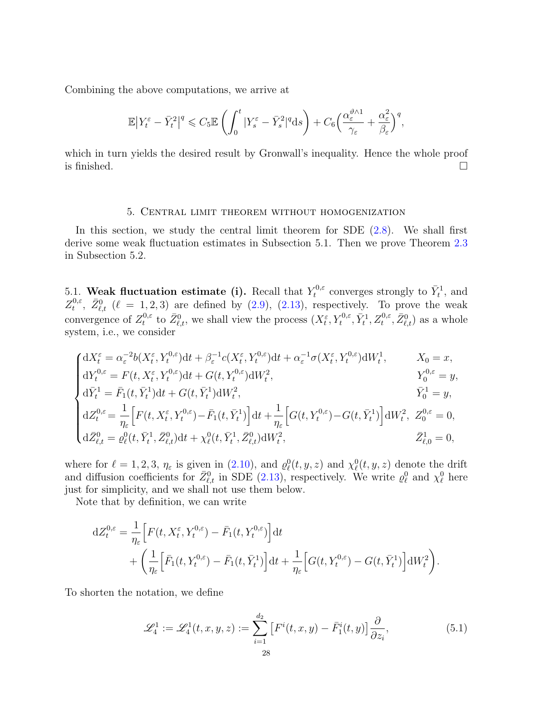Combining the above computations, we arrive at

$$
\mathbb{E}\big|Y_t^{\varepsilon}-\bar{Y}_t^2\big|^q\leqslant C_5\mathbb{E}\left(\int_0^t|Y_s^{\varepsilon}-\bar{Y}_s^2|^q\mathrm{d} s\right)+C_6\Big(\frac{\alpha_{\varepsilon}^{\vartheta\wedge 1}}{\gamma_{\varepsilon}}+\frac{\alpha_{\varepsilon}^2}{\beta_{\varepsilon}}\Big)^q,
$$

which in turn yields the desired result by Gronwall's inequality. Hence the whole proof is finished.  $\Box$ 

## 5. Central limit theorem without homogenization

<span id="page-27-0"></span>In this section, we study the central limit theorem for SDE [\(2.8\)](#page-8-2). We shall first derive some weak fluctuation estimates in Subsection 5.1. Then we prove Theorem [2.3](#page-9-0) in Subsection 5.2.

<span id="page-27-1"></span>5.1. Weak fluctuation estimate (i). Recall that  $Y_t^{0,\varepsilon}$ <sup> $\tau_t^{0,\varepsilon}$ </sup> converges strongly to  $\bar{Y}_t^1$ , and  $Z_{t}^{0,\varepsilon}$  $t^{0,\varepsilon}$ ,  $\bar{Z}_{\ell,t}^0$  ( $\ell = 1, 2, 3$ ) are defined by [\(2.9\)](#page-9-5), [\(2.13\)](#page-9-2), respectively. To prove the weak convergence of  $Z_t^{0,\varepsilon}$ <sup>0,ε</sup> to  $\bar{Z}_{\ell,t}^0$ , we shall view the process  $(X_t^{\varepsilon}, Y_t^{0,\varepsilon}, \bar{Y}_t^1, Z_t^{0,\varepsilon}, \bar{Z}_{\ell,t}^0)$  as a whole system, i.e., we consider

$$
\begin{cases} dX_t^{\varepsilon} = \alpha_{\varepsilon}^{-2}b(X_t^{\varepsilon}, Y_t^{0,\varepsilon})dt + \beta_{\varepsilon}^{-1}c(X_t^{\varepsilon}, Y_t^{0,\varepsilon})dt + \alpha_{\varepsilon}^{-1}\sigma(X_t^{\varepsilon}, Y_t^{0,\varepsilon})dW_t^1, & X_0 = x, \\ dY_t^{0,\varepsilon} = F(t, X_t^{\varepsilon}, Y_t^{0,\varepsilon})dt + G(t, Y_t^{0,\varepsilon})dW_t^2, & Y_0^{0,\varepsilon} = y, \\ d\bar{Y}_t^1 = \bar{F}_1(t, \bar{Y}_t^1)dt + G(t, \bar{Y}_t^1)dW_t^2, & \bar{Y}_0^1 = y, \\ dZ_t^{0,\varepsilon} = \frac{1}{\eta_{\varepsilon}} \Big[ F(t, X_t^{\varepsilon}, Y_t^{0,\varepsilon}) - \bar{F}_1(t, \bar{Y}_t^1) \Big] dt + \frac{1}{\eta_{\varepsilon}} \Big[ G(t, Y_t^{0,\varepsilon}) - G(t, \bar{Y}_t^1) \Big] dW_t^2, & Z_0^{0,\varepsilon} = 0, \\ d\bar{Z}_{\ell,t}^0 = \varrho_{\ell}^0(t, \bar{Y}_t^1, \bar{Z}_{\ell,t}^0)dt + \chi_{\ell}^0(t, \bar{Y}_t^1, \bar{Z}_{\ell,t}^0)dW_t^2, & \bar{Z}_{\ell,0}^1 = 0, \end{cases}
$$

where for  $\ell = 1, 2, 3, \eta_{\varepsilon}$  is given in [\(2.10\)](#page-9-1), and  $\rho_{\ell}^{0}(t, y, z)$  and  $\chi_{\ell}^{0}(t, y, z)$  denote the drift and diffusion coefficients for  $\bar{Z}_{\ell,t}^0$  in SDE [\(2.13\)](#page-9-2), respectively. We write  $\varrho_\ell^0$  and  $\chi_\ell^0$  here just for simplicity, and we shall not use them below.

Note that by definition, we can write

$$
dZ_t^{0,\varepsilon} = \frac{1}{\eta_{\varepsilon}} \Big[ F(t, X_t^{\varepsilon}, Y_t^{0,\varepsilon}) - \bar{F}_1(t, Y_t^{0,\varepsilon}) \Big] dt + \left( \frac{1}{\eta_{\varepsilon}} \Big[ \bar{F}_1(t, Y_t^{0,\varepsilon}) - \bar{F}_1(t, \bar{Y}_t^1) \Big] dt + \frac{1}{\eta_{\varepsilon}} \Big[ G(t, Y_t^{0,\varepsilon}) - G(t, \bar{Y}_t^1) \Big] dW_t^2 \right).
$$

To shorten the notation, we define

<span id="page-27-2"></span>
$$
\mathcal{L}_4^1 := \mathcal{L}_4^1(t, x, y, z) := \sum_{i=1}^{d_2} \left[ F^i(t, x, y) - \bar{F}_1^i(t, y) \right] \frac{\partial}{\partial z_i},\tag{5.1}
$$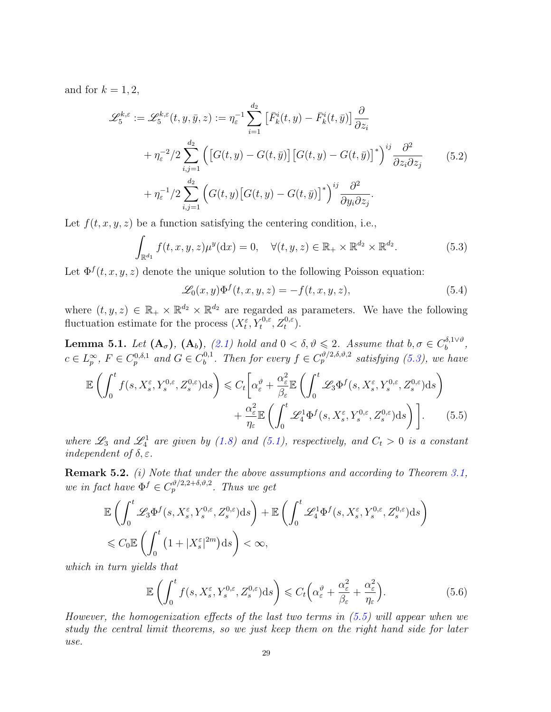and for  $k = 1, 2$ ,

$$
\mathcal{L}_{5}^{k,\varepsilon} := \mathcal{L}_{5}^{k,\varepsilon}(t, y, \bar{y}, z) := \eta_{\varepsilon}^{-1} \sum_{i=1}^{d_{2}} \left[ \bar{F}_{k}^{i}(t, y) - \bar{F}_{k}^{i}(t, \bar{y}) \right] \frac{\partial}{\partial z_{i}} \n+ \eta_{\varepsilon}^{-2} / 2 \sum_{i,j=1}^{d_{2}} \left( \left[ G(t, y) - G(t, \bar{y}) \right] \left[ G(t, y) - G(t, \bar{y}) \right]^{*} \right)^{ij} \frac{\partial^{2}}{\partial z_{i} \partial z_{j}} \n+ \eta_{\varepsilon}^{-1} / 2 \sum_{i,j=1}^{d_{2}} \left( G(t, y) \left[ G(t, y) - G(t, \bar{y}) \right]^{*} \right)^{ij} \frac{\partial^{2}}{\partial y_{i} \partial z_{j}}.
$$
\n(5.2)

Let  $f(t, x, y, z)$  be a function satisfying the centering condition, i.e.,

$$
\int_{\mathbb{R}^{d_1}} f(t, x, y, z) \mu^y(\mathrm{d}x) = 0, \quad \forall (t, y, z) \in \mathbb{R}_+ \times \mathbb{R}^{d_2} \times \mathbb{R}^{d_2}.
$$
 (5.3)

Let  $\Phi^f(t, x, y, z)$  denote the unique solution to the following Poisson equation:

<span id="page-28-4"></span><span id="page-28-3"></span><span id="page-28-2"></span><span id="page-28-1"></span>
$$
\mathcal{L}_0(x,y)\Phi^f(t,x,y,z) = -f(t,x,y,z),\tag{5.4}
$$

where  $(t, y, z) \in \mathbb{R}_+ \times \mathbb{R}^{d_2} \times \mathbb{R}^{d_2}$  are regarded as parameters. We have the following fluctuation estimate for the process  $(X_t^{\varepsilon}, Y_t^{0,\varepsilon}, Z_t^{0,\varepsilon}).$ 

<span id="page-28-0"></span>**Lemma 5.1.** Let  $(A_{\sigma})$ ,  $(A_{b})$ ,  $(2.1)$  hold and  $0 < \delta, \vartheta \leq 2$ . Assume that  $b, \sigma \in C_b^{\delta, 1 \vee \vartheta}$  $b^{(0,1\vee v},$  $c \in L_p^{\infty}, F \in C_p^{0,\delta,1}$  and  $G \in C_b^{0,1}$ <sup>0,1</sup>. Then for every  $f \in C_p^{\vartheta/2, \delta, \vartheta, 2}$  satisfying [\(5.3\)](#page-28-1), we have

$$
\mathbb{E}\left(\int_{0}^{t}f(s,X_{s}^{\varepsilon},Y_{s}^{0,\varepsilon},Z_{s}^{0,\varepsilon})\mathrm{d}s\right) \leq C_{t}\left[\alpha_{\varepsilon}^{\vartheta} + \frac{\alpha_{\varepsilon}^{2}}{\beta_{\varepsilon}}\mathbb{E}\left(\int_{0}^{t}\mathscr{L}_{3}\Phi^{f}(s,X_{s}^{\varepsilon},Y_{s}^{0,\varepsilon},Z_{s}^{0,\varepsilon})\mathrm{d}s\right) + \frac{\alpha_{\varepsilon}^{2}}{\eta_{\varepsilon}}\mathbb{E}\left(\int_{0}^{t}\mathscr{L}_{4}^{1}\Phi^{f}(s,X_{s}^{\varepsilon},Y_{s}^{0,\varepsilon},Z_{s}^{0,\varepsilon})\mathrm{d}s\right)\right].
$$
 (5.5)

where  $\mathscr{L}_3$  and  $\mathscr{L}_4^1$  are given by [\(1.8\)](#page-3-2) and [\(5.1\)](#page-27-2), respectively, and  $C_t > 0$  is a constant independent of  $\delta, \varepsilon$ .

Remark 5.2. *(i)* Note that under the above assumptions and according to Theorem [3.1,](#page-16-1) we in fact have  $\Phi^f \in C_p^{\vartheta/2,2+\delta,\vartheta,2}$ . Thus we get

$$
\mathbb{E}\left(\int_0^t \mathcal{L}_3 \Phi^f(s, X_s^{\varepsilon}, Y_s^{0,\varepsilon}, Z_s^{0,\varepsilon}) ds\right) + \mathbb{E}\left(\int_0^t \mathcal{L}_4^1 \Phi^f(s, X_s^{\varepsilon}, Y_s^{0,\varepsilon}, Z_s^{0,\varepsilon}) ds\right) \leqslant C_0 \mathbb{E}\left(\int_0^t \left(1 + |X_s^{\varepsilon}|^{2m}\right) ds\right) < \infty,
$$

which in turn yields that

<span id="page-28-5"></span>
$$
\mathbb{E}\left(\int_0^t f(s, X_s^{\varepsilon}, Y_s^{0,\varepsilon}, Z_s^{0,\varepsilon})ds\right) \leqslant C_t\left(\alpha_{\varepsilon}^{\vartheta} + \frac{\alpha_{\varepsilon}^2}{\beta_{\varepsilon}} + \frac{\alpha_{\varepsilon}^2}{\eta_{\varepsilon}}\right).
$$
\n(5.6)

However, the homogenization effects of the last two terms in  $(5.5)$  will appear when we study the central limit theorems, so we just keep them on the right hand side for later use.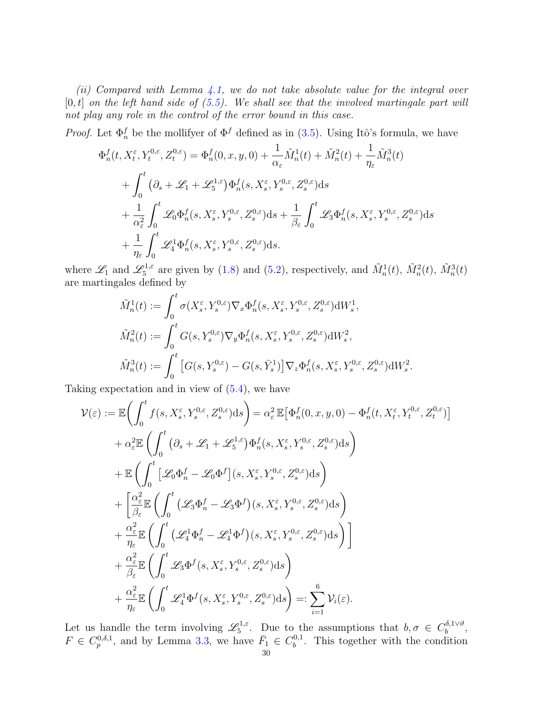(ii) Compared with Lemma  $\angle 4.1$ , we do not take absolute value for the integral over  $[0, t]$  on the left hand side of  $(5.5)$ . We shall see that the involved martingale part will not play any role in the control of the error bound in this case.

*Proof.* Let  $\Phi_n^f$  be the mollifyer of  $\Phi^f$  defined as in [\(3.5\)](#page-17-0). Using Itô's formula, we have

$$
\Phi_n^f(t, X_t^{\varepsilon}, Y_t^{0,\varepsilon}, Z_t^{0,\varepsilon}) = \Phi_n^f(0, x, y, 0) + \frac{1}{\alpha_{\varepsilon}} \tilde{M}_n^1(t) + \tilde{M}_n^2(t) + \frac{1}{\eta_{\varepsilon}} \tilde{M}_n^3(t) \n+ \int_0^t \left( \partial_s + \mathcal{L}_1 + \mathcal{L}_5^{1,\varepsilon} \right) \Phi_n^f(s, X_s^{\varepsilon}, Y_s^{0,\varepsilon}, Z_s^{0,\varepsilon}) ds \n+ \frac{1}{\alpha_{\varepsilon}^2} \int_0^t \mathcal{L}_0 \Phi_n^f(s, X_s^{\varepsilon}, Y_s^{0,\varepsilon}, Z_s^{0,\varepsilon}) ds + \frac{1}{\beta_{\varepsilon}} \int_0^t \mathcal{L}_3 \Phi_n^f(s, X_s^{\varepsilon}, Y_s^{0,\varepsilon}, Z_s^{0,\varepsilon}) ds \n+ \frac{1}{\eta_{\varepsilon}} \int_0^t \mathcal{L}_4^1 \Phi_n^f(s, X_s^{\varepsilon}, Y_s^{0,\varepsilon}, Z_s^{0,\varepsilon}) ds.
$$

where  $\mathscr{L}_1$  and  $\mathscr{L}_5^{1,\varepsilon}$ <sup>o1, $\varepsilon$ </sup> are given by [\(1.8\)](#page-3-2) and [\(5.2\)](#page-28-3), respectively, and  $\tilde{M}_n^1(t)$ ,  $\tilde{M}_n^2(t)$ ,  $\tilde{M}_n^3(t)$ are martingales defined by

$$
\tilde{M}_n^1(t) := \int_0^t \sigma(X_s^{\varepsilon}, Y_s^{0,\varepsilon}) \nabla_x \Phi_n^f(s, X_s^{\varepsilon}, Y_s^{0,\varepsilon}, Z_s^{0,\varepsilon}) dW_s^1,
$$
\n
$$
\tilde{M}_n^2(t) := \int_0^t G(s, Y_s^{0,\varepsilon}) \nabla_y \Phi_n^f(s, X_s^{\varepsilon}, Y_s^{0,\varepsilon}, Z_s^{0,\varepsilon}) dW_s^2,
$$
\n
$$
\tilde{M}_n^3(t) := \int_0^t \left[ G(s, Y_s^{0,\varepsilon}) - G(s, \bar{Y}_s^1) \right] \nabla_z \Phi_n^f(s, X_s^{\varepsilon}, Y_s^{0,\varepsilon}, Z_s^{0,\varepsilon}) dW_s^2.
$$

Taking expectation and in view of [\(5.4\)](#page-28-4), we have

$$
\mathcal{V}(\varepsilon) := \mathbb{E}\bigg(\int_0^t f(s, X_s^{\varepsilon}, Y_s^{0,\varepsilon}, Z_s^{0,\varepsilon})ds\bigg) = \alpha_{\varepsilon}^2 \mathbb{E}\big[\Phi_n^f(0, x, y, 0) - \Phi_n^f(t, X_t^{\varepsilon}, Y_t^{0,\varepsilon}, Z_t^{0,\varepsilon})\big] + \alpha_{\varepsilon}^2 \mathbb{E}\bigg(\int_0^t \big(\partial_s + \mathcal{L}_1 + \mathcal{L}_s^{1,\varepsilon}\big)\Phi_n^f(s, X_s^{\varepsilon}, Y_s^{0,\varepsilon}, Z_s^{0,\varepsilon})ds\bigg) + \mathbb{E}\bigg(\int_0^t \big[\mathcal{L}_0\Phi_n^f - \mathcal{L}_0\Phi^f\big](s, X_s^{\varepsilon}, Y_s^{0,\varepsilon}, Z_s^{0,\varepsilon})ds\bigg) + \bigg[\frac{\alpha_{\varepsilon}^2}{\beta_{\varepsilon}} \mathbb{E}\bigg(\int_0^t \big(\mathcal{L}_3\Phi_n^f - \mathcal{L}_3\Phi^f\big)(s, X_s^{\varepsilon}, Y_s^{0,\varepsilon}, Z_s^{0,\varepsilon})ds\bigg) + \frac{\alpha_{\varepsilon}^2}{\eta_{\varepsilon}} \mathbb{E}\bigg(\int_0^t \big(\mathcal{L}_4^1\Phi_n^f - \mathcal{L}_4^1\Phi^f\big)(s, X_s^{\varepsilon}, Y_s^{0,\varepsilon}, Z_s^{0,\varepsilon})ds\bigg)\bigg] + \frac{\alpha_{\varepsilon}^2}{\beta_{\varepsilon}} \mathbb{E}\bigg(\int_0^t \mathcal{L}_3\Phi^f(s, X_s^{\varepsilon}, Y_s^{0,\varepsilon}, Z_s^{0,\varepsilon})ds\bigg) + \frac{\alpha_{\varepsilon}^2}{\eta_{\varepsilon}} \mathbb{E}\bigg(\int_0^t \mathcal{L}_4^1\Phi^f(s, X_s^{\varepsilon}, Y_s^{0,\varepsilon}, Z_s^{0,\varepsilon})ds\bigg) =: \sum_{i=1}^6 \mathcal{V}_i(\varepsilon).
$$

Let us handle the term involving  $\mathscr{L}_5^{1,\varepsilon}$ <sup>21, $\varepsilon$ </sup>. Due to the assumptions that  $b, \sigma \in C_b^{\delta, 1 \vee \vartheta}$  $\iota_b^{0,1\vee \vartheta},$  $F \in C_p^{0,\delta,1}$ , and by Lemma [3.3,](#page-17-5) we have  $\bar{F}_1 \in C_b^{0,1}$  $b^{0,1}$ . This together with the condition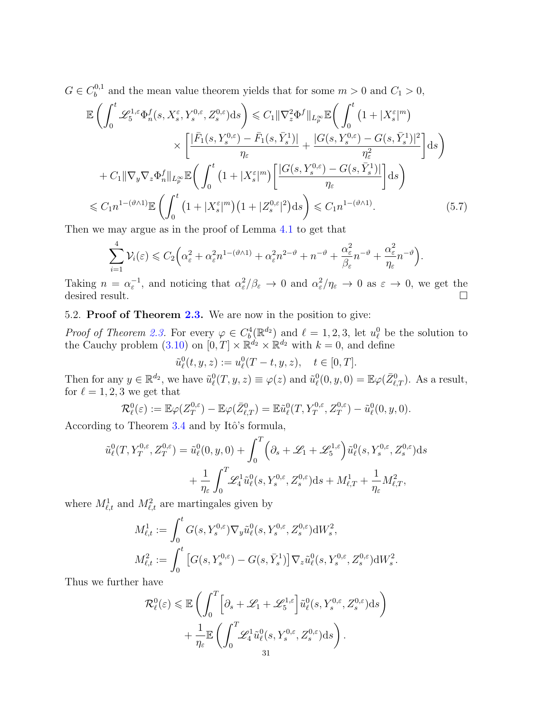$G \in C_b^{0,1}$  $b_b^{0,1}$  and the mean value theorem yields that for some  $m > 0$  and  $C_1 > 0$ ,

$$
\mathbb{E}\left(\int_{0}^{t} \mathcal{L}_{5}^{1,\varepsilon}\Phi_{n}^{f}(s,X_{s}^{\varepsilon},Y_{s}^{0,\varepsilon},Z_{s}^{0,\varepsilon})\mathrm{d}s\right) \leq C_{1}\|\nabla_{z}^{2}\Phi^{f}\|_{L_{p}^{\infty}}\mathbb{E}\left(\int_{0}^{t}\left(1+|X_{s}^{\varepsilon}|^{m}\right) \times\left[\frac{|\bar{F}_{1}(s,Y_{s}^{0,\varepsilon})-\bar{F}_{1}(s,\bar{Y}_{s}^{1})|}{\eta_{\varepsilon}}+\frac{|G(s,Y_{s}^{0,\varepsilon})-G(s,\bar{Y}_{s}^{1})|^{2}}{\eta_{\varepsilon}^{2}}\right]\mathrm{d}s\right)
$$

$$
+C_{1}\|\nabla_{y}\nabla_{z}\Phi_{n}^{f}\|_{L_{p}^{\infty}}\mathbb{E}\left(\int_{0}^{t}\left(1+|X_{s}^{\varepsilon}|^{m}\right)\left[\frac{|G(s,Y_{s}^{0,\varepsilon})-G(s,\bar{Y}_{s}^{1})|}{\eta_{\varepsilon}}\right]\mathrm{d}s\right)
$$

$$
\leq C_{1}n^{1-(\vartheta\wedge 1)}\mathbb{E}\left(\int_{0}^{t}\left(1+|X_{s}^{\varepsilon}|^{m}\right)\left(1+|Z_{s}^{0,\varepsilon}|^{2}\right)\mathrm{d}s\right) \leq C_{1}n^{1-(\vartheta\wedge 1)}.\tag{5.7}
$$

Then we may argue as in the proof of Lemma [4.1](#page-19-5) to get that

$$
\sum_{i=1}^4 \mathcal{V}_i(\varepsilon) \leqslant C_2 \Big( \alpha_{\varepsilon}^2 + \alpha_{\varepsilon}^2 n^{1 - (\vartheta \wedge 1)} + \alpha_{\varepsilon}^2 n^{2 - \vartheta} + n^{-\vartheta} + \frac{\alpha_{\varepsilon}^2}{\beta_{\varepsilon}} n^{-\vartheta} + \frac{\alpha_{\varepsilon}^2}{\eta_{\varepsilon}} n^{-\vartheta} \Big).
$$

Taking  $n = \alpha_{\varepsilon}^{-1}$ , and noticing that  $\alpha_{\varepsilon}^2/\beta_{\varepsilon} \to 0$  and  $\alpha_{\varepsilon}^2/\eta_{\varepsilon} \to 0$  as  $\varepsilon \to 0$ , we get the desired result.

<span id="page-30-0"></span>5.2. Proof of Theorem [2.3.](#page-9-0) We are now in the position to give:

*Proof of Theorem [2.3.](#page-9-0)* For every  $\varphi \in C_b^4(\mathbb{R}^{d_2})$  and  $\ell = 1, 2, 3$ , let  $u_{\ell}^0$  be the solution to the Cauchy problem [\(3.10\)](#page-18-0) on  $[0, T] \times \mathbb{R}^{d_2} \times \mathbb{R}^{d_2}$  with  $k = 0$ , and define

<span id="page-30-1"></span>
$$
\tilde{u}^0_{\ell}(t, y, z) := u^0_{\ell}(T - t, y, z), \quad t \in [0, T].
$$

Then for any  $y \in \mathbb{R}^{d_2}$ , we have  $\tilde{u}^0_\ell(T, y, z) \equiv \varphi(z)$  and  $\tilde{u}^0_\ell(0, y, 0) = \mathbb{E}\varphi(\bar{Z}^0_{\ell,T})$ . As a result, for  $\ell = 1, 2, 3$  we get that

$$
\mathcal{R}_{\ell}^0(\varepsilon) := \mathbb{E}\varphi(Z_T^{0,\varepsilon}) - \mathbb{E}\varphi(\bar{Z}_{\ell,T}^0) = \mathbb{E}\tilde{u}_{\ell}^0(T, Y_T^{0,\varepsilon}, Z_T^{0,\varepsilon}) - \tilde{u}_{\ell}^0(0, y, 0).
$$

According to Theorem  $3.4$  and by Itô's formula,

$$
\tilde{u}_{\ell}^{0}(T, Y_{T}^{0,\varepsilon}, Z_{T}^{0,\varepsilon}) = \tilde{u}_{\ell}^{0}(0, y, 0) + \int_{0}^{T} \left(\partial_{s} + \mathcal{L}_{1} + \mathcal{L}_{5}^{1,\varepsilon}\right) \tilde{u}_{\ell}^{0}(s, Y_{s}^{0,\varepsilon}, Z_{s}^{0,\varepsilon}) ds \n+ \frac{1}{\eta_{\varepsilon}} \int_{0}^{T} \mathcal{L}_{4}^{1} \tilde{u}_{\ell}^{0}(s, Y_{s}^{0,\varepsilon}, Z_{s}^{0,\varepsilon}) ds + M_{\ell,T}^{1} + \frac{1}{\eta_{\varepsilon}} M_{\ell,T}^{2},
$$

where  $M_{\ell,t}^1$  and  $M_{\ell,t}^2$  are martingales given by

$$
M_{\ell,t}^1 := \int_0^t G(s, Y_s^{0,\varepsilon}) \nabla_y \tilde{u}_{\ell}^0(s, Y_s^{0,\varepsilon}, Z_s^{0,\varepsilon}) dW_s^2,
$$
  

$$
M_{\ell,t}^2 := \int_0^t \left[ G(s, Y_s^{0,\varepsilon}) - G(s, \bar{Y}_s^1) \right] \nabla_z \tilde{u}_{\ell}^0(s, Y_s^{0,\varepsilon}, Z_s^{0,\varepsilon}) dW_s^2.
$$

Thus we further have

$$
\mathcal{R}_{\ell}^{0}(\varepsilon) \leq \mathbb{E}\left(\int_{0}^{T} \left[\partial_{s} + \mathscr{L}_{1} + \mathscr{L}_{5}^{1,\varepsilon}\right] \tilde{u}_{\ell}^{0}(s, Y_{s}^{0,\varepsilon}, Z_{s}^{0,\varepsilon}) \mathrm{d}s\right) + \frac{1}{\eta_{\varepsilon}} \mathbb{E}\left(\int_{0}^{T} \mathscr{L}_{4}^{1} \tilde{u}_{\ell}^{0}(s, Y_{s}^{0,\varepsilon}, Z_{s}^{0,\varepsilon}) \mathrm{d}s\right).
$$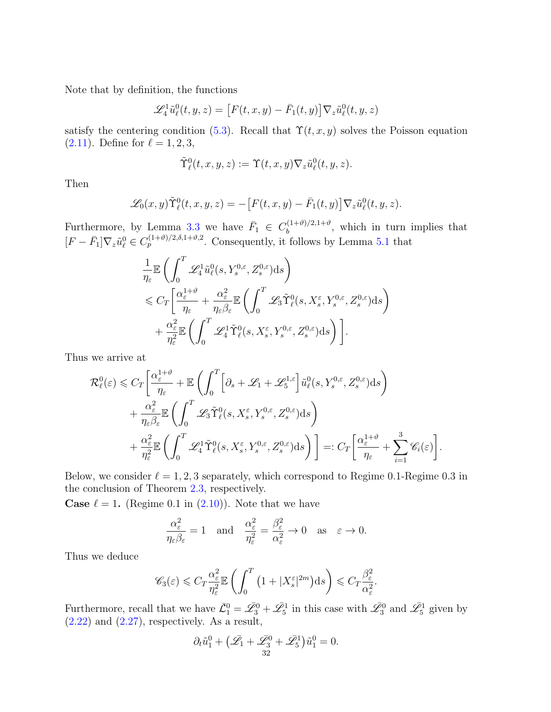Note that by definition, the functions

$$
\mathcal{L}_4^1 \tilde{u}_\ell^0(t, y, z) = \left[ F(t, x, y) - \bar{F}_1(t, y) \right] \nabla_z \tilde{u}_\ell^0(t, y, z)
$$

satisfy the centering condition [\(5.3\)](#page-28-1). Recall that  $\Upsilon(t, x, y)$  solves the Poisson equation  $(2.11)$ . Define for  $\ell = 1, 2, 3$ ,

$$
\tilde{\Upsilon}^0_\ell(t,x,y,z) := \Upsilon(t,x,y) \nabla_z \tilde{u}^0_\ell(t,y,z).
$$

Then

$$
\mathscr{L}_0(x,y)\tilde{\Upsilon}^0_{\ell}(t,x,y,z) = -\big[F(t,x,y) - \bar{F}_1(t,y)\big]\nabla_z \tilde{u}^0_{\ell}(t,y,z).
$$

Furthermore, by Lemma [3.3](#page-17-5) we have  $\bar{F}_1 \in C_b^{(1+\vartheta)/2,1+\vartheta}$  $b^{((1+v)/2,1+v)}$ , which in turn implies that  $[F - \bar{F}_1] \nabla_z \tilde{u}_\ell^0 \in C_p^{(1+\vartheta)/2, \delta, 1+\vartheta, 2}$ . Consequently, it follows by Lemma [5.1](#page-28-0) that

$$
\frac{1}{\eta_{\varepsilon}} \mathbb{E} \left( \int_0^T \mathscr{L}_4^1 \tilde{u}_\ell^0(s, Y_s^{0, \varepsilon}, Z_s^{0, \varepsilon}) ds \right) \n\leq C_T \left[ \frac{\alpha_{\varepsilon}^{1+\vartheta}}{\eta_{\varepsilon}} + \frac{\alpha_{\varepsilon}^2}{\eta_{\varepsilon} \beta_{\varepsilon}} \mathbb{E} \left( \int_0^T \mathscr{L}_3 \tilde{\Upsilon}_\ell^0(s, X_s^{\varepsilon}, Y_s^{0, \varepsilon}, Z_s^{0, \varepsilon}) ds \right) \n+ \frac{\alpha_{\varepsilon}^2}{\eta_{\varepsilon}^2} \mathbb{E} \left( \int_0^T \mathscr{L}_4^1 \tilde{\Upsilon}_\ell^0(s, X_s^{\varepsilon}, Y_s^{0, \varepsilon}, Z_s^{0, \varepsilon}) ds \right) \right].
$$

Thus we arrive at

$$
\mathcal{R}_{\ell}^{0}(\varepsilon) \leqslant C_{T} \bigg[ \frac{\alpha_{\varepsilon}^{1+\vartheta}}{\eta_{\varepsilon}} + \mathbb{E} \left( \int_{0}^{T} \bigg[ \partial_{s} + \mathcal{L}_{1} + \mathcal{L}_{5}^{1,\varepsilon} \bigg] \tilde{u}_{\ell}^{0}(s, Y_{s}^{0,\varepsilon}, Z_{s}^{0,\varepsilon}) \mathrm{d}s \right) + \frac{\alpha_{\varepsilon}^{2}}{\eta_{\varepsilon}\beta_{\varepsilon}} \mathbb{E} \left( \int_{0}^{T} \mathcal{L}_{3} \tilde{\Upsilon}_{\ell}^{0}(s, X_{s}^{\varepsilon}, Y_{s}^{0,\varepsilon}, Z_{s}^{0,\varepsilon}) \mathrm{d}s \right) + \frac{\alpha_{\varepsilon}^{2}}{\eta_{\varepsilon}^{2}} \mathbb{E} \left( \int_{0}^{T} \mathcal{L}_{4}^{1} \tilde{\Upsilon}_{\ell}^{0}(s, X_{s}^{\varepsilon}, Y_{s}^{0,\varepsilon}, Z_{s}^{0,\varepsilon}) \mathrm{d}s \right) \bigg] =: C_{T} \bigg[ \frac{\alpha_{\varepsilon}^{1+\vartheta}}{\eta_{\varepsilon}} + \sum_{i=1}^{3} \mathscr{C}_{i}(\varepsilon) \bigg].
$$

Below, we consider  $\ell = 1, 2, 3$  separately, which correspond to Regime 0.1-Regime 0.3 in the conclusion of Theorem [2.3,](#page-9-0) respectively.

**Case**  $\ell = 1$ . (Regime 0.1 in [\(2.10\)](#page-9-1)). Note that we have

$$
\frac{\alpha_{\varepsilon}^2}{\eta_{\varepsilon}\beta_{\varepsilon}} = 1 \quad \text{and} \quad \frac{\alpha_{\varepsilon}^2}{\eta_{\varepsilon}^2} = \frac{\beta_{\varepsilon}^2}{\alpha_{\varepsilon}^2} \to 0 \quad \text{as} \quad \varepsilon \to 0.
$$

Thus we deduce

$$
\mathscr{C}_3(\varepsilon) \leqslant C_T \frac{\alpha_{\varepsilon}^2}{\eta_{\varepsilon}^2} \mathbb{E}\left(\int_0^T \left(1 + |X_s^{\varepsilon}|^{2m}\right) \mathrm{d}s\right) \leqslant C_T \frac{\beta_{\varepsilon}^2}{\alpha_{\varepsilon}^2}.
$$

Furthermore, recall that we have  $\bar{\mathcal{L}}_1^0 = \bar{\mathcal{L}}_3^0 + \bar{\mathcal{L}}_5^1$  in this case with  $\bar{\mathcal{L}}_3^0$  and  $\bar{\mathcal{L}}_5^1$  given by  $(2.22)$  and  $(2.27)$ , respectively. As a result,

$$
\partial_t \tilde{u}_1^0 + \left(\bar{\mathcal{L}}_1 + \bar{\mathcal{L}}_3^0 + \bar{\mathcal{L}}_5^1\right) \tilde{u}_1^0 = 0.
$$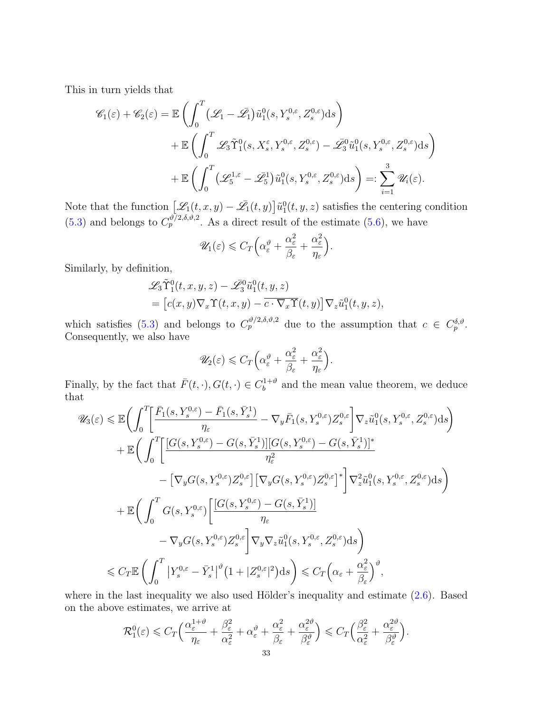This in turn yields that

$$
\mathscr{C}_{1}(\varepsilon) + \mathscr{C}_{2}(\varepsilon) = \mathbb{E}\left(\int_{0}^{T} (\mathscr{L}_{1} - \bar{\mathscr{L}_{1}}) \tilde{u}_{1}^{0}(s, Y_{s}^{0,\varepsilon}, Z_{s}^{0,\varepsilon})ds\right) + \mathbb{E}\left(\int_{0}^{T} \mathscr{L}_{3} \tilde{\Upsilon}_{1}^{0}(s, X_{s}^{\varepsilon}, Y_{s}^{0,\varepsilon}, Z_{s}^{0,\varepsilon}) - \bar{\mathscr{L}}_{3}^{0} \tilde{u}_{1}^{0}(s, Y_{s}^{0,\varepsilon}, Z_{s}^{0,\varepsilon})ds\right) + \mathbb{E}\left(\int_{0}^{T} (\mathscr{L}_{5}^{1,\varepsilon} - \bar{\mathscr{L}_{5}}^{1}) \tilde{u}_{1}^{0}(s, Y_{s}^{0,\varepsilon}, Z_{s}^{0,\varepsilon})ds\right) =: \sum_{i=1}^{3} \mathscr{U}_{i}(\varepsilon).
$$

Note that the function  $\left[ \mathscr{L}_1(t,x,y) - \bar{\mathscr{L}}_1(t,y) \right] \tilde{u}_1^0(t,y,z)$  satisfies the centering condition [\(5.3\)](#page-28-1) and belongs to  $C_p^{\vartheta/2,\delta,\vartheta,2}$ . As a direct result of the estimate [\(5.6\)](#page-28-5), we have

$$
\mathscr{U}_1(\varepsilon) \leqslant C_T \Big( \alpha_{\varepsilon}^{\vartheta} + \frac{\alpha_{\varepsilon}^2}{\beta_{\varepsilon}} + \frac{\alpha_{\varepsilon}^2}{\eta_{\varepsilon}} \Big)
$$

.

Similarly, by definition,

$$
\mathcal{L}_3 \tilde{\Upsilon}_1^0(t, x, y, z) - \mathcal{L}_3^0 \tilde{u}_1^0(t, y, z)
$$
  
= 
$$
\left[c(x, y) \nabla_x \Upsilon(t, x, y) - \overline{c \cdot \nabla_x \Upsilon}(t, y)\right] \nabla_z \tilde{u}_1^0(t, y, z),
$$

which satisfies [\(5.3\)](#page-28-1) and belongs to  $C_p^{\vartheta/2,\delta,\vartheta,2}$  due to the assumption that  $c \in C_p^{\delta,\vartheta}$ . Consequently, we also have

$$
\mathscr{U}_2(\varepsilon) \leqslant C_T \Big( \alpha_\varepsilon^{\vartheta} + \frac{\alpha_\varepsilon^2}{\beta_\varepsilon} + \frac{\alpha_\varepsilon^2}{\eta_\varepsilon} \Big).
$$

Finally, by the fact that  $\bar{F}(t, \cdot), G(t, \cdot) \in C_b^{1+\vartheta}$  $b^{(1+\vartheta)}$  and the mean value theorem, we deduce that

$$
\mathscr{U}_{3}(\varepsilon) \leq \mathbb{E}\bigg(\int_{0}^{T}\bigg[\frac{\bar{F}_{1}(s,Y_{s}^{0,\varepsilon})-\bar{F}_{1}(s,\bar{Y}_{s}^{1})}{\eta_{\varepsilon}}-\nabla_{y}\bar{F}_{1}(s,Y_{s}^{0,\varepsilon})Z_{s}^{0,\varepsilon}\bigg]\nabla_{z}\tilde{u}_{1}^{0}(s,Y_{s}^{0,\varepsilon},Z_{s}^{0,\varepsilon})\mathrm{d}s\bigg) \n+ \mathbb{E}\bigg(\int_{0}^{T}\bigg[\frac{[G(s,Y_{s}^{0,\varepsilon})-G(s,\bar{Y}_{s}^{1})][G(s,Y_{s}^{0,\varepsilon})-G(s,\bar{Y}_{s}^{1})]^{*}}{\eta_{\varepsilon}^{2}} \\-\big[\nabla_{y}G(s,Y_{s}^{0,\varepsilon})Z_{s}^{0,\varepsilon}\big]\big[\nabla_{y}G(s,Y_{s}^{0,\varepsilon})Z_{s}^{0,\varepsilon}\big]^{*}\bigg]\nabla_{z}^{2}\tilde{u}_{1}^{0}(s,Y_{s}^{0,\varepsilon},Z_{s}^{0,\varepsilon})\mathrm{d}s\bigg) \n+ \mathbb{E}\bigg(\int_{0}^{T}G(s,Y_{s}^{0,\varepsilon})\bigg[\frac{[G(s,Y_{s}^{0,\varepsilon})-G(s,\bar{Y}_{s}^{1})]}{\eta_{\varepsilon}} \\-\nabla_{y}G(s,Y_{s}^{0,\varepsilon})Z_{s}^{0,\varepsilon}\bigg]\nabla_{y}\nabla_{z}\tilde{u}_{1}^{0}(s,Y_{s}^{0,\varepsilon},Z_{s}^{0,\varepsilon})\mathrm{d}s\bigg) \n\leq C_{T}\mathbb{E}\bigg(\int_{0}^{T}\big|Y_{s}^{0,\varepsilon}-\bar{Y}_{s}^{1}\big|^{p}\big(1+|Z_{s}^{0,\varepsilon}|^{2}\big)\mathrm{d}s\bigg) \leq C_{T}\big(\alpha_{\varepsilon}+\frac{\alpha_{\varepsilon}^{2}}{\beta_{\varepsilon}}\big)^{p},
$$

where in the last inequality we also used Hölder's inequality and estimate  $(2.6)$ . Based on the above estimates, we arrive at

$$
\mathcal{R}_1^0(\varepsilon) \leqslant C_T \Big( \frac{\alpha_{\varepsilon}^{1+\vartheta}}{\eta_{\varepsilon}} + \frac{\beta_{\varepsilon}^2}{\alpha_{\varepsilon}^2} + \alpha_{\varepsilon}^{\vartheta} + \frac{\alpha_{\varepsilon}^2}{\beta_{\varepsilon}} + \frac{\alpha_{\varepsilon}^{2\vartheta}}{\beta_{\varepsilon}^{\vartheta}} \Big) \leqslant C_T \Big( \frac{\beta_{\varepsilon}^2}{\alpha_{\varepsilon}^2} + \frac{\alpha_{\varepsilon}^{2\vartheta}}{\beta_{\varepsilon}^{\vartheta}} \Big).
$$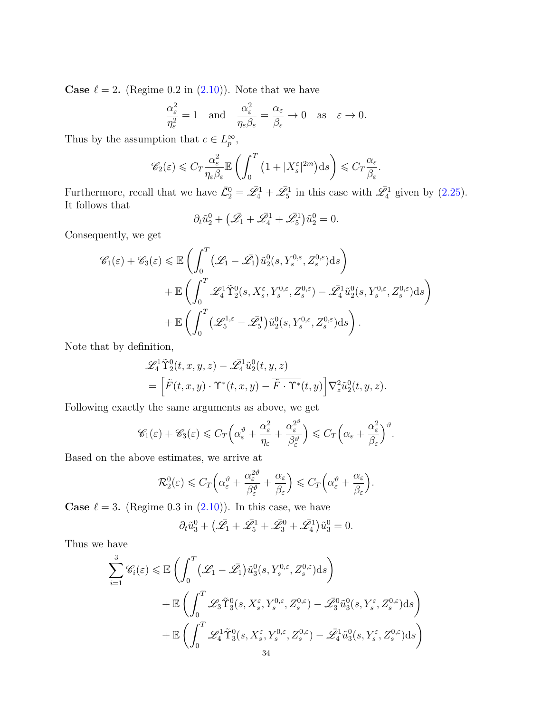**Case**  $\ell = 2$ . (Regime 0.2 in [\(2.10\)](#page-9-1)). Note that we have

$$
\frac{\alpha_{\varepsilon}^2}{\eta_{\varepsilon}^2} = 1 \quad \text{and} \quad \frac{\alpha_{\varepsilon}^2}{\eta_{\varepsilon}\beta_{\varepsilon}} = \frac{\alpha_{\varepsilon}}{\beta_{\varepsilon}} \to 0 \quad \text{as} \quad \varepsilon \to 0.
$$

Thus by the assumption that  $c \in L_p^{\infty}$ ,

$$
\mathscr{C}_2(\varepsilon) \leqslant C_T \frac{\alpha_{\varepsilon}^2}{\eta_{\varepsilon}\beta_{\varepsilon}} \mathbb{E}\left(\int_0^T \left(1 + |X_s^{\varepsilon}|^{2m}\right) \mathrm{d} s\right) \leqslant C_T \frac{\alpha_{\varepsilon}}{\beta_{\varepsilon}}.
$$

Furthermore, recall that we have  $\bar{\mathcal{L}}_2^0 = \bar{\mathcal{L}}_4^1 + \bar{\mathcal{L}}_5^1$  in this case with  $\bar{\mathcal{L}}_4^1$  given by [\(2.25\)](#page-15-6). It follows that

$$
\partial_t \tilde{u}_2^0 + \left(\bar{\mathscr{L}_1} + \bar{\mathscr{L}_4^1} + \bar{\mathscr{L}_5^1}\right) \tilde{u}_2^0 = 0.
$$

Consequently, we get

$$
\mathscr{C}_{1}(\varepsilon) + \mathscr{C}_{3}(\varepsilon) \leq \mathbb{E}\left(\int_{0}^{T} (\mathscr{L}_{1} - \bar{\mathscr{L}_{1}}) \tilde{u}_{2}^{0}(s, Y_{s}^{0,\varepsilon}, Z_{s}^{0,\varepsilon}) ds\right) \n+ \mathbb{E}\left(\int_{0}^{T} \mathscr{L}_{4}^{1} \tilde{\Upsilon}_{2}^{0}(s, X_{s}^{\varepsilon}, Y_{s}^{0,\varepsilon}, Z_{s}^{0,\varepsilon}) - \bar{\mathscr{L}_{4}}^{1} \tilde{u}_{2}^{0}(s, Y_{s}^{0,\varepsilon}, Z_{s}^{0,\varepsilon}) ds\right) \n+ \mathbb{E}\left(\int_{0}^{T} (\mathscr{L}_{5}^{1,\varepsilon} - \bar{\mathscr{L}_{5}}^{1}) \tilde{u}_{2}^{0}(s, Y_{s}^{0,\varepsilon}, Z_{s}^{0,\varepsilon}) ds\right).
$$

Note that by definition,

$$
\mathcal{L}_4^1 \tilde{\Upsilon}_2^0(t, x, y, z) - \mathcal{L}_4^1 \tilde{u}_2^0(t, y, z)
$$
  
= 
$$
\left[ \tilde{F}(t, x, y) \cdot \Upsilon^*(t, x, y) - \tilde{F} \cdot \Upsilon^*(t, y) \right] \nabla_z^2 \tilde{u}_2^0(t, y, z).
$$

Following exactly the same arguments as above, we get

$$
\mathscr{C}_1(\varepsilon) + \mathscr{C}_3(\varepsilon) \leq C_T \Big( \alpha_\varepsilon^{\vartheta} + \frac{\alpha_\varepsilon^2}{\eta_\varepsilon} + \frac{\alpha_\varepsilon^{2^{\vartheta}}}{\beta_\varepsilon^{\vartheta}} \Big) \leqslant C_T \Big( \alpha_\varepsilon + \frac{\alpha_\varepsilon^2}{\beta_\varepsilon} \Big)^{\vartheta}.
$$

Based on the above estimates, we arrive at

$$
\mathcal{R}_2^0(\varepsilon) \leq C_T \Big( \alpha_\varepsilon^{\vartheta} + \frac{\alpha_\varepsilon^{2\vartheta}}{\beta_\varepsilon^{\vartheta}} + \frac{\alpha_\varepsilon}{\beta_\varepsilon} \Big) \leq C_T \Big( \alpha_\varepsilon^{\vartheta} + \frac{\alpha_\varepsilon}{\beta_\varepsilon} \Big).
$$

**Case**  $\ell = 3$ . (Regime 0.3 in [\(2.10\)](#page-9-1)). In this case, we have

$$
\partial_t \tilde{u}_3^0 + \left(\bar{\mathcal{L}}_1 + \bar{\mathcal{L}}_5^1 + \bar{\mathcal{L}}_3^0 + \bar{\mathcal{L}}_4^1\right) \tilde{u}_3^0 = 0.
$$

Thus we have

$$
\sum_{i=1}^{3} \mathscr{C}_{i}(\varepsilon) \leq \mathbb{E}\left(\int_{0}^{T} (\mathscr{L}_{1} - \bar{\mathscr{L}_{1}}) \tilde{u}_{3}^{0}(s, Y_{s}^{0,\varepsilon}, Z_{s}^{0,\varepsilon}) ds\right) \n+ \mathbb{E}\left(\int_{0}^{T} \mathscr{L}_{3} \tilde{\Upsilon}_{3}^{0}(s, X_{s}^{\varepsilon}, Y_{s}^{0,\varepsilon}, Z_{s}^{0,\varepsilon}) - \bar{\mathscr{L}_{3}}^{0} \tilde{u}_{3}^{0}(s, Y_{s}^{\varepsilon}, Z_{s}^{0,\varepsilon}) ds\right) \n+ \mathbb{E}\left(\int_{0}^{T} \mathscr{L}_{4}^{1} \tilde{\Upsilon}_{3}^{0}(s, X_{s}^{\varepsilon}, Y_{s}^{0,\varepsilon}, Z_{s}^{0,\varepsilon}) - \bar{\mathscr{L}_{4}}^{1} \tilde{u}_{3}^{0}(s, Y_{s}^{\varepsilon}, Z_{s}^{0,\varepsilon}) ds\right) \n+ \mathbb{E}\left(\int_{0}^{T} \mathscr{L}_{4}^{1} \tilde{\Upsilon}_{3}^{0}(s, X_{s}^{\varepsilon}, Y_{s}^{0,\varepsilon}, Z_{s}^{0,\varepsilon}) - \bar{\mathscr{L}_{4}}^{1} \tilde{u}_{3}^{0}(s, Y_{s}^{\varepsilon}, Z_{s}^{0,\varepsilon}) ds\right)
$$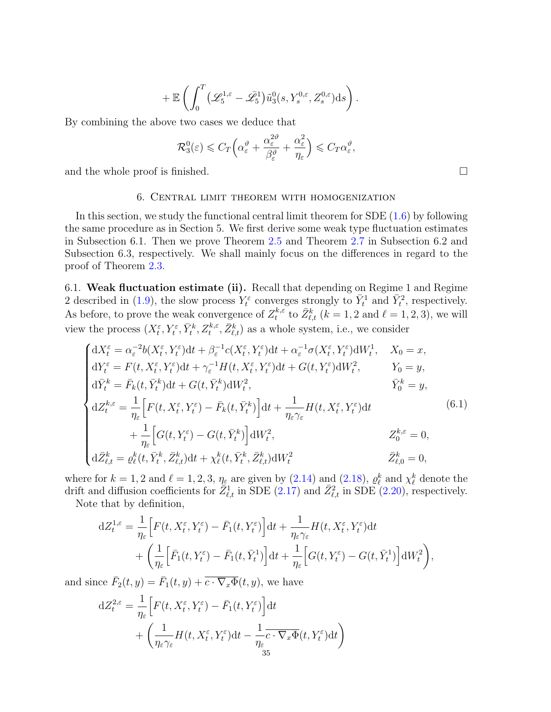$$
+\,\mathbb{E}\left(\int_0^T\big(\mathscr{L}_5^{1,\varepsilon}-\bar{\mathscr{L}}_5^1\big)\tilde{u}_3^0(s,Y_s^{0,\varepsilon},Z_s^{0,\varepsilon})\mathrm{d} s\right).
$$

By combining the above two cases we deduce that

$$
\mathcal{R}_3^0(\varepsilon) \leqslant C_T \Big( \alpha_\varepsilon^{\vartheta} + \frac{\alpha_\varepsilon^{2\vartheta}}{\beta_\varepsilon^{\vartheta}} + \frac{\alpha_\varepsilon^2}{\eta_\varepsilon} \Big) \leqslant C_T \alpha_\varepsilon^{\vartheta},
$$

and the whole proof is finished.  $\square$ 

#### 6. Central limit theorem with homogenization

<span id="page-34-0"></span>In this section, we study the functional central limit theorem for  $SDE(1.6)$  by following the same procedure as in Section 5. We first derive some weak type fluctuation estimates in Subsection 6.1. Then we prove Theorem [2.5](#page-11-1) and Theorem [2.7](#page-13-0) in Subsection 6.2 and Subsection 6.3, respectively. We shall mainly focus on the differences in regard to the proof of Theorem [2.3.](#page-9-0)

<span id="page-34-1"></span>6.1. Weak fluctuation estimate (ii). Recall that depending on Regime 1 and Regime 2 described in [\(1.9\)](#page-4-0), the slow process  $Y_t^{\varepsilon}$  converges strongly to  $\bar{Y}_t^1$  and  $\bar{Y}_t^2$ , respectively. As before, to prove the weak convergence of  $Z_t^{k,\varepsilon}$  $t^{k,\varepsilon}$  to  $\bar{Z}^k_{\ell,t}$   $(k = 1, 2 \text{ and } \ell = 1, 2, 3)$ , we will view the process  $(X_t^{\varepsilon}, Y_t^{\varepsilon}, \bar{Y}_t^k, Z_t^{k,\varepsilon}, \bar{Z}_{\ell,t}^k)$  as a whole system, i.e., we consider

<span id="page-34-2"></span>
$$
\begin{cases}\ndX_t^{\varepsilon} = \alpha_{\varepsilon}^{-2}b(X_t^{\varepsilon}, Y_t^{\varepsilon})dt + \beta_{\varepsilon}^{-1}c(X_t^{\varepsilon}, Y_t^{\varepsilon})dt + \alpha_{\varepsilon}^{-1}\sigma(X_t^{\varepsilon}, Y_t^{\varepsilon})dW_t^1, & X_0 = x, \\
dY_t^{\varepsilon} = F(t, X_t^{\varepsilon}, Y_t^{\varepsilon})dt + \gamma_{\varepsilon}^{-1}H(t, X_t^{\varepsilon}, Y_t^{\varepsilon})dt + G(t, Y_t^{\varepsilon})dW_t^2, & Y_0 = y, \\
d\bar{Y}_t^k = \bar{F}_k(t, \bar{Y}_t^k)dt + G(t, \bar{Y}_t^k)dW_t^2, & \bar{Y}_0^k = y, \\
dZ_t^{k,\varepsilon} = \frac{1}{\eta_{\varepsilon}} \Big[ F(t, X_t^{\varepsilon}, Y_t^{\varepsilon}) - \bar{F}_k(t, \bar{Y}_t^k) \Big]dt + \frac{1}{\eta_{\varepsilon}\gamma_{\varepsilon}}H(t, X_t^{\varepsilon}, Y_t^{\varepsilon})dt \\
\qquad + \frac{1}{\eta_{\varepsilon}} \Big[ G(t, Y_t^{\varepsilon}) - G(t, \bar{Y}_t^k) \Big]dW_t^2, & Z_0^{k,\varepsilon} = 0, \\
d\bar{Z}_{\ell,t}^k = \varrho_{\ell}^k(t, \bar{Y}_t^k, \bar{Z}_{\ell,t}^k)dt + \chi_{\ell}^k(t, \bar{Y}_t^k, \bar{Z}_{\ell,t}^k)dW_t^2 & \bar{Z}_{\ell,0}^k = 0,\n\end{cases}
$$
\n(6.1)

where for  $k = 1, 2$  and  $\ell = 1, 2, 3, \eta_{\varepsilon}$  are given by [\(2.14\)](#page-11-2) and [\(2.18\)](#page-13-1),  $\varrho_{\ell}^{k}$  and  $\chi_{\ell}^{k}$  denote the drift and diffusion coefficients for  $\overline{Z}_{\ell,t}^1$  in SDE [\(2.17\)](#page-11-3) and  $\overline{Z}_{\ell,t}^2$  in SDE [\(2.20\)](#page-13-2), respectively.

Note that by definition,

$$
dZ_t^{1,\varepsilon} = \frac{1}{\eta_{\varepsilon}} \Big[ F(t, X_t^{\varepsilon}, Y_t^{\varepsilon}) - \bar{F}_1(t, Y_t^{\varepsilon}) \Big] dt + \frac{1}{\eta_{\varepsilon} \gamma_{\varepsilon}} H(t, X_t^{\varepsilon}, Y_t^{\varepsilon}) dt + \left( \frac{1}{\eta_{\varepsilon}} \Big[ \bar{F}_1(t, Y_t^{\varepsilon}) - \bar{F}_1(t, \bar{Y}_t^1) \Big] dt + \frac{1}{\eta_{\varepsilon}} \Big[ G(t, Y_t^{\varepsilon}) - G(t, \bar{Y}_t^1) \Big] dW_t^2 \right),
$$

and since  $\overline{F}_2(t, y) = \overline{F}_1(t, y) + \overline{c \cdot \nabla_x \Phi}(t, y)$ , we have

$$
dZ_t^{2,\varepsilon} = \frac{1}{\eta_{\varepsilon}} \Big[ F(t, X_t^{\varepsilon}, Y_t^{\varepsilon}) - \bar{F}_1(t, Y_t^{\varepsilon}) \Big] dt + \left( \frac{1}{\eta_{\varepsilon} \gamma_{\varepsilon}} H(t, X_t^{\varepsilon}, Y_t^{\varepsilon}) dt - \frac{1}{\eta_{\varepsilon}} \overline{C} \cdot \nabla_x \Phi(t, Y_t^{\varepsilon}) dt \right)
$$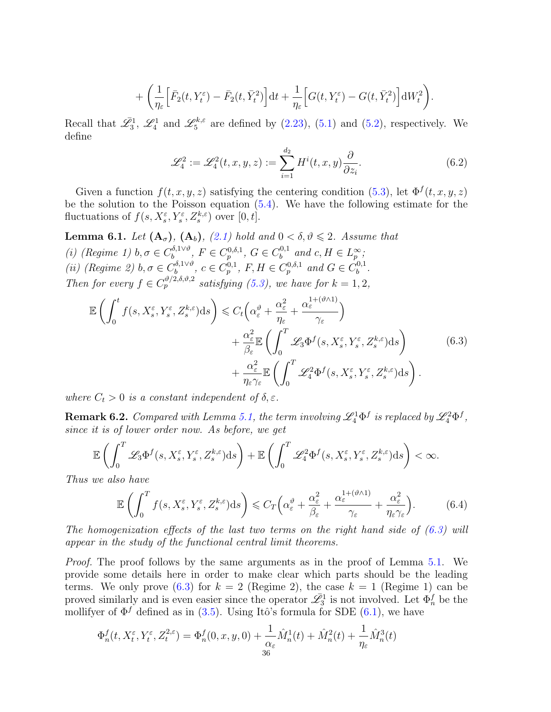$$
+\left(\frac{1}{\eta_{\varepsilon}}\Big[\bar{F}_2(t,Y_t^{\varepsilon})-\bar{F}_2(t,\bar{Y}_t^2)\Big]dt+\frac{1}{\eta_{\varepsilon}}\Big[G(t,Y_t^{\varepsilon})-G(t,\bar{Y}_t^2)\Big]dW_t^2\right).
$$

Recall that  $\mathscr{L}_3^1$ ,  $\mathscr{L}_4^1$  and  $\mathscr{L}_5^{k,\varepsilon}$ <sup> $\frac{6}{5}$ </sup> are defined by [\(2.23\)](#page-15-7), [\(5.1\)](#page-27-2) and [\(5.2\)](#page-28-3), respectively. We define

<span id="page-35-2"></span><span id="page-35-1"></span>
$$
\mathcal{L}_4^2 := \mathcal{L}_4^2(t, x, y, z) := \sum_{i=1}^{d_2} H^i(t, x, y) \frac{\partial}{\partial z_i}.
$$
 (6.2)

Given a function  $f(t, x, y, z)$  satisfying the centering condition [\(5.3\)](#page-28-1), let  $\Phi^f(t, x, y, z)$ be the solution to the Poisson equation [\(5.4\)](#page-28-4). We have the following estimate for the fluctuations of  $f(s, X_s^{\varepsilon}, Y_s^{\varepsilon}, Z_s^{k,\varepsilon})$  over  $[0, t]$ .

<span id="page-35-0"></span>**Lemma 6.1.** Let  $(A_{\sigma})$ ,  $(A_{b})$ ,  $(2.1)$  hold and  $0 < \delta, \vartheta \leq 2$ . Assume that (i) (Regime 1)  $b, \sigma \in C_b^{\delta, 1 \vee \vartheta}$  $b^{\delta,1\vee\vartheta}, F \in C_p^{0,\delta,1}, G \in C_b^{0,1}$  $b^{0,1}$  and  $c, H \in L_p^{\infty}$ ; (*ii*) (Regime 2)  $b, \sigma \in C_b^{\delta, 1 \vee \vartheta}$  $b_b^{\delta, 1 \vee \vartheta}, c \in C_p^{0,1}, F, H \in C_p^{0, \delta, 1}$  and  $G \in C_b^{0,1}$  $\overset{0,1}{b}$ . Then for every  $f \in C_p^{\vartheta/2, \delta, \vartheta, 2}$  satisfying [\(5.3\)](#page-28-1), we have for  $k = 1, 2$ ,

$$
\mathbb{E}\left(\int_{0}^{t} f(s, X_{s}^{\varepsilon}, Y_{s}^{\varepsilon}, Z_{s}^{k,\varepsilon})ds\right) \leq C_{t}\left(\alpha_{\varepsilon}^{\vartheta} + \frac{\alpha_{\varepsilon}^{2}}{\eta_{\varepsilon}} + \frac{\alpha_{\varepsilon}^{1+(\vartheta\wedge 1)}}{\gamma_{\varepsilon}}\right) \n+ \frac{\alpha_{\varepsilon}^{2}}{\beta_{\varepsilon}} \mathbb{E}\left(\int_{0}^{T} \mathscr{L}_{3} \Phi^{f}(s, X_{s}^{\varepsilon}, Y_{s}^{\varepsilon}, Z_{s}^{k,\varepsilon})ds\right) \n+ \frac{\alpha_{\varepsilon}^{2}}{\eta_{\varepsilon}\gamma_{\varepsilon}} \mathbb{E}\left(\int_{0}^{T} \mathscr{L}_{4}^{2} \Phi^{f}(s, X_{s}^{\varepsilon}, Y_{s}^{\varepsilon}, Z_{s}^{k,\varepsilon})ds\right).
$$
\n(6.3)

where  $C_t > 0$  is a constant independent of  $\delta, \varepsilon$ .

**Remark 6.2.** Compared with Lemma [5.1,](#page-28-0) the term involving  $\mathscr{L}_4^1 \Phi^f$  is replaced by  $\mathscr{L}_4^2 \Phi^f$ , since it is of lower order now. As before, we get

$$
\mathbb{E}\left(\int_0^T\mathscr{L}_3\Phi^f(s,X_s^\varepsilon,Y_s^\varepsilon,Z_s^{k,\varepsilon})\mathrm{d} s\right)+\mathbb{E}\left(\int_0^T\mathscr{L}_4^2\Phi^f(s,X_s^\varepsilon,Y_s^\varepsilon,Z_s^{k,\varepsilon})\mathrm{d} s\right)<\infty.
$$

Thus we also have

<span id="page-35-3"></span>
$$
\mathbb{E}\left(\int_0^T f(s,X_s^{\varepsilon},Y_s^{\varepsilon},Z_s^{k,\varepsilon})\mathrm{d}s\right) \leqslant C_T\Big(\alpha_{\varepsilon}^{\vartheta} + \frac{\alpha_{\varepsilon}^2}{\beta_{\varepsilon}} + \frac{\alpha_{\varepsilon}^{1+(\vartheta\wedge 1)}}{\gamma_{\varepsilon}} + \frac{\alpha_{\varepsilon}^2}{\eta_{\varepsilon}\gamma_{\varepsilon}}\Big). \tag{6.4}
$$

The homogenization effects of the last two terms on the right hand side of  $(6.3)$  will appear in the study of the functional central limit theorems.

Proof. The proof follows by the same arguments as in the proof of Lemma [5.1.](#page-28-0) We provide some details here in order to make clear which parts should be the leading terms. We only prove  $(6.3)$  for  $k = 2$  (Regime 2), the case  $k = 1$  (Regime 1) can be proved similarly and is even easier since the operator  $\mathscr{L}_3^1$  is not involved. Let  $\Phi_n^f$  be the mollifyer of  $\Phi^f$  defined as in [\(3.5\)](#page-17-0). Using Itô's formula for SDE [\(6.1\)](#page-34-2), we have

$$
\Phi_n^f(t, X_t^\varepsilon, Y_t^\varepsilon, Z_t^{2,\varepsilon}) = \Phi_n^f(0, x, y, 0) + \frac{1}{\alpha_\varepsilon} \hat{M}_n^1(t) + \hat{M}_n^2(t) + \frac{1}{\eta_\varepsilon} \hat{M}_n^3(t)
$$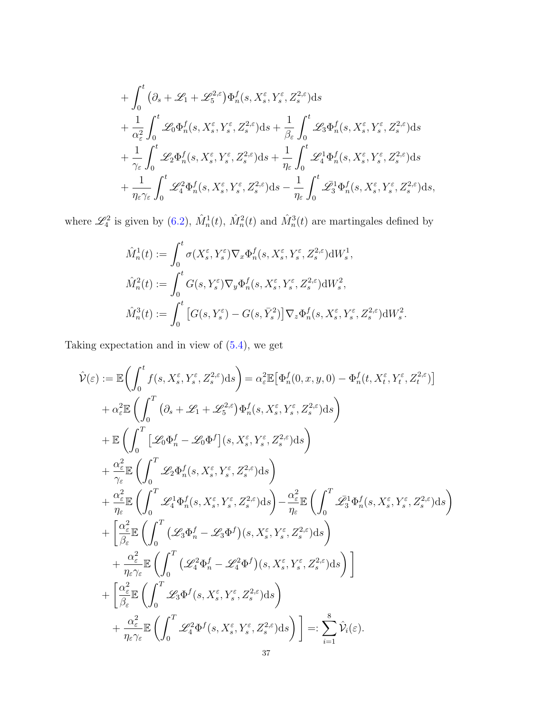$$
+ \int_{0}^{t} (\partial_{s} + \mathcal{L}_{1} + \mathcal{L}_{5}^{2,\varepsilon}) \Phi_{n}^{f}(s, X_{s}^{\varepsilon}, Y_{s}^{\varepsilon}, Z_{s}^{2,\varepsilon}) ds + \frac{1}{\alpha_{\varepsilon}^{2}} \int_{0}^{t} \mathcal{L}_{0} \Phi_{n}^{f}(s, X_{s}^{\varepsilon}, Y_{s}^{\varepsilon}, Z_{s}^{2,\varepsilon}) ds + \frac{1}{\beta_{\varepsilon}} \int_{0}^{t} \mathcal{L}_{3} \Phi_{n}^{f}(s, X_{s}^{\varepsilon}, Y_{s}^{\varepsilon}, Z_{s}^{2,\varepsilon}) ds + \frac{1}{\gamma_{\varepsilon}} \int_{0}^{t} \mathcal{L}_{2} \Phi_{n}^{f}(s, X_{s}^{\varepsilon}, Y_{s}^{\varepsilon}, Z_{s}^{2,\varepsilon}) ds + \frac{1}{\eta_{\varepsilon}} \int_{0}^{t} \mathcal{L}_{4}^{1} \Phi_{n}^{f}(s, X_{s}^{\varepsilon}, Y_{s}^{\varepsilon}, Z_{s}^{2,\varepsilon}) ds + \frac{1}{\eta_{\varepsilon} \gamma_{\varepsilon}} \int_{0}^{t} \mathcal{L}_{4}^{2} \Phi_{n}^{f}(s, X_{s}^{\varepsilon}, Y_{s}^{\varepsilon}, Z_{s}^{2,\varepsilon}) ds - \frac{1}{\eta_{\varepsilon}} \int_{0}^{t} \mathcal{L}_{3}^{1} \Phi_{n}^{f}(s, X_{s}^{\varepsilon}, Y_{s}^{\varepsilon}, Z_{s}^{2,\varepsilon}) ds,
$$

where  $\mathscr{L}_4^2$  is given by [\(6.2\)](#page-35-2),  $\hat{M}_n^1(t)$ ,  $\hat{M}_n^2(t)$  and  $\hat{M}_n^3(t)$  are martingales defined by

$$
\hat{M}_n^1(t) := \int_0^t \sigma(X_s^{\varepsilon}, Y_s^{\varepsilon}) \nabla_x \Phi_n^f(s, X_s^{\varepsilon}, Y_s^{\varepsilon}, Z_s^{2, \varepsilon}) dW_s^1,
$$
\n
$$
\hat{M}_n^2(t) := \int_0^t G(s, Y_s^{\varepsilon}) \nabla_y \Phi_n^f(s, X_s^{\varepsilon}, Y_s^{\varepsilon}, Z_s^{2, \varepsilon}) dW_s^2,
$$
\n
$$
\hat{M}_n^3(t) := \int_0^t \left[ G(s, Y_s^{\varepsilon}) - G(s, \bar{Y}_s^2) \right] \nabla_z \Phi_n^f(s, X_s^{\varepsilon}, Y_s^{\varepsilon}, Z_s^{2, \varepsilon}) dW_s^2.
$$

Taking expectation and in view of [\(5.4\)](#page-28-4), we get

$$
\hat{\mathcal{V}}(\varepsilon) := \mathbb{E}\bigg(\int_0^t f(s, X_s^{\varepsilon}, Y_s^{\varepsilon}, Z_s^{2,\varepsilon})ds\bigg) = \alpha_{\varepsilon}^2 \mathbb{E}\big[\Phi_n^f(0, x, y, 0) - \Phi_n^f(t, X_t^{\varepsilon}, Y_t^{\varepsilon}, Z_t^{2,\varepsilon})\big] \n+ \alpha_{\varepsilon}^2 \mathbb{E}\bigg(\int_0^T \big(\partial_s + \mathcal{L}_1 + \mathcal{L}_5^{2,\varepsilon}\big)\Phi_n^f(s, X_s^{\varepsilon}, Y_s^{\varepsilon}, Z_s^{2,\varepsilon})ds\bigg) \n+ \mathbb{E}\bigg(\int_0^T \big[\mathcal{L}_0\Phi_n^f - \mathcal{L}_0\Phi^f\big](s, X_s^{\varepsilon}, Y_s^{\varepsilon}, Z_s^{2,\varepsilon})ds\bigg) \n+ \frac{\alpha_{\varepsilon}^2}{\gamma_{\varepsilon}} \mathbb{E}\bigg(\int_0^T \mathcal{L}_2\Phi_n^f(s, X_s^{\varepsilon}, Y_s^{\varepsilon}, Z_s^{2,\varepsilon})ds\bigg) \n+ \frac{\alpha_{\varepsilon}^2}{\eta_{\varepsilon}} \mathbb{E}\bigg(\int_0^T \mathcal{L}_4^1\Phi_n^f(s, X_s^{\varepsilon}, Y_s^{\varepsilon}, Z_s^{2,\varepsilon})ds\bigg) - \frac{\alpha_{\varepsilon}^2}{\eta_{\varepsilon}} \mathbb{E}\bigg(\int_0^T \mathcal{L}_3^1\Phi_n^f(s, X_s^{\varepsilon}, Y_s^{\varepsilon}, Z_s^{2,\varepsilon})ds\bigg) \n+ \bigg[\frac{\alpha_{\varepsilon}^2}{\beta_{\varepsilon}} \mathbb{E}\bigg(\int_0^T \big(\mathcal{L}_3\Phi_n^f - \mathcal{L}_3\Phi^f\big)(s, X_s^{\varepsilon}, Y_s^{\varepsilon}, Z_s^{2,\varepsilon})ds\bigg) \n+ \frac{\alpha_{\varepsilon}^2}{\eta_{\varepsilon}\gamma_{\varepsilon}} \mathbb{E}\bigg(\int_0^T \mathcal{L}_4^2\Phi_n^f - \mathcal{L}_4^2\Phi^f\big)(s, X_s^{\varepsilon}, Y_s^{\varepsilon}, Z_s^{
$$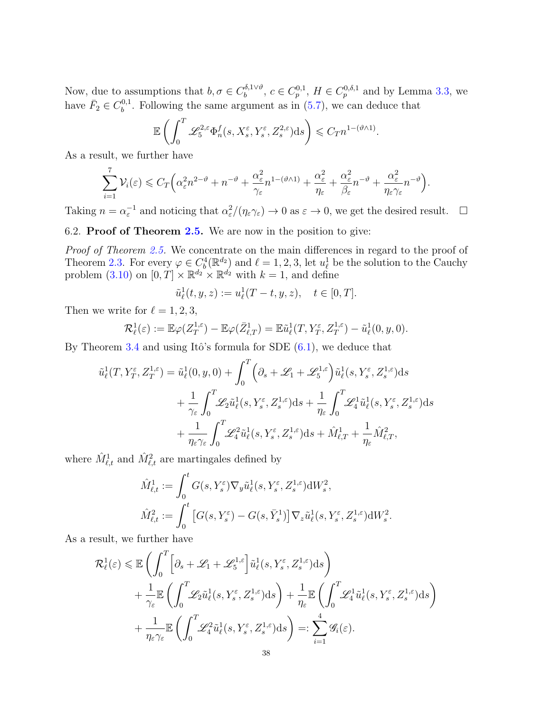Now, due to assumptions that  $b, \sigma \in C_b^{\delta, 1 \vee \vartheta}$  $b_b^{\delta, 1 \vee \vartheta}$ ,  $c \in C_p^{0,1}$ ,  $H \in C_p^{0,\delta,1}$  and by Lemma [3.3,](#page-17-5) we have  $\bar{F}_2 \in C_b^{0,1}$  $b_b^{0,1}$ . Following the same argument as in  $(5.7)$ , we can deduce that

$$
\mathbb{E}\left(\int_0^T\mathscr{L}^{2,\varepsilon}_5\Phi_n^f(s,X_s^\varepsilon,Y_s^\varepsilon,Z^{2,\varepsilon}_s)\mathrm{d} s\right)\leqslant C_Tn^{1-(\vartheta\wedge 1)}
$$

.

As a result, we further have

$$
\sum_{i=1}^7 \mathcal{V}_i(\varepsilon) \leq C_T \Big( \alpha_\varepsilon^2 n^{2-\vartheta} + n^{-\vartheta} + \frac{\alpha_\varepsilon^2}{\gamma_\varepsilon} n^{1-(\vartheta \wedge 1)} + \frac{\alpha_\varepsilon^2}{\eta_\varepsilon} + \frac{\alpha_\varepsilon^2}{\beta_\varepsilon} n^{-\vartheta} + \frac{\alpha_\varepsilon^2}{\eta_\varepsilon \gamma_\varepsilon} n^{-\vartheta} \Big).
$$

Taking  $n = \alpha_{\varepsilon}^{-1}$  and noticing that  $\alpha_{\varepsilon}^2/(\eta_{\varepsilon}\gamma_{\varepsilon}) \to 0$  as  $\varepsilon \to 0$ , we get the desired result.  $\Box$ 

# <span id="page-37-0"></span>6.2. Proof of Theorem [2.5.](#page-11-1) We are now in the position to give:

Proof of Theorem [2.5.](#page-11-1) We concentrate on the main differences in regard to the proof of Theorem [2.3.](#page-9-0) For every  $\varphi \in C_b^4(\mathbb{R}^{d_2})$  and  $\ell = 1, 2, 3$ , let  $u_\ell^1$  be the solution to the Cauchy problem [\(3.10\)](#page-18-0) on  $[0, T] \times \mathbb{R}^{d_2} \times \mathbb{R}^{d_2}$  with  $k = 1$ , and define

$$
\tilde{u}_{\ell}^{1}(t, y, z) := u_{\ell}^{1}(T-t, y, z), \quad t \in [0, T].
$$

Then we write for  $\ell = 1, 2, 3$ ,

$$
\mathcal{R}_{\ell}^1(\varepsilon) := \mathbb{E}\varphi(Z_T^{1,\varepsilon}) - \mathbb{E}\varphi(\bar{Z}_{\ell,T}^1) = \mathbb{E}\tilde{u}_{\ell}^1(T, Y_T^{\varepsilon}, Z_T^{1,\varepsilon}) - \tilde{u}_{\ell}^1(0,y,0).
$$

By Theorem [3.4](#page-18-2) and using Itô's formula for SDE  $(6.1)$ , we deduce that

$$
\tilde{u}_{\ell}^{1}(T, Y_{T}^{\varepsilon}, Z_{T}^{1,\varepsilon}) = \tilde{u}_{\ell}^{1}(0, y, 0) + \int_{0}^{T} \left(\partial_{s} + \mathcal{L}_{1} + \mathcal{L}_{5}^{1,\varepsilon}\right) \tilde{u}_{\ell}^{1}(s, Y_{s}^{\varepsilon}, Z_{s}^{1,\varepsilon}) ds \n+ \frac{1}{\gamma_{\varepsilon}} \int_{0}^{T} \mathcal{L}_{2} \tilde{u}_{\ell}^{1}(s, Y_{s}^{\varepsilon}, Z_{s}^{1,\varepsilon}) ds + \frac{1}{\eta_{\varepsilon}} \int_{0}^{T} \mathcal{L}_{4}^{1} \tilde{u}_{\ell}^{1}(s, Y_{s}^{\varepsilon}, Z_{s}^{1,\varepsilon}) ds \n+ \frac{1}{\eta_{\varepsilon}\gamma_{\varepsilon}} \int_{0}^{T} \mathcal{L}_{4}^{2} \tilde{u}_{\ell}^{1}(s, Y_{s}^{\varepsilon}, Z_{s}^{1,\varepsilon}) ds + \tilde{M}_{\ell,T}^{1} + \frac{1}{\eta_{\varepsilon}} \tilde{M}_{\ell,T}^{2},
$$

where  $\hat{M}^1_{\ell,t}$  and  $\hat{M}^2_{\ell,t}$  are martingales defined by

$$
\hat{M}^1_{\ell,t} := \int_0^t G(s, Y_s^{\varepsilon}) \nabla_y \tilde{u}^1_{\ell}(s, Y_s^{\varepsilon}, Z_s^{1,\varepsilon}) dW_s^2,
$$
  

$$
\hat{M}^2_{\ell,t} := \int_0^t \left[ G(s, Y_s^{\varepsilon}) - G(s, \bar{Y}_s^1) \right] \nabla_z \tilde{u}^1_{\ell}(s, Y_s^{\varepsilon}, Z_s^{1,\varepsilon}) dW_s^2.
$$

As a result, we further have

$$
\mathcal{R}_{\ell}^{1}(\varepsilon) \leq \mathbb{E}\left(\int_{0}^{T}\left[\partial_{s}+\mathscr{L}_{1}+\mathscr{L}_{5}^{1,\varepsilon}\right]\tilde{u}_{\ell}^{1}(s,Y_{s}^{\varepsilon},Z_{s}^{1,\varepsilon})\mathrm{d}s\right) \n+ \frac{1}{\gamma_{\varepsilon}}\mathbb{E}\left(\int_{0}^{T}\mathscr{L}_{2}\tilde{u}_{\ell}^{1}(s,Y_{s}^{\varepsilon},Z_{s}^{1,\varepsilon})\mathrm{d}s\right) + \frac{1}{\eta_{\varepsilon}}\mathbb{E}\left(\int_{0}^{T}\mathscr{L}_{4}^{1}\tilde{u}_{\ell}^{1}(s,Y_{s}^{\varepsilon},Z_{s}^{1,\varepsilon})\mathrm{d}s\right) \n+ \frac{1}{\eta_{\varepsilon}\gamma_{\varepsilon}}\mathbb{E}\left(\int_{0}^{T}\mathscr{L}_{4}^{2}\tilde{u}_{\ell}^{1}(s,Y_{s}^{\varepsilon},Z_{s}^{1,\varepsilon})\mathrm{d}s\right) =: \sum_{i=1}^{4}\mathscr{G}_{i}(\varepsilon).
$$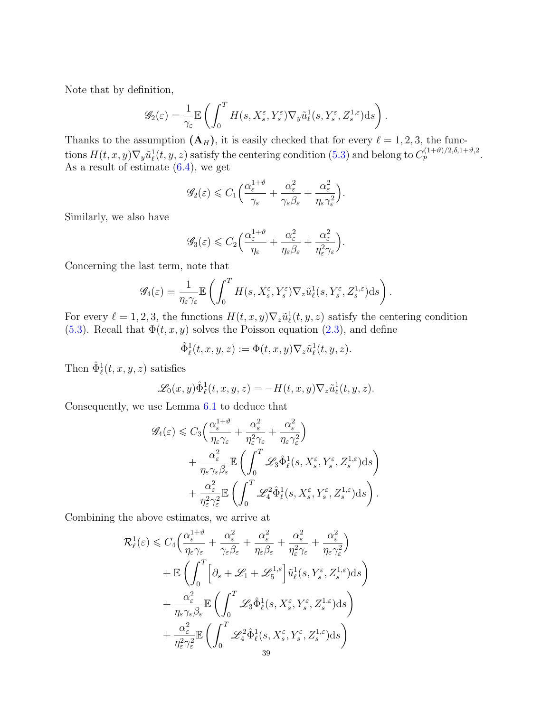Note that by definition,

$$
\mathscr{G}_2(\varepsilon) = \frac{1}{\gamma_\varepsilon} \mathbb{E}\left(\int_0^T H(s, X^\varepsilon_s, Y^\varepsilon_s) \nabla_y \tilde{u}^1_\ell(s, Y^\varepsilon_s, Z^{1,\varepsilon}_s) \mathrm{d}s\right).
$$

Thanks to the assumption  $(A_H)$ , it is easily checked that for every  $\ell = 1, 2, 3$ , the functions  $H(t, x, y) \nabla_y \tilde{u}^1_\ell(t, y, z)$  satisfy the centering condition [\(5.3\)](#page-28-1) and belong to  $C_p^{(1+\vartheta)/2, \delta, 1+\vartheta, 2}$ . As a result of estimate [\(6.4\)](#page-35-3), we get

$$
\mathscr{G}_2(\varepsilon) \leqslant C_1 \bigg( \frac{\alpha_{\varepsilon}^{1+\vartheta}}{\gamma_{\varepsilon}} + \frac{\alpha_{\varepsilon}^2}{\gamma_{\varepsilon} \beta_{\varepsilon}} + \frac{\alpha_{\varepsilon}^2}{\eta_{\varepsilon} \gamma_{\varepsilon}^2} \bigg).
$$

Similarly, we also have

$$
\mathscr{G}_3(\varepsilon) \leqslant C_2 \Big( \frac{\alpha_{\varepsilon}^{1+\vartheta}}{\eta_{\varepsilon}} + \frac{\alpha_{\varepsilon}^2}{\eta_{\varepsilon} \beta_{\varepsilon}} + \frac{\alpha_{\varepsilon}^2}{\eta_{\varepsilon}^2 \gamma_{\varepsilon}} \Big).
$$

Concerning the last term, note that

$$
\mathscr{G}_4(\varepsilon) = \frac{1}{\eta_\varepsilon \gamma_\varepsilon} \mathbb{E}\left(\int_0^T H(s,X_s^\varepsilon,Y_s^\varepsilon) \nabla_z \tilde{u}_\ell^1(s,Y_s^\varepsilon,Z_s^{1,\varepsilon}) \mathrm{d} s\right).
$$

For every  $\ell = 1, 2, 3$ , the functions  $H(t, x, y) \nabla_z \tilde{u}^1_\ell(t, y, z)$  satisfy the centering condition [\(5.3\)](#page-28-1). Recall that  $\Phi(t, x, y)$  solves the Poisson equation [\(2.3\)](#page-7-7), and define

$$
\hat{\Phi}^1_{\ell}(t,x,y,z) := \Phi(t,x,y)\nabla_z \tilde{u}^1_{\ell}(t,y,z).
$$

Then  $\hat{\Phi}_{\ell}^1(t, x, y, z)$  satisfies

$$
\mathscr{L}_0(x,y)\hat{\Phi}^1_{\ell}(t,x,y,z) = -H(t,x,y)\nabla_z \tilde{u}^1_{\ell}(t,y,z).
$$

Consequently, we use Lemma [6.1](#page-35-0) to deduce that

$$
\mathscr{G}_{4}(\varepsilon) \leq C_{3} \left( \frac{\alpha_{\varepsilon}^{1+\vartheta}}{\eta_{\varepsilon} \gamma_{\varepsilon}} + \frac{\alpha_{\varepsilon}^{2}}{\eta_{\varepsilon}^{2} \gamma_{\varepsilon}} + \frac{\alpha_{\varepsilon}^{2}}{\eta_{\varepsilon} \gamma_{\varepsilon}^{2}} \right) \n+ \frac{\alpha_{\varepsilon}^{2}}{\eta_{\varepsilon} \gamma_{\varepsilon} \beta_{\varepsilon}} \mathbb{E} \left( \int_{0}^{T} \mathscr{L}_{3} \hat{\Phi}_{\ell}^{1}(s, X_{s}^{\varepsilon}, Y_{s}^{\varepsilon}, Z_{s}^{1,\varepsilon}) ds \right) \n+ \frac{\alpha_{\varepsilon}^{2}}{\eta_{\varepsilon}^{2} \gamma_{\varepsilon}^{2}} \mathbb{E} \left( \int_{0}^{T} \mathscr{L}_{4}^{2} \hat{\Phi}_{\ell}^{1}(s, X_{s}^{\varepsilon}, Y_{s}^{\varepsilon}, Z_{s}^{1,\varepsilon}) ds \right).
$$

Combining the above estimates, we arrive at

$$
\mathcal{R}_{\ell}^{1}(\varepsilon) \leq C_{4} \Big( \frac{\alpha_{\varepsilon}^{1+\vartheta}}{\eta_{\varepsilon}\gamma_{\varepsilon}} + \frac{\alpha_{\varepsilon}^{2}}{\gamma_{\varepsilon}\beta_{\varepsilon}} + \frac{\alpha_{\varepsilon}^{2}}{\eta_{\varepsilon}\beta_{\varepsilon}} + \frac{\alpha_{\varepsilon}^{2}}{\eta_{\varepsilon}\gamma_{\varepsilon}} + \frac{\alpha_{\varepsilon}^{2}}{\eta_{\varepsilon}\gamma_{\varepsilon}^{2}} \Big) \n+ \mathbb{E} \Biggl( \int_{0}^{T} \Biggl[ \partial_{s} + \mathcal{L}_{1} + \mathcal{L}_{5}^{1,\varepsilon} \Biggr] \tilde{u}_{\ell}^{1}(s,Y_{s}^{\varepsilon},Z_{s}^{1,\varepsilon}) ds \Biggr) \n+ \frac{\alpha_{\varepsilon}^{2}}{\eta_{\varepsilon}\gamma_{\varepsilon}\beta_{\varepsilon}} \mathbb{E} \Biggl( \int_{0}^{T} \mathcal{L}_{3} \hat{\Phi}_{\ell}^{1}(s,X_{s}^{\varepsilon},Y_{s}^{\varepsilon},Z_{s}^{1,\varepsilon}) ds \Biggr) \n+ \frac{\alpha_{\varepsilon}^{2}}{\eta_{\varepsilon}^{2}\gamma_{\varepsilon}^{2}} \mathbb{E} \Biggl( \int_{0}^{T} \mathcal{L}_{4}^{2} \hat{\Phi}_{\ell}^{1}(s,X_{s}^{\varepsilon},Y_{s}^{\varepsilon},Z_{s}^{1,\varepsilon}) ds \Biggr) \n+ \frac{\alpha_{\varepsilon}^{2}}{\eta_{\varepsilon}^{2}\gamma_{\varepsilon}^{2}} \mathbb{E} \Biggl( \int_{0}^{T} \mathcal{L}_{4}^{2} \hat{\Phi}_{\ell}^{1}(s,X_{s}^{\varepsilon},Y_{s}^{\varepsilon},Z_{s}^{1,\varepsilon}) ds \Biggr)
$$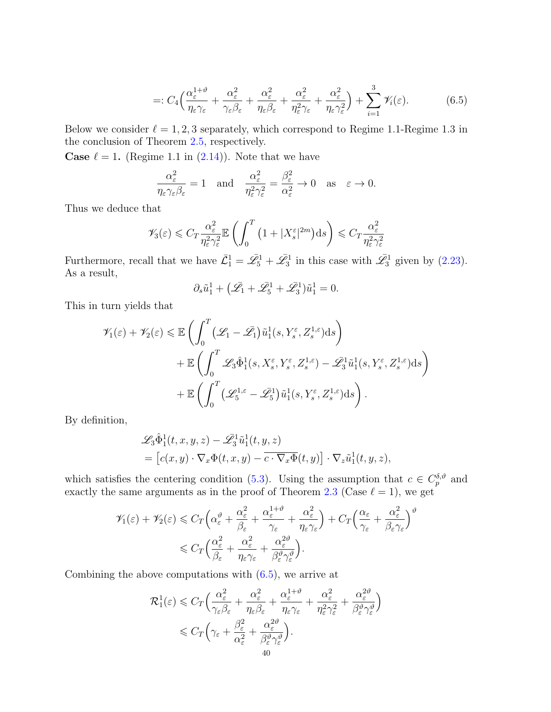<span id="page-39-0"></span>
$$
=: C_4 \left( \frac{\alpha_{\varepsilon}^{1+\vartheta}}{\eta_{\varepsilon}\gamma_{\varepsilon}} + \frac{\alpha_{\varepsilon}^2}{\gamma_{\varepsilon}\beta_{\varepsilon}} + \frac{\alpha_{\varepsilon}^2}{\eta_{\varepsilon}\beta_{\varepsilon}} + \frac{\alpha_{\varepsilon}^2}{\eta_{\varepsilon}^2\gamma_{\varepsilon}} + \frac{\alpha_{\varepsilon}^2}{\eta_{\varepsilon}\gamma_{\varepsilon}^2} \right) + \sum_{i=1}^3 \mathscr{V}_i(\varepsilon). \tag{6.5}
$$

Below we consider  $\ell = 1, 2, 3$  separately, which correspond to Regime 1.1-Regime 1.3 in the conclusion of Theorem [2.5,](#page-11-1) respectively.

**Case**  $\ell = 1$ . (Regime 1.1 in [\(2.14\)](#page-11-2)). Note that we have

$$
\frac{\alpha_{\varepsilon}^2}{\eta_{\varepsilon}\gamma_{\varepsilon}\beta_{\varepsilon}} = 1 \quad \text{and} \quad \frac{\alpha_{\varepsilon}^2}{\eta_{\varepsilon}^2\gamma_{\varepsilon}^2} = \frac{\beta_{\varepsilon}^2}{\alpha_{\varepsilon}^2} \to 0 \quad \text{as} \quad \varepsilon \to 0.
$$

Thus we deduce that

$$
\mathscr{V}_3(\varepsilon) \leqslant C_T \frac{\alpha_{\varepsilon}^2}{\eta_{\varepsilon}^2 \gamma_{\varepsilon}^2} \mathbb{E}\left(\int_0^T \left(1 + |X_s^{\varepsilon}|^{2m}\right) \mathrm{d}s\right) \leqslant C_T \frac{\alpha_{\varepsilon}^2}{\eta_{\varepsilon}^2 \gamma_{\varepsilon}^2}
$$

Furthermore, recall that we have  $\bar{\mathcal{L}}_1^1 = \bar{\mathcal{L}}_5^1 + \bar{\mathcal{L}}_3^1$  in this case with  $\bar{\mathcal{L}}_3^1$  given by [\(2.23\)](#page-15-7). As a result,

$$
\partial_s \tilde{u}_1^1 + \left(\bar{\mathscr{L}_1} + \bar{\mathscr{L}}_5^1 + \bar{\mathscr{L}}_3^1\right) \tilde{u}_1^1 = 0.
$$

This in turn yields that

$$
\mathscr{V}_{1}(\varepsilon) + \mathscr{V}_{2}(\varepsilon) \leq \mathbb{E}\left(\int_{0}^{T} (\mathscr{L}_{1} - \bar{\mathscr{L}_{1}}) \tilde{u}_{1}^{1}(s, Y_{s}^{\varepsilon}, Z_{s}^{1,\varepsilon}) ds\right) \n+ \mathbb{E}\left(\int_{0}^{T} \mathscr{L}_{3} \hat{\Phi}_{1}^{1}(s, X_{s}^{\varepsilon}, Y_{s}^{\varepsilon}, Z_{s}^{1,\varepsilon}) - \bar{\mathscr{L}}_{3}^{1} \tilde{u}_{1}^{1}(s, Y_{s}^{\varepsilon}, Z_{s}^{1,\varepsilon}) ds\right) \n+ \mathbb{E}\left(\int_{0}^{T} (\mathscr{L}_{5}^{1,\varepsilon} - \bar{\mathscr{L}}_{5}^{1}) \tilde{u}_{1}^{1}(s, Y_{s}^{\varepsilon}, Z_{s}^{1,\varepsilon}) ds\right).
$$

By definition,

$$
\mathscr{L}_3 \hat{\Phi}_1^1(t, x, y, z) - \mathscr{L}_3^1 \tilde{u}_1^1(t, y, z) \n= [c(x, y) \cdot \nabla_x \Phi(t, x, y) - \overline{c \cdot \nabla_x \Phi}(t, y)] \cdot \nabla_z \tilde{u}_1^1(t, y, z),
$$

which satisfies the centering condition [\(5.3\)](#page-28-1). Using the assumption that  $c \in C_p^{\delta,\theta}$  and exactly the same arguments as in the proof of Theorem [2.3](#page-9-0) (Case  $\ell = 1$ ), we get

$$
\mathscr{V}_{1}(\varepsilon) + \mathscr{V}_{2}(\varepsilon) \leq C_{T} \left( \alpha_{\varepsilon}^{\vartheta} + \frac{\alpha_{\varepsilon}^{2}}{\beta_{\varepsilon}} + \frac{\alpha_{\varepsilon}^{1+\vartheta}}{\gamma_{\varepsilon}} + \frac{\alpha_{\varepsilon}^{2}}{\eta_{\varepsilon}\gamma_{\varepsilon}} \right) + C_{T} \left( \frac{\alpha_{\varepsilon}}{\gamma_{\varepsilon}} + \frac{\alpha_{\varepsilon}^{2}}{\beta_{\varepsilon}\gamma_{\varepsilon}} \right)^{\vartheta}
$$

$$
\leq C_{T} \left( \frac{\alpha_{\varepsilon}^{2}}{\beta_{\varepsilon}} + \frac{\alpha_{\varepsilon}^{2}}{\eta_{\varepsilon}\gamma_{\varepsilon}} + \frac{\alpha_{\varepsilon}^{2\vartheta}}{\beta_{\varepsilon}^{\vartheta}\gamma_{\varepsilon}^{\vartheta}} \right).
$$

Combining the above computations with  $(6.5)$ , we arrive at

$$
\mathcal{R}_1^1(\varepsilon) \leq C_T \Big( \frac{\alpha_{\varepsilon}^2}{\gamma_{\varepsilon} \beta_{\varepsilon}} + \frac{\alpha_{\varepsilon}^2}{\eta_{\varepsilon} \beta_{\varepsilon}} + \frac{\alpha_{\varepsilon}^{1+\vartheta}}{\eta_{\varepsilon} \gamma_{\varepsilon}} + \frac{\alpha_{\varepsilon}^2}{\eta_{\varepsilon}^2 \gamma_{\varepsilon}^2} + \frac{\alpha_{\varepsilon}^{2\vartheta}}{\beta_{\varepsilon}^{\vartheta} \gamma_{\varepsilon}^{\vartheta}} \Big) \leq C_T \Big( \gamma_{\varepsilon} + \frac{\beta_{\varepsilon}^2}{\alpha_{\varepsilon}^2} + \frac{\alpha_{\varepsilon}^{2\vartheta}}{\beta_{\varepsilon}^{\vartheta} \gamma_{\varepsilon}^{\vartheta}} \Big). \n40
$$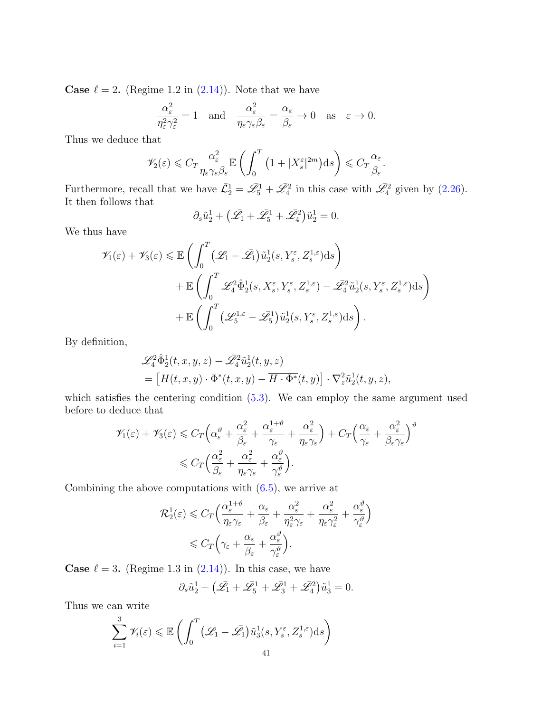**Case**  $\ell = 2$ . (Regime 1.2 in [\(2.14\)](#page-11-2)). Note that we have

$$
\frac{\alpha_{\varepsilon}^2}{\eta_{\varepsilon}^2 \gamma_{\varepsilon}^2} = 1 \quad \text{and} \quad \frac{\alpha_{\varepsilon}^2}{\eta_{\varepsilon} \gamma_{\varepsilon} \beta_{\varepsilon}} = \frac{\alpha_{\varepsilon}}{\beta_{\varepsilon}} \to 0 \quad \text{as} \quad \varepsilon \to 0.
$$

Thus we deduce that

$$
\mathscr{V}_2(\varepsilon) \leqslant C_T \frac{\alpha_{\varepsilon}^2}{\eta_{\varepsilon} \gamma_{\varepsilon} \beta_{\varepsilon}} \mathbb{E} \left( \int_0^T \left( 1 + |X_{s}^{\varepsilon}|^{2m} \right) \mathrm{d} s \right) \leqslant C_T \frac{\alpha_{\varepsilon}}{\beta_{\varepsilon}}.
$$

Furthermore, recall that we have  $\bar{\mathcal{L}}_2^1 = \bar{\mathcal{L}}_5^1 + \bar{\mathcal{L}}_4^2$  in this case with  $\bar{\mathcal{L}}_4^2$  given by [\(2.26\)](#page-15-8). It then follows that

$$
\partial_s \tilde{u}_2^1 + \left(\bar{\mathcal{L}}_1 + \bar{\mathcal{L}}_5^1 + \bar{\mathcal{L}}_4^2\right) \tilde{u}_2^1 = 0.
$$

We thus have

$$
\mathcal{V}_{1}(\varepsilon) + \mathcal{V}_{3}(\varepsilon) \leq \mathbb{E}\left(\int_{0}^{T} (\mathcal{L}_{1} - \bar{\mathcal{L}_{1}}) \tilde{u}_{2}^{1}(s, Y_{s}^{\varepsilon}, Z_{s}^{1,\varepsilon}) ds\right) \n+ \mathbb{E}\left(\int_{0}^{T} \mathcal{L}_{4}^{2} \hat{\Phi}_{2}^{1}(s, X_{s}^{\varepsilon}, Y_{s}^{\varepsilon}, Z_{s}^{1,\varepsilon}) - \bar{\mathcal{L}}_{4}^{2} \tilde{u}_{2}^{1}(s, Y_{s}^{\varepsilon}, Z_{s}^{1,\varepsilon}) ds\right) \n+ \mathbb{E}\left(\int_{0}^{T} (\mathcal{L}_{5}^{1,\varepsilon} - \bar{\mathcal{L}}_{5}^{1}) \tilde{u}_{2}^{1}(s, Y_{s}^{\varepsilon}, Z_{s}^{1,\varepsilon}) ds\right).
$$

By definition,

$$
\begin{split} &\mathscr{L}_4^2\hat\Phi^1_2(t,x,y,z)-\mathscr{\bar L}_4^2\tilde u^1_2(t,y,z)\\ &=\left[H(t,x,y)\cdot\Phi^*(t,x,y)-\overline{H\cdot\Phi^*}(t,y)\right]\cdot\nabla_z^2\tilde u^1_2(t,y,z), \end{split}
$$

which satisfies the centering condition  $(5.3)$ . We can employ the same argument used before to deduce that

$$
\mathscr{V}_{1}(\varepsilon) + \mathscr{V}_{3}(\varepsilon) \leq C_{T} \left( \alpha_{\varepsilon}^{\vartheta} + \frac{\alpha_{\varepsilon}^{2}}{\beta_{\varepsilon}} + \frac{\alpha_{\varepsilon}^{1+\vartheta}}{\gamma_{\varepsilon}} + \frac{\alpha_{\varepsilon}^{2}}{\eta_{\varepsilon}\gamma_{\varepsilon}} \right) + C_{T} \left( \frac{\alpha_{\varepsilon}}{\gamma_{\varepsilon}} + \frac{\alpha_{\varepsilon}^{2}}{\beta_{\varepsilon}\gamma_{\varepsilon}} \right)^{\vartheta}
$$

$$
\leq C_{T} \left( \frac{\alpha_{\varepsilon}^{2}}{\beta_{\varepsilon}} + \frac{\alpha_{\varepsilon}^{2}}{\eta_{\varepsilon}\gamma_{\varepsilon}} + \frac{\alpha_{\varepsilon}^{\vartheta}}{\gamma_{\varepsilon}^{\vartheta}} \right).
$$

Combining the above computations with  $(6.5)$ , we arrive at

$$
\mathcal{R}_2^1(\varepsilon) \leq C_T \Big( \frac{\alpha_{\varepsilon}^{1+\vartheta}}{\eta_{\varepsilon} \gamma_{\varepsilon}} + \frac{\alpha_{\varepsilon}}{\beta_{\varepsilon}} + \frac{\alpha_{\varepsilon}^2}{\eta_{\varepsilon}^2 \gamma_{\varepsilon}} + \frac{\alpha_{\varepsilon}^2}{\eta_{\varepsilon} \gamma_{\varepsilon}^2} + \frac{\alpha_{\varepsilon}^{\vartheta}}{\gamma_{\varepsilon}^{\vartheta}} \Big)
$$
  

$$
\leq C_T \Big( \gamma_{\varepsilon} + \frac{\alpha_{\varepsilon}}{\beta_{\varepsilon}} + \frac{\alpha_{\varepsilon}^{\vartheta}}{\gamma_{\varepsilon}^{\vartheta}} \Big).
$$

**Case**  $\ell = 3$ . (Regime 1.3 in [\(2.14\)](#page-11-2)). In this case, we have

$$
\partial_s \tilde{u}_2^1 + \left(\bar{\mathscr{L}_1} + \bar{\mathscr{L}_5^1} + \bar{\mathscr{L}_3^1} + \bar{\mathscr{L}_4^2}\right) \tilde{u}_3^1 = 0.
$$

Thus we can write

$$
\sum_{i=1}^{3} \mathcal{V}_i(\varepsilon) \leq \mathbb{E}\left(\int_0^T \left(\mathcal{L}_1 - \bar{\mathcal{L}_1}\right) \tilde{u}_3^1(s, Y_s^{\varepsilon}, Z_s^{1,\varepsilon}) ds\right)
$$
41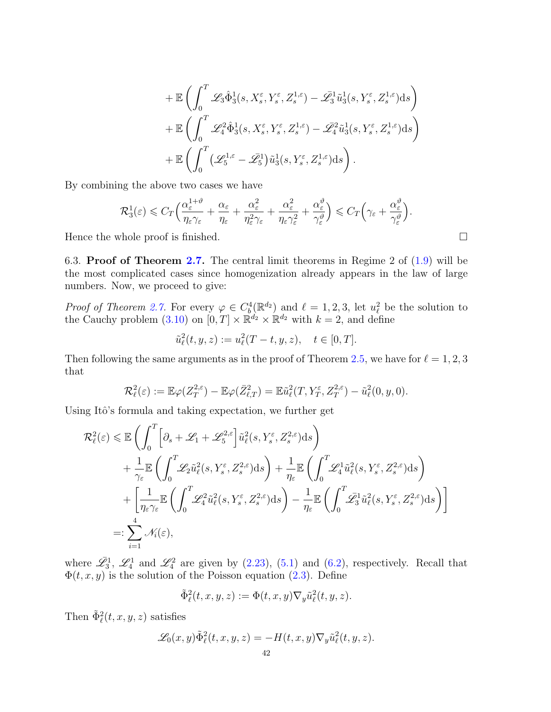$$
\begin{aligned}&+\mathbb{E}\left(\int_0^T\mathscr{L}_3\hat{\Phi}_3^1(s,X_s^\varepsilon,Y_s^\varepsilon,Z_s^{1,\varepsilon})-\bar{\mathscr{L}}_3^1\tilde{u}_3^1(s,Y_s^\varepsilon,Z_s^{1,\varepsilon})\mathrm{d}s\right)\\&+\mathbb{E}\left(\int_0^T\mathscr{L}_4^2\hat{\Phi}_3^1(s,X_s^\varepsilon,Y_s^\varepsilon,Z_s^{1,\varepsilon})-\bar{\mathscr{L}}_4^2\tilde{u}_3^1(s,Y_s^\varepsilon,Z_s^{1,\varepsilon})\mathrm{d}s\right)\\&+\mathbb{E}\left(\int_0^T\big(\mathscr{L}_5^{1,\varepsilon}-\bar{\mathscr{L}}_5^1\big)\tilde{u}_3^1(s,Y_s^\varepsilon,Z_s^{1,\varepsilon})\mathrm{d}s\right).\end{aligned}
$$

By combining the above two cases we have

$$
\mathcal{R}_3^1(\varepsilon) \leqslant C_T \Big( \frac{\alpha_{\varepsilon}^{1+\vartheta}}{\eta_{\varepsilon} \gamma_{\varepsilon}} + \frac{\alpha_{\varepsilon}}{\eta_{\varepsilon}} + \frac{\alpha_{\varepsilon}^2}{\eta_{\varepsilon}^2 \gamma_{\varepsilon}} + \frac{\alpha_{\varepsilon}^2}{\eta_{\varepsilon} \gamma_{\varepsilon}^2} + \frac{\alpha_{\varepsilon}^{\vartheta}}{\gamma_{\varepsilon}^{\vartheta}} \Big) \leqslant C_T \Big( \gamma_{\varepsilon} + \frac{\alpha_{\varepsilon}^{\vartheta}}{\gamma_{\varepsilon}^{\vartheta}} \Big).
$$

Hence the whole proof is finished.  $\Box$ 

<span id="page-41-0"></span>6.3. Proof of Theorem [2.7.](#page-13-0) The central limit theorems in Regime 2 of  $(1.9)$  will be the most complicated cases since homogenization already appears in the law of large numbers. Now, we proceed to give:

*Proof of Theorem [2.7.](#page-13-0)* For every  $\varphi \in C_b^4(\mathbb{R}^{d_2})$  and  $\ell = 1, 2, 3$ , let  $u_{\ell}^2$  be the solution to the Cauchy problem [\(3.10\)](#page-18-0) on  $[0, T] \times \mathbb{R}^{d_2} \times \mathbb{R}^{d_2}$  with  $k = 2$ , and define

$$
\tilde{u}_{\ell}^{2}(t, y, z) := u_{\ell}^{2}(T - t, y, z), \quad t \in [0, T].
$$

Then following the same arguments as in the proof of Theorem [2.5,](#page-11-1) we have for  $\ell = 1, 2, 3$ that

$$
\mathcal{R}_{\ell}^2(\varepsilon) := \mathbb{E}\varphi(Z_T^{2,\varepsilon}) - \mathbb{E}\varphi(\bar{Z}_{\ell,T}^2) = \mathbb{E}\tilde{u}_{\ell}^2(T, Y_T^{\varepsilon}, Z_T^{2,\varepsilon}) - \tilde{u}_{\ell}^2(0, y, 0).
$$

Using Itô's formula and taking expectation, we further get

$$
\mathcal{R}_{\ell}^{2}(\varepsilon) \leq \mathbb{E}\left(\int_{0}^{T}\left[\partial_{s}+\mathscr{L}_{1}+\mathscr{L}_{5}^{2,\varepsilon}\right]\tilde{u}_{\ell}^{2}(s,Y_{s}^{\varepsilon},Z_{s}^{2,\varepsilon})\mathrm{d}s\right) \n+ \frac{1}{\gamma_{\varepsilon}}\mathbb{E}\left(\int_{0}^{T}\mathscr{L}_{2}\tilde{u}_{\ell}^{2}(s,Y_{s}^{\varepsilon},Z_{s}^{2,\varepsilon})\mathrm{d}s\right) + \frac{1}{\eta_{\varepsilon}}\mathbb{E}\left(\int_{0}^{T}\mathscr{L}_{4}^{1}\tilde{u}_{\ell}^{2}(s,Y_{s}^{\varepsilon},Z_{s}^{2,\varepsilon})\mathrm{d}s\right) \n+ \left[\frac{1}{\eta_{\varepsilon}\gamma_{\varepsilon}}\mathbb{E}\left(\int_{0}^{T}\mathscr{L}_{4}^{2}\tilde{u}_{\ell}^{2}(s,Y_{s}^{\varepsilon},Z_{s}^{2,\varepsilon})\mathrm{d}s\right) - \frac{1}{\eta_{\varepsilon}}\mathbb{E}\left(\int_{0}^{T}\mathscr{L}_{3}^{1}\tilde{u}_{\ell}^{2}(s,Y_{s}^{\varepsilon},Z_{s}^{2,\varepsilon})\mathrm{d}s\right)\right] \n=:\sum_{i=1}^{4}\mathcal{N}_{i}(\varepsilon),
$$

where  $\mathscr{L}_3^1$ ,  $\mathscr{L}_4^1$  and  $\mathscr{L}_4^2$  are given by [\(2.23\)](#page-15-7), [\(5.1\)](#page-27-2) and [\(6.2\)](#page-35-2), respectively. Recall that  $\Phi(t, x, y)$  is the solution of the Poisson equation [\(2.3\)](#page-7-7). Define

$$
\tilde{\Phi}^2_{\ell}(t,x,y,z):=\Phi(t,x,y)\nabla_y \tilde{u}^2_{\ell}(t,y,z).
$$

Then  $\tilde{\Phi}_{\ell}^2(t, x, y, z)$  satisfies

$$
\mathscr{L}_0(x,y)\tilde{\Phi}_{\ell}^2(t,x,y,z) = -H(t,x,y)\nabla_y\tilde{u}_{\ell}^2(t,y,z).
$$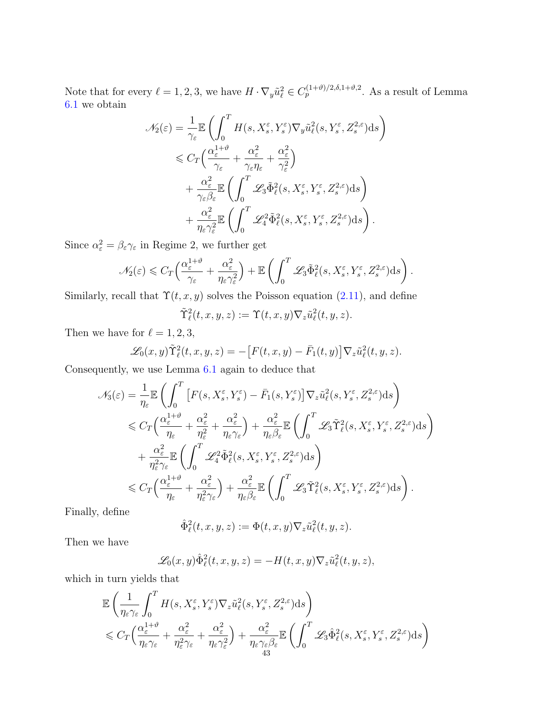Note that for every  $\ell = 1, 2, 3$ , we have  $H \cdot \nabla_y \tilde{u}_\ell^2 \in C_p^{(1+\vartheta)/2, \delta, 1+\vartheta, 2}$ . As a result of Lemma [6.1](#page-35-0) we obtain

$$
\mathcal{N}_{2}(\varepsilon) = \frac{1}{\gamma_{\varepsilon}} \mathbb{E} \left( \int_{0}^{T} H(s, X_{s}^{\varepsilon}, Y_{s}^{\varepsilon}) \nabla_{y} \tilde{u}_{\ell}^{2}(s, Y_{s}^{\varepsilon}, Z_{s}^{2, \varepsilon}) ds \right)
$$
  
\n
$$
\leq C_{T} \left( \frac{\alpha_{\varepsilon}^{1+\vartheta}}{\gamma_{\varepsilon}} + \frac{\alpha_{\varepsilon}^{2}}{\gamma_{\varepsilon} \eta_{\varepsilon}} + \frac{\alpha_{\varepsilon}^{2}}{\gamma_{\varepsilon}^{2}} \right)
$$
  
\n
$$
+ \frac{\alpha_{\varepsilon}^{2}}{\gamma_{\varepsilon} \beta_{\varepsilon}} \mathbb{E} \left( \int_{0}^{T} \mathcal{L}_{3} \tilde{\Phi}_{\ell}^{2}(s, X_{s}^{\varepsilon}, Y_{s}^{\varepsilon}, Z_{s}^{2, \varepsilon}) ds \right)
$$
  
\n
$$
+ \frac{\alpha_{\varepsilon}^{2}}{\eta_{\varepsilon} \gamma_{\varepsilon}^{2}} \mathbb{E} \left( \int_{0}^{T} \mathcal{L}_{4}^{2} \tilde{\Phi}_{\ell}^{2}(s, X_{s}^{\varepsilon}, Y_{s}^{\varepsilon}, Z_{s}^{2, \varepsilon}) ds \right).
$$

Since  $\alpha_{\varepsilon}^2 = \beta_{\varepsilon} \gamma_{\varepsilon}$  in Regime 2, we further get

$$
\mathscr{N}_2(\varepsilon) \leqslant C_T \Big( \frac{\alpha_{\varepsilon}^{1+\vartheta}}{\gamma_{\varepsilon}} + \frac{\alpha_{\varepsilon}^2}{\eta_{\varepsilon} \gamma_{\varepsilon}^2} \Big) + \mathbb{E} \left( \int_0^T \mathscr{L}_3 \tilde{\Phi}_{\ell}^2(s, X_s^{\varepsilon}, Y_s^{\varepsilon}, Z_s^{2,\varepsilon}) ds \right).
$$

Similarly, recall that  $\Upsilon(t, x, y)$  solves the Poisson equation [\(2.11\)](#page-9-3), and define

$$
\tilde{\Upsilon}_{\ell}^2(t,x,y,z) := \Upsilon(t,x,y)\nabla_z \tilde{u}_{\ell}^2(t,y,z).
$$

Then we have for  $\ell = 1, 2, 3$ ,

$$
\mathscr{L}_0(x,y)\tilde{\Upsilon}_{\ell}^2(t,x,y,z) = -\big[F(t,x,y)-\bar{F}_1(t,y)\big]\nabla_z\tilde{u}_{\ell}^2(t,y,z).
$$

Consequently, we use Lemma [6.1](#page-35-0) again to deduce that

$$
\mathcal{N}_{3}(\varepsilon) = \frac{1}{\eta_{\varepsilon}} \mathbb{E} \left( \int_{0}^{T} \left[ F(s, X_{s}^{\varepsilon}, Y_{s}^{\varepsilon}) - \bar{F}_{1}(s, Y_{s}^{\varepsilon}) \right] \nabla_{z} \tilde{u}_{\ell}^{2}(s, Y_{s}^{\varepsilon}, Z_{s}^{2, \varepsilon}) ds \right) \n\leq C_{T} \left( \frac{\alpha_{\varepsilon}^{1+\vartheta}}{\eta_{\varepsilon}} + \frac{\alpha_{\varepsilon}^{2}}{\eta_{\varepsilon}^{2}} + \frac{\alpha_{\varepsilon}^{2}}{\eta_{\varepsilon} \gamma_{\varepsilon}} \right) + \frac{\alpha_{\varepsilon}^{2}}{\eta_{\varepsilon} \beta_{\varepsilon}} \mathbb{E} \left( \int_{0}^{T} \mathcal{L}_{3} \tilde{\Upsilon}_{\ell}^{2}(s, X_{s}^{\varepsilon}, Y_{s}^{\varepsilon}, Z_{s}^{2, \varepsilon}) ds \right) \n+ \frac{\alpha_{\varepsilon}^{2}}{\eta_{\varepsilon}^{2} \gamma_{\varepsilon}} \mathbb{E} \left( \int_{0}^{T} \mathcal{L}_{4}^{2} \tilde{\Phi}_{\ell}^{2}(s, X_{s}^{\varepsilon}, Y_{s}^{\varepsilon}, Z_{s}^{2, \varepsilon}) ds \right) \n\leq C_{T} \left( \frac{\alpha_{\varepsilon}^{1+\vartheta}}{\eta_{\varepsilon}} + \frac{\alpha_{\varepsilon}^{2}}{\eta_{\varepsilon}^{2} \gamma_{\varepsilon}} \right) + \frac{\alpha_{\varepsilon}^{2}}{\eta_{\varepsilon} \beta_{\varepsilon}} \mathbb{E} \left( \int_{0}^{T} \mathcal{L}_{3} \tilde{\Upsilon}_{\ell}^{2}(s, X_{s}^{\varepsilon}, Y_{s}^{\varepsilon}, Z_{s}^{2, \varepsilon}) ds \right).
$$

Finally, define

$$
\hat{\Phi}_{\ell}^2(t,x,y,z) := \Phi(t,x,y)\nabla_z \tilde{u}_{\ell}^2(t,y,z).
$$

Then we have

$$
\mathscr{L}_0(x,y)\hat{\Phi}_{\ell}^2(t,x,y,z) = -H(t,x,y)\nabla_z \tilde{u}_{\ell}^2(t,y,z),
$$

which in turn yields that

$$
\mathbb{E}\left(\frac{1}{\eta_{\varepsilon}\gamma_{\varepsilon}}\int_{0}^{T} H(s,X_{s}^{\varepsilon},Y_{s}^{\varepsilon})\nabla_{z}\tilde{u}_{\ell}^{2}(s,Y_{s}^{\varepsilon},Z_{s}^{2,\varepsilon})\mathrm{d}s\right) \n\leq C_{T}\left(\frac{\alpha_{\varepsilon}^{1+\vartheta}}{\eta_{\varepsilon}\gamma_{\varepsilon}}+\frac{\alpha_{\varepsilon}^{2}}{\eta_{\varepsilon}\gamma_{\varepsilon}^{2}}+\frac{\alpha_{\varepsilon}^{2}}{\eta_{\varepsilon}\gamma_{\varepsilon}^{2}}\right)+\frac{\alpha_{\varepsilon}^{2}}{\eta_{\varepsilon}\gamma_{\varepsilon}\beta_{\varepsilon}}\mathbb{E}\left(\int_{0}^{T}\mathscr{L}_{3}\hat{\Phi}_{\ell}^{2}(s,X_{s}^{\varepsilon},Y_{s}^{\varepsilon},Z_{s}^{2,\varepsilon})\mathrm{d}s\right)
$$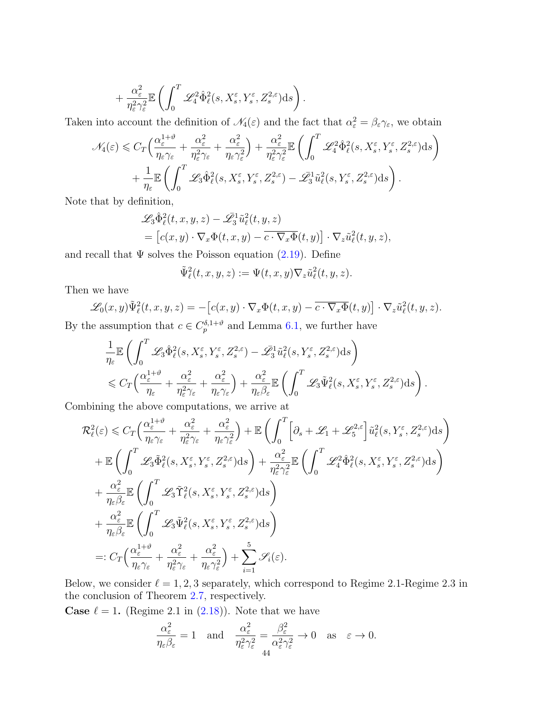$$
+\frac{\alpha_\varepsilon^2}{\eta_\varepsilon^2\gamma_\varepsilon^2}\mathbb{E}\left(\int_0^T\mathscr{L}_4^2\hat{\Phi}_\ell^2(s,X_s^\varepsilon,Y_s^\varepsilon,Z_s^{2,\varepsilon})\mathrm{d} s\right).
$$

Taken into account the definition of  $\mathcal{N}_4(\varepsilon)$  and the fact that  $\alpha_\varepsilon^2 = \beta_\varepsilon \gamma_\varepsilon$ , we obtain

$$
\mathcal{N}_4(\varepsilon) \leq C_T \Big( \frac{\alpha_{\varepsilon}^{1+\vartheta}}{\eta_{\varepsilon} \gamma_{\varepsilon}} + \frac{\alpha_{\varepsilon}^2}{\eta_{\varepsilon}^2 \gamma_{\varepsilon}} + \frac{\alpha_{\varepsilon}^2}{\eta_{\varepsilon} \gamma_{\varepsilon}^2} \Big) + \frac{\alpha_{\varepsilon}^2}{\eta_{\varepsilon}^2 \gamma_{\varepsilon}^2} \mathbb{E} \left( \int_0^T \mathscr{L}_4^2 \hat{\Phi}_{\ell}^2(s, X_s^{\varepsilon}, Y_s^{\varepsilon}, Z_s^{2,\varepsilon}) ds \right) + \frac{1}{\eta_{\varepsilon}} \mathbb{E} \left( \int_0^T \mathscr{L}_3 \hat{\Phi}_{\ell}^2(s, X_s^{\varepsilon}, Y_s^{\varepsilon}, Z_s^{2,\varepsilon}) - \mathscr{L}_3^1 \tilde{u}_{\ell}^2(s, Y_s^{\varepsilon}, Z_s^{2,\varepsilon}) ds \right).
$$

Note that by definition,

$$
\mathcal{L}_3 \hat{\Phi}_{\ell}^2(t, x, y, z) - \mathcal{L}_3^2 \tilde{u}_{\ell}^2(t, y, z)
$$
  
= 
$$
\left[c(x, y) \cdot \nabla_x \Phi(t, x, y) - \overline{c \cdot \nabla_x \Phi}(t, y)\right] \cdot \nabla_z \tilde{u}_{\ell}^2(t, y, z),
$$

and recall that  $\Psi$  solves the Poisson equation [\(2.19\)](#page-13-3). Define

$$
\tilde{\Psi}_{\ell}^{2}(t,x,y,z):=\Psi(t,x,y)\nabla_{z}\tilde{u}_{\ell}^{2}(t,y,z).
$$

Then we have

$$
\mathscr{L}_0(x,y)\tilde{\Psi}_\ell^2(t,x,y,z) = -\left[c(x,y)\cdot\nabla_x\Phi(t,x,y) - \overline{c\cdot\nabla_x\Phi}(t,y)\right]\cdot\nabla_z\tilde{u}_\ell^2(t,y,z).
$$

By the assumption that  $c \in C_p^{\delta,1+\vartheta}$  and Lemma [6.1,](#page-35-0) we further have

$$
\frac{1}{\eta_{\varepsilon}}\mathbb{E}\left(\int_{0}^{T}\mathscr{L}_{3}\hat{\Phi}^{2}_{\ell}(s,X_{s}^{\varepsilon},Y_{s}^{\varepsilon},Z_{s}^{2,\varepsilon})-\bar{\mathscr{L}}_{3}^{1}\tilde{u}_{\ell}^{2}(s,Y_{s}^{\varepsilon},Z_{s}^{2,\varepsilon})\mathrm{d}s\right) \n\leq C_{T}\Big(\frac{\alpha_{\varepsilon}^{1+\vartheta}}{\eta_{\varepsilon}}+\frac{\alpha_{\varepsilon}^{2}}{\eta_{\varepsilon}\gamma_{\varepsilon}}+\frac{\alpha_{\varepsilon}^{2}}{\eta_{\varepsilon}\gamma_{\varepsilon}}\Big)+\frac{\alpha_{\varepsilon}^{2}}{\eta_{\varepsilon}\beta_{\varepsilon}}\mathbb{E}\left(\int_{0}^{T}\mathscr{L}_{3}\tilde{\Psi}^{2}_{\ell}(s,X_{s}^{\varepsilon},Y_{s}^{\varepsilon},Z_{s}^{2,\varepsilon})\mathrm{d}s\right).
$$

Combining the above computations, we arrive at

$$
\mathcal{R}_{\ell}^{2}(\varepsilon) \leq C_{T} \Big( \frac{\alpha_{\varepsilon}^{1+\vartheta}}{\eta_{\varepsilon}\gamma_{\varepsilon}} + \frac{\alpha_{\varepsilon}^{2}}{\eta_{\varepsilon}\gamma_{\varepsilon}} + \frac{\alpha_{\varepsilon}^{2}}{\eta_{\varepsilon}\gamma_{\varepsilon}} \Big) + \mathbb{E} \Big( \int_{0}^{T} \Big[ \partial_{s} + \mathcal{L}_{1} + \mathcal{L}_{5}^{2,\varepsilon} \Big] \tilde{u}_{\ell}^{2}(s, Y_{s}^{\varepsilon}, Z_{s}^{2,\varepsilon}) ds \Big) \n+ \mathbb{E} \Big( \int_{0}^{T} \mathcal{L}_{3} \tilde{\Phi}_{\ell}^{2}(s, X_{s}^{\varepsilon}, Y_{s}^{\varepsilon}, Z_{s}^{2,\varepsilon}) ds \Big) + \frac{\alpha_{\varepsilon}^{2}}{\eta_{\varepsilon}^{2}\gamma_{\varepsilon}^{2}} \mathbb{E} \Big( \int_{0}^{T} \mathcal{L}_{4}^{2} \hat{\Phi}_{\ell}^{2}(s, X_{s}^{\varepsilon}, Y_{s}^{\varepsilon}, Z_{s}^{2,\varepsilon}) ds \Big) \n+ \frac{\alpha_{\varepsilon}^{2}}{\eta_{\varepsilon}\beta_{\varepsilon}} \mathbb{E} \Big( \int_{0}^{T} \mathcal{L}_{3} \tilde{\Upsilon}_{\ell}^{2}(s, X_{s}^{\varepsilon}, Y_{s}^{\varepsilon}, Z_{s}^{2,\varepsilon}) ds \Big) \n+ \frac{\alpha_{\varepsilon}^{2}}{\eta_{\varepsilon}\beta_{\varepsilon}} \mathbb{E} \Big( \int_{0}^{T} \mathcal{L}_{3} \tilde{\Psi}_{\ell}^{2}(s, X_{s}^{\varepsilon}, Y_{s}^{\varepsilon}, Z_{s}^{2,\varepsilon}) ds \Big) \n=: C_{T} \Big( \frac{\alpha_{\varepsilon}^{1+\vartheta}}{\eta_{\varepsilon}\gamma_{\varepsilon}} + \frac{\alpha_{\varepsilon}^{2}}{\eta_{\varepsilon}^{2}\gamma_{\varepsilon}} + \frac{\alpha_{\varepsilon}^{2}}{\eta_{\varepsilon}\gamma_{\varepsilon}^{2}} \Big) + \sum_{i=1}^{5} \mathcal{S}_{i}(\varepsilon).
$$

Below, we consider  $\ell = 1, 2, 3$  separately, which correspond to Regime 2.1-Regime 2.3 in the conclusion of Theorem [2.7,](#page-13-0) respectively.

**Case**  $\ell = 1$ . (Regime 2.1 in [\(2.18\)](#page-13-1)). Note that we have

$$
\frac{\alpha_{\varepsilon}^2}{\eta_{\varepsilon}\beta_{\varepsilon}} = 1 \quad \text{and} \quad \frac{\alpha_{\varepsilon}^2}{\eta_{\varepsilon}^2 \gamma_{\varepsilon}^2} = \frac{\beta_{\varepsilon}^2}{\alpha_{\varepsilon}^2 \gamma_{\varepsilon}^2} \to 0 \quad \text{as} \quad \varepsilon \to 0.
$$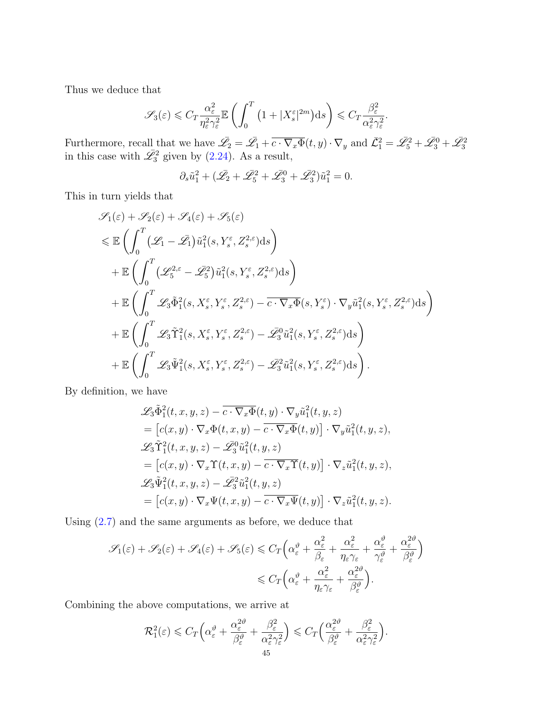Thus we deduce that

$$
\mathscr{S}_3(\varepsilon) \leqslant C_T \frac{\alpha_{\varepsilon}^2}{\eta_{\varepsilon}^2 \gamma_{\varepsilon}^2} \mathbb{E}\left(\int_0^T \left(1 + |X_s^{\varepsilon}|^{2m}\right) \mathrm{d} s\right) \leqslant C_T \frac{\beta_{\varepsilon}^2}{\alpha_{\varepsilon}^2 \gamma_{\varepsilon}^2}.
$$

Furthermore, recall that we have  $\overline{\mathscr{L}}_2 = \overline{\mathscr{L}}_1 + \overline{c \cdot \nabla_x \Phi}(t, y) \cdot \nabla_y$  and  $\overline{\mathscr{L}}_1^2 = \overline{\mathscr{L}}_5^2 + \overline{\mathscr{L}}_3^0 + \overline{\mathscr{L}}_3^2$  in this case with  $\overline{\mathscr{L}}_3^2$  given by [\(2.24\)](#page-15-9). As a result,

$$
\partial_s \tilde{u}_1^2 + (\bar{\mathscr{L}_2} + \bar{\mathscr{L}}_5^2 + \bar{\mathscr{L}}_3^0 + \bar{\mathscr{L}}_3^2)\tilde{u}_1^2 = 0.
$$

This in turn yields that

$$
\mathcal{S}_{1}(\varepsilon) + \mathcal{S}_{2}(\varepsilon) + \mathcal{S}_{4}(\varepsilon) + \mathcal{S}_{5}(\varepsilon)
$$
\n
$$
\leq \mathbb{E}\left(\int_{0}^{T} (\mathcal{L}_{1} - \bar{\mathcal{L}}_{1}) \tilde{u}_{1}^{2}(s, Y_{s}^{\varepsilon}, Z_{s}^{2,\varepsilon}) ds\right)
$$
\n
$$
+ \mathbb{E}\left(\int_{0}^{T} (\mathcal{L}_{5}^{2,\varepsilon} - \bar{\mathcal{L}}_{5}^{2}) \tilde{u}_{1}^{2}(s, Y_{s}^{\varepsilon}, Z_{s}^{2,\varepsilon}) ds\right)
$$
\n
$$
+ \mathbb{E}\left(\int_{0}^{T} \mathcal{L}_{3} \tilde{\Phi}_{1}^{2}(s, X_{s}^{\varepsilon}, Y_{s}^{\varepsilon}, Z_{s}^{2,\varepsilon}) - \overline{c \cdot \nabla_{x} \Phi}(s, Y_{s}^{\varepsilon}) \cdot \nabla_{y} \tilde{u}_{1}^{2}(s, Y_{s}^{\varepsilon}, Z_{s}^{2,\varepsilon}) ds\right)
$$
\n
$$
+ \mathbb{E}\left(\int_{0}^{T} \mathcal{L}_{3} \tilde{\Upsilon}_{1}^{2}(s, X_{s}^{\varepsilon}, Y_{s}^{\varepsilon}, Z_{s}^{2,\varepsilon}) - \mathcal{L}_{3}^{0} \tilde{u}_{1}^{2}(s, Y_{s}^{\varepsilon}, Z_{s}^{2,\varepsilon}) ds\right)
$$
\n
$$
+ \mathbb{E}\left(\int_{0}^{T} \mathcal{L}_{3} \tilde{\Psi}_{1}^{2}(s, X_{s}^{\varepsilon}, Y_{s}^{\varepsilon}, Z_{s}^{2,\varepsilon}) - \bar{\mathcal{L}}_{3}^{2} \tilde{u}_{1}^{2}(s, Y_{s}^{\varepsilon}, Z_{s}^{2,\varepsilon}) ds\right).
$$

By definition, we have

$$
\mathcal{L}_3 \tilde{\Phi}_1^2(t, x, y, z) - \overline{c \cdot \nabla_x \Phi}(t, y) \cdot \nabla_y \tilde{u}_1^2(t, y, z)
$$
  
\n
$$
= [c(x, y) \cdot \nabla_x \Phi(t, x, y) - \overline{c \cdot \nabla_x \Phi}(t, y)] \cdot \nabla_y \tilde{u}_1^2(t, y, z),
$$
  
\n
$$
\mathcal{L}_3 \tilde{\Upsilon}_1^2(t, x, y, z) - \mathcal{L}_3^0 \tilde{u}_1^2(t, y, z)
$$
  
\n
$$
= [c(x, y) \cdot \nabla_x \Upsilon(t, x, y) - \overline{c \cdot \nabla_x \Upsilon}(t, y)] \cdot \nabla_z \tilde{u}_1^2(t, y, z),
$$
  
\n
$$
\mathcal{L}_3 \tilde{\Psi}_1^2(t, x, y, z) - \mathcal{L}_3^2 \tilde{u}_1^2(t, y, z)
$$
  
\n
$$
= [c(x, y) \cdot \nabla_x \Psi(t, x, y) - \overline{c \cdot \nabla_x \Psi}(t, y)] \cdot \nabla_z \tilde{u}_1^2(t, y, z).
$$

Using [\(2.7\)](#page-7-6) and the same arguments as before, we deduce that

$$
\mathscr{S}_{1}(\varepsilon) + \mathscr{S}_{2}(\varepsilon) + \mathscr{S}_{4}(\varepsilon) + \mathscr{S}_{5}(\varepsilon) \leq C_{T} \left( \alpha_{\varepsilon}^{\vartheta} + \frac{\alpha_{\varepsilon}^{2}}{\beta_{\varepsilon}} + \frac{\alpha_{\varepsilon}^{2}}{\eta_{\varepsilon} \gamma_{\varepsilon}} + \frac{\alpha_{\varepsilon}^{\vartheta}}{\gamma_{\varepsilon}^{\vartheta}} + \frac{\alpha_{\varepsilon}^{2\vartheta}}{\beta_{\varepsilon}^{\vartheta}} \right) \leq C_{T} \left( \alpha_{\varepsilon}^{\vartheta} + \frac{\alpha_{\varepsilon}^{2}}{\eta_{\varepsilon} \gamma_{\varepsilon}} + \frac{\alpha_{\varepsilon}^{2\vartheta}}{\beta_{\varepsilon}^{\vartheta}} \right).
$$

Combining the above computations, we arrive at

$$
\mathcal{R}_1^2(\varepsilon) \leqslant C_T \Big( \alpha_\varepsilon^{\vartheta} + \frac{\alpha_\varepsilon^{2\vartheta}}{\beta_\varepsilon^{\vartheta}} + \frac{\beta_\varepsilon^2}{\alpha_\varepsilon^2 \gamma_\varepsilon^2} \Big) \leqslant C_T \Big( \frac{\alpha_\varepsilon^{2\vartheta}}{\beta_\varepsilon^{\vartheta}} + \frac{\beta_\varepsilon^2}{\alpha_\varepsilon^2 \gamma_\varepsilon^2} \Big).
$$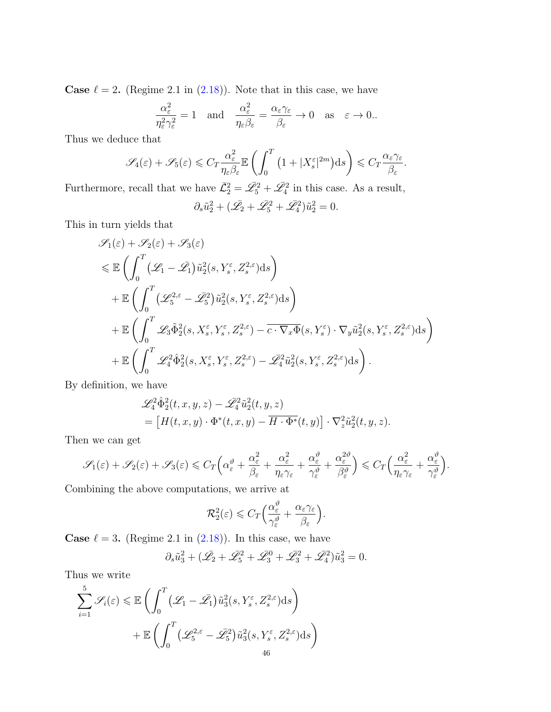**Case**  $\ell = 2$ . (Regime 2.1 in [\(2.18\)](#page-13-1)). Note that in this case, we have

$$
\frac{\alpha_{\varepsilon}^2}{\eta_{\varepsilon}^2 \gamma_{\varepsilon}^2} = 1 \quad \text{and} \quad \frac{\alpha_{\varepsilon}^2}{\eta_{\varepsilon} \beta_{\varepsilon}} = \frac{\alpha_{\varepsilon} \gamma_{\varepsilon}}{\beta_{\varepsilon}} \to 0 \quad \text{as} \quad \varepsilon \to 0.
$$

Thus we deduce that

$$
\mathscr{S}_4(\varepsilon) + \mathscr{S}_5(\varepsilon) \leqslant C_T \frac{\alpha_{\varepsilon}^2}{\eta_{\varepsilon} \beta_{\varepsilon}} \mathbb{E} \left( \int_0^T \left( 1 + |X_s^{\varepsilon}|^{2m} \right) ds \right) \leqslant C_T \frac{\alpha_{\varepsilon} \gamma_{\varepsilon}}{\beta_{\varepsilon}}.
$$

Furthermore, recall that we have  $\bar{\mathcal{L}}_2^2 = \bar{\mathcal{L}}_5^2 + \bar{\mathcal{L}}_4^2$  in this case. As a result,  $\partial_s \tilde{u}_2^2 + (\bar{\mathscr{L}_2} + \bar{\mathscr{L}_5}^2 + \bar{\mathscr{L}_4}^2) \tilde{u}_2^2 = 0.$ 

This in turn yields that

$$
\mathcal{S}_{1}(\varepsilon) + \mathcal{S}_{2}(\varepsilon) + \mathcal{S}_{3}(\varepsilon)
$$
\n
$$
\leq \mathbb{E}\left(\int_{0}^{T} (\mathcal{L}_{1} - \bar{\mathcal{L}_{1}}) \tilde{u}_{2}^{2}(s, Y_{s}^{\varepsilon}, Z_{s}^{2,\varepsilon}) ds\right)
$$
\n
$$
+ \mathbb{E}\left(\int_{0}^{T} (\mathcal{L}_{5}^{2,\varepsilon} - \bar{\mathcal{L}_{5}^{2}}) \tilde{u}_{2}^{2}(s, Y_{s}^{\varepsilon}, Z_{s}^{2,\varepsilon}) ds\right)
$$
\n
$$
+ \mathbb{E}\left(\int_{0}^{T} \mathcal{L}_{3} \tilde{\Phi}_{2}^{2}(s, X_{s}^{\varepsilon}, Y_{s}^{\varepsilon}, Z_{s}^{2,\varepsilon}) - \overline{c \cdot \nabla_{x} \Phi}(s, Y_{s}^{\varepsilon}) \cdot \nabla_{y} \tilde{u}_{2}^{2}(s, Y_{s}^{\varepsilon}, Z_{s}^{2,\varepsilon}) ds\right)
$$
\n
$$
+ \mathbb{E}\left(\int_{0}^{T} \mathcal{L}_{4}^{2} \hat{\Phi}_{2}^{2}(s, X_{s}^{\varepsilon}, Y_{s}^{\varepsilon}, Z_{s}^{2,\varepsilon}) - \overline{\mathcal{L}_{4}^{2}} \tilde{u}_{2}^{2}(s, Y_{s}^{\varepsilon}, Z_{s}^{2,\varepsilon}) ds\right).
$$

By definition, we have

$$
\mathscr{L}_4^2 \hat{\Phi}_2^2(t, x, y, z) - \mathscr{L}_4^2 \tilde{u}_2^2(t, y, z)
$$
  
= 
$$
\left[ H(t, x, y) \cdot \Phi^*(t, x, y) - \overline{H \cdot \Phi^*}(t, y) \right] \cdot \nabla_z^2 \tilde{u}_2^2(t, y, z).
$$

Then we can get

$$
\mathscr{S}_1(\varepsilon) + \mathscr{S}_2(\varepsilon) + \mathscr{S}_3(\varepsilon) \leq C_T \Big( \alpha_\varepsilon^{\vartheta} + \frac{\alpha_\varepsilon^2}{\beta_\varepsilon} + \frac{\alpha_\varepsilon^2}{\eta_\varepsilon \gamma_\varepsilon} + \frac{\alpha_\varepsilon^{\vartheta}}{\gamma_\varepsilon^{\vartheta}} + \frac{\alpha_\varepsilon^{2\vartheta}}{\beta_\varepsilon^{\vartheta}} \Big) \leq C_T \Big( \frac{\alpha_\varepsilon^2}{\eta_\varepsilon \gamma_\varepsilon} + \frac{\alpha_\varepsilon^{\vartheta}}{\gamma_\varepsilon^{\vartheta}} \Big).
$$

Combining the above computations, we arrive at

$$
\mathcal{R}_2^2(\varepsilon) \leqslant C_T \Big( \frac{\alpha_{\varepsilon}^{\vartheta}}{\gamma_{\varepsilon}^{\vartheta}} + \frac{\alpha_{\varepsilon} \gamma_{\varepsilon}}{\beta_{\varepsilon}} \Big).
$$

**Case**  $\ell = 3$ . (Regime 2.1 in [\(2.18\)](#page-13-1)). In this case, we have

$$
\partial_s \tilde{u}_3^2 + (\bar{\mathscr{L}_2} + \bar{\mathscr{L}}_5^2 + \bar{\mathscr{L}}_3^0 + \bar{\mathscr{L}}_3^2 + \bar{\mathscr{L}}_4^2) \tilde{u}_3^2 = 0.
$$

Thus we write

$$
\sum_{i=1}^{5} \mathscr{S}_{i}(\varepsilon) \leq \mathbb{E}\left(\int_{0}^{T} (\mathscr{L}_{1} - \bar{\mathscr{L}_{1}}) \tilde{u}_{3}^{2}(s, Y_{s}^{\varepsilon}, Z_{s}^{2,\varepsilon}) ds\right) \n+ \mathbb{E}\left(\int_{0}^{T} (\mathscr{L}_{5}^{2,\varepsilon} - \bar{\mathscr{L}_{5}}^{2}) \tilde{u}_{3}^{2}(s, Y_{s}^{\varepsilon}, Z_{s}^{2,\varepsilon}) ds\right) \n+ 46
$$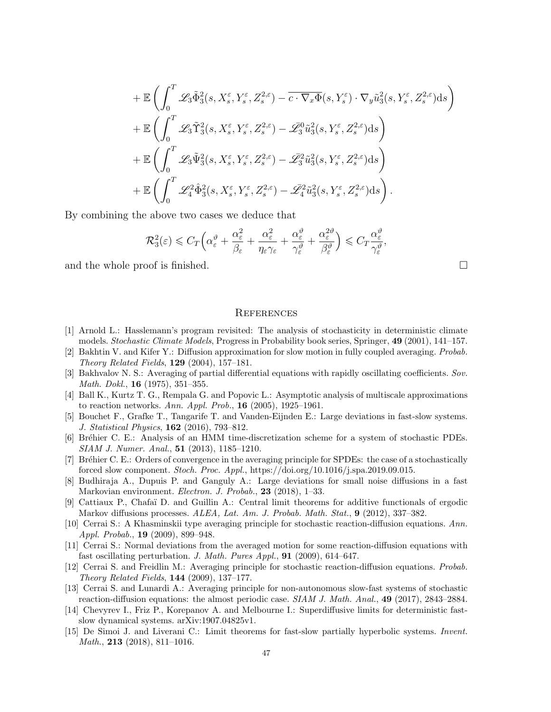$$
\begin{split}\n&+\mathbb{E}\left(\int_{0}^{T}\mathscr{L}_{3}\tilde{\Phi}_{3}^{2}(s,X_{s}^{\varepsilon},Y_{s}^{\varepsilon},Z_{s}^{2,\varepsilon})-\overline{c\cdot\nabla_{x}\Phi}(s,Y_{s}^{\varepsilon})\cdot\nabla_{y}\tilde{u}_{3}^{2}(s,Y_{s}^{\varepsilon},Z_{s}^{2,\varepsilon})\mathrm{d}s\right) \\
&+\mathbb{E}\left(\int_{0}^{T}\mathscr{L}_{3}\tilde{\Upsilon}_{3}^{2}(s,X_{s}^{\varepsilon},Y_{s}^{\varepsilon},Z_{s}^{2,\varepsilon})-\overline{\mathscr{L}}_{3}^{0}\tilde{u}_{3}^{2}(s,Y_{s}^{\varepsilon},Z_{s}^{2,\varepsilon})\mathrm{d}s\right) \\
&+\mathbb{E}\left(\int_{0}^{T}\mathscr{L}_{3}\tilde{\Psi}_{3}^{2}(s,X_{s}^{\varepsilon},Y_{s}^{\varepsilon},Z_{s}^{2,\varepsilon})-\mathscr{L}_{3}^{2}\tilde{u}_{3}^{2}(s,Y_{s}^{\varepsilon},Z_{s}^{2,\varepsilon})\mathrm{d}s\right) \\
&+\mathbb{E}\left(\int_{0}^{T}\mathscr{L}_{4}^{2}\hat{\Phi}_{3}^{2}(s,X_{s}^{\varepsilon},Y_{s}^{\varepsilon},Z_{s}^{2,\varepsilon})-\overline{\mathscr{L}}_{4}^{2}\tilde{u}_{3}^{2}(s,Y_{s}^{\varepsilon},Z_{s}^{2,\varepsilon})\mathrm{d}s\right).\n\end{split}
$$

By combining the above two cases we deduce that

$$
\mathcal{R}_3^2(\varepsilon) \leqslant C_T \Big( \alpha_\varepsilon^{\vartheta} + \frac{\alpha_\varepsilon^2}{\beta_\varepsilon} + \frac{\alpha_\varepsilon^2}{\eta_\varepsilon \gamma_\varepsilon} + \frac{\alpha_\varepsilon^{\vartheta}}{\gamma_\varepsilon^{\vartheta}} + \frac{\alpha_\varepsilon^{2\vartheta}}{\beta_\varepsilon^{\vartheta}} \Big) \leqslant C_T \frac{\alpha_\varepsilon^{\vartheta}}{\gamma_\varepsilon^{\vartheta}},
$$

and the whole proof is finished.  $\square$ 

#### <span id="page-46-0"></span>**REFERENCES**

- <span id="page-46-8"></span>[1] Arnold L.: Hasslemann's program revisited: The analysis of stochasticity in deterministic climate models. Stochastic Climate Models, Progress in Probability book series, Springer, 49 (2001), 141–157.
- <span id="page-46-9"></span>[2] Bakhtin V. and Kifer Y.: Diffusion approximation for slow motion in fully coupled averaging. Probab. Theory Related Fields, 129 (2004), 157–181.
- <span id="page-46-12"></span>[3] Bakhvalov N. S.: Averaging of partial differential equations with rapidly oscillating coefficients. Sov. Math. Dokl., 16 (1975), 351–355.
- <span id="page-46-1"></span>[4] Ball K., Kurtz T. G., Rempala G. and Popovic L.: Asymptotic analysis of multiscale approximations to reaction networks. Ann. Appl. Prob., 16 (2005), 1925–1961.
- <span id="page-46-10"></span>[5] Bouchet F., Grafke T., Tangarife T. and Vanden-Eijnden E.: Large deviations in fast-slow systems. J. Statistical Physics, 162 (2016), 793–812.
- <span id="page-46-13"></span>[6] Br´ehier C. E.: Analysis of an HMM time-discretization scheme for a system of stochastic PDEs. SIAM J. Numer. Anal., 51 (2013), 1185–1210.
- <span id="page-46-14"></span>[7] Br´ehier C. E.: Orders of convergence in the averaging principle for SPDEs: the case of a stochastically forced slow component. Stoch. Proc. Appl., https://doi.org/10.1016/j.spa.2019.09.015.
- <span id="page-46-11"></span>[8] Budhiraja A., Dupuis P. and Ganguly A.: Large deviations for small noise diffusions in a fast Markovian environment. Electron. J. Probab., 23 (2018), 1-33.
- <span id="page-46-15"></span>[9] Cattiaux P., Chafa¨ı D. and Guillin A.: Central limit theorems for additive functionals of ergodic Markov diffusions processes. ALEA, Lat. Am. J. Probab. Math. Stat., 9 (2012), 337-382.
- <span id="page-46-4"></span>[10] Cerrai S.: A Khasminskii type averaging principle for stochastic reaction-diffusion equations. Ann. Appl. Probab., 19 (2009), 899–948.
- <span id="page-46-7"></span>[11] Cerrai S.: Normal deviations from the averaged motion for some reaction-diffusion equations with fast oscillating perturbation. J. Math. Pures Appl., **91** (2009), 614–647.
- <span id="page-46-5"></span>[12] Cerrai S. and Freidlin M.: Averaging principle for stochastic reaction-diffusion equations. Probab. Theory Related Fields, 144 (2009), 137–177.
- <span id="page-46-6"></span>[13] Cerrai S. and Lunardi A.: Averaging principle for non-autonomous slow-fast systems of stochastic reaction-diffusion equations: the almost periodic case.  $SIAM J. Math. Anal., 49 (2017), 2843–2884.$
- <span id="page-46-2"></span>[14] Chevyrev I., Friz P., Korepanov A. and Melbourne I.: Superdiffusive limits for deterministic fastslow dynamical systems. arXiv:1907.04825v1.
- <span id="page-46-3"></span>[15] De Simoi J. and Liverani C.: Limit theorems for fast-slow partially hyperbolic systems. Invent. Math., 213 (2018), 811–1016.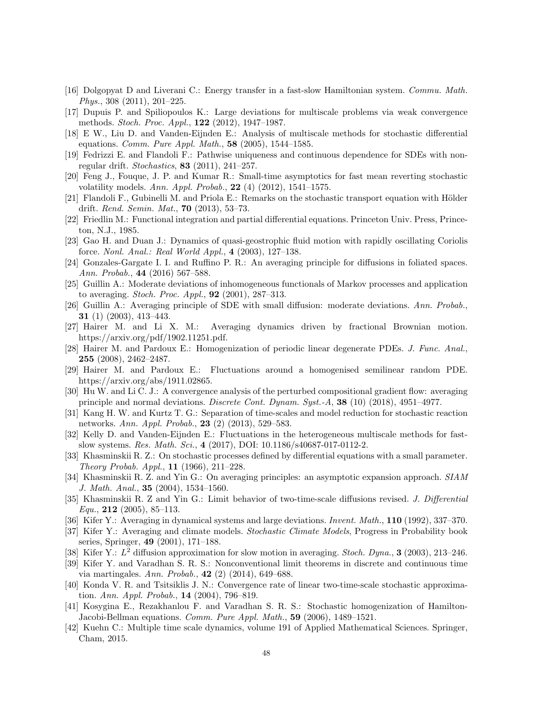- <span id="page-47-5"></span>[16] Dolgopyat D and Liverani C.: Energy transfer in a fast-slow Hamiltonian system. Commu. Math. Phys., 308 (2011), 201–225.
- <span id="page-47-16"></span>[17] Dupuis P. and Spiliopoulos K.: Large deviations for multiscale problems via weak convergence methods. Stoch. Proc. Appl., 122 (2012), 1947–1987.
- <span id="page-47-23"></span>[18] E W., Liu D. and Vanden-Eijnden E.: Analysis of multiscale methods for stochastic differential equations. *Comm. Pure Appl. Math.*, **58** (2005), 1544–1585.
- <span id="page-47-25"></span>[19] Fedrizzi E. and Flandoli F.: Pathwise uniqueness and continuous dependence for SDEs with nonregular drift. Stochastics,  $83$  (2011), 241–257.
- <span id="page-47-3"></span>[20] Feng J., Fouque, J. P. and Kumar R.: Small-time asymptotics for fast mean reverting stochastic volatility models. Ann. Appl. Probab.,  $22(4)(2012)$ , 1541–1575.
- <span id="page-47-26"></span> $[21]$  Flandoli F., Gubinelli M. and Priola E.: Remarks on the stochastic transport equation with Hölder drift. *Rend. Semin. Mat.*, **70**  $(2013)$ , 53–73.
- <span id="page-47-21"></span>[22] Friedlin M.: Functional integration and partial differential equations. Princeton Univ. Press, Princeton, N.J., 1985.
- <span id="page-47-2"></span>[23] Gao H. and Duan J.: Dynamics of quasi-geostrophic fluid motion with rapidly oscillating Coriolis force. Nonl. Anal.: Real World Appl., 4 (2003), 127–138.
- <span id="page-47-6"></span>[24] Gonzales-Gargate I. I. and Ruffino P. R.: An averaging principle for diffusions in foliated spaces. Ann. Probab., 44 (2016) 567–588.
- <span id="page-47-17"></span>[25] Guillin A.: Moderate deviations of inhomogeneous functionals of Markov processes and application to averaging. Stoch. Proc. Appl., 92 (2001), 287–313.
- <span id="page-47-18"></span>[26] Guillin A.: Averaging principle of SDE with small diffusion: moderate deviations. Ann. Probab., 31 (1) (2003), 413–443.
- <span id="page-47-7"></span>[27] Hairer M. and Li X. M.: Averaging dynamics driven by fractional Brownian motion. https://arxiv.org/pdf/1902.11251.pdf.
- <span id="page-47-19"></span>[28] Hairer M. and Pardoux E.: Homogenization of periodic linear degenerate PDEs. J. Func. Anal., 255 (2008), 2462–2487.
- <span id="page-47-15"></span>[29] Hairer M. and Pardoux E.: Fluctuations around a homogenised semilinear random PDE. https://arxiv.org/abs/1911.02865.
- <span id="page-47-12"></span>[30] Hu W. and Li C. J.: A convergence analysis of the perturbed compositional gradient flow: averaging principle and normal deviations. Discrete Cont. Dynam. Syst.-A,  $38$  (10) (2018), 4951–4977.
- <span id="page-47-1"></span>[31] Kang H. W. and Kurtz T. G.: Separation of time-scales and model reduction for stochastic reaction networks. Ann. Appl. Probab., 23 (2) (2013), 529–583.
- <span id="page-47-24"></span>[32] Kelly D. and Vanden-Eijnden E.: Fluctuations in the heterogeneous multiscale methods for fastslow systems. Res. Math. Sci., 4 (2017), DOI: 10.1186/s40687-017-0112-2.
- <span id="page-47-8"></span>[33] Khasminskii R. Z.: On stochastic processes defined by differential equations with a small parameter. Theory Probab. Appl., 11 (1966), 211–228.
- <span id="page-47-9"></span>[34] Khasminskii R. Z. and Yin G.: On averaging principles: an asymptotic expansion approach. SIAM J. Math. Anal., 35 (2004), 1534–1560.
- <span id="page-47-22"></span>[35] Khasminskii R. Z and Yin G.: Limit behavior of two-time-scale diffusions revised. J. Differential  $Equ., 212$  (2005), 85–113.
- <span id="page-47-10"></span>[36] Kifer Y.: Averaging in dynamical systems and large deviations. Invent. Math., 110 (1992), 337–370.
- <span id="page-47-0"></span>[37] Kifer Y.: Averaging and climate models. Stochastic Climate Models, Progress in Probability book series, Springer, 49 (2001), 171–188.
- <span id="page-47-11"></span>[38] Kifer Y.:  $L^2$  diffusion approximation for slow motion in averaging. *Stoch. Dyna.*, **3** (2003), 213-246.
- <span id="page-47-13"></span>[39] Kifer Y. and Varadhan S. R. S.: Nonconventional limit theorems in discrete and continuous time via martingales. Ann. Probab.,  $42$  (2) (2014), 649–688.
- <span id="page-47-14"></span>[40] Konda V. R. and Tsitsiklis J. N.: Convergence rate of linear two-time-scale stochastic approximation. Ann. Appl. Probab., 14 (2004), 796–819.
- <span id="page-47-20"></span>[41] Kosygina E., Rezakhanlou F. and Varadhan S. R. S.: Stochastic homogenization of Hamilton-Jacobi-Bellman equations. Comm. Pure Appl. Math., 59 (2006), 1489–1521.
- <span id="page-47-4"></span>[42] Kuehn C.: Multiple time scale dynamics, volume 191 of Applied Mathematical Sciences. Springer, Cham, 2015.